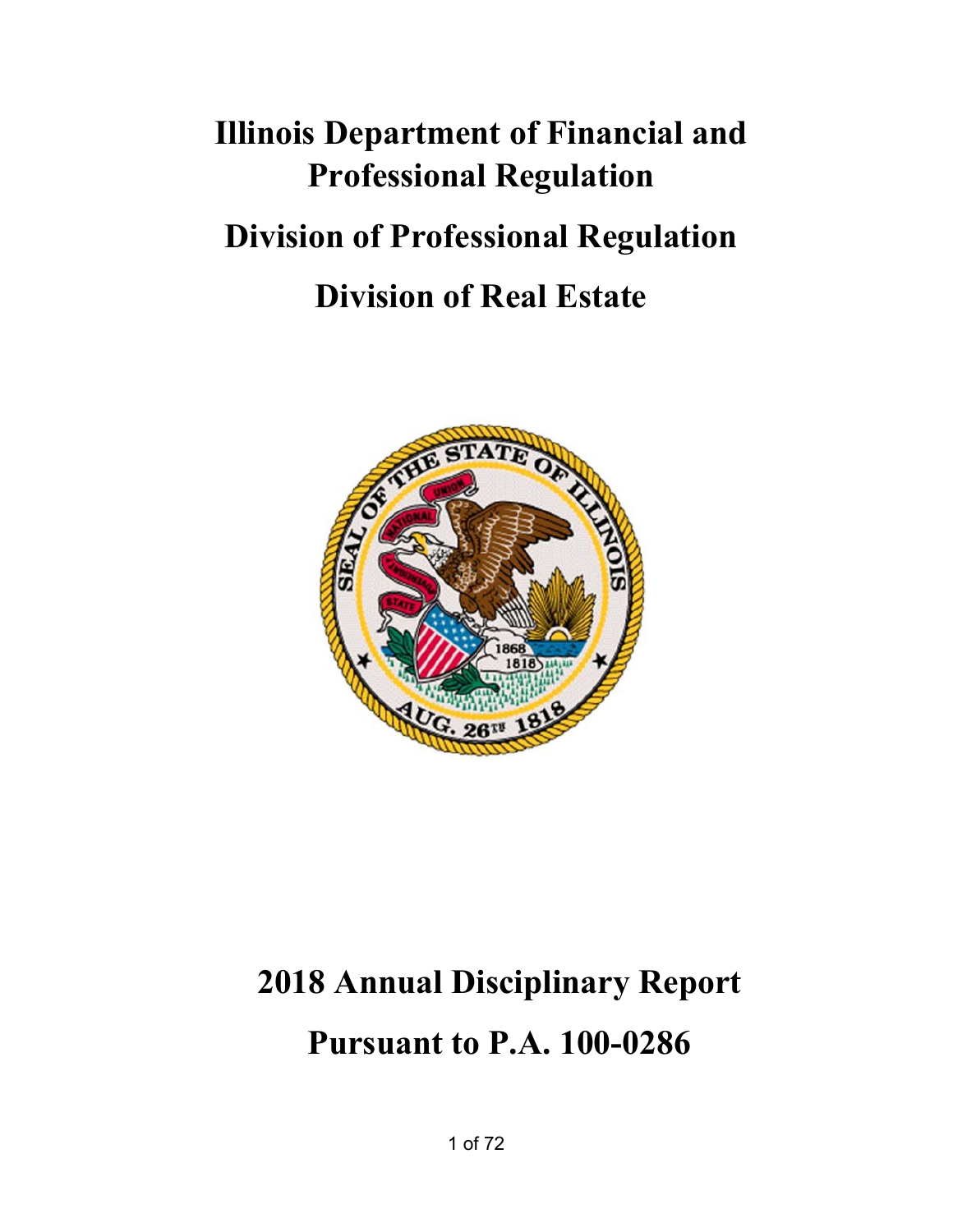# **Illinois Department of Financial and Professional Regulation Division of Professional Regulation Division of Real Estate**



## **2018 Annual Disciplinary Report Pursuant to P.A. 100-0286**

1 of 72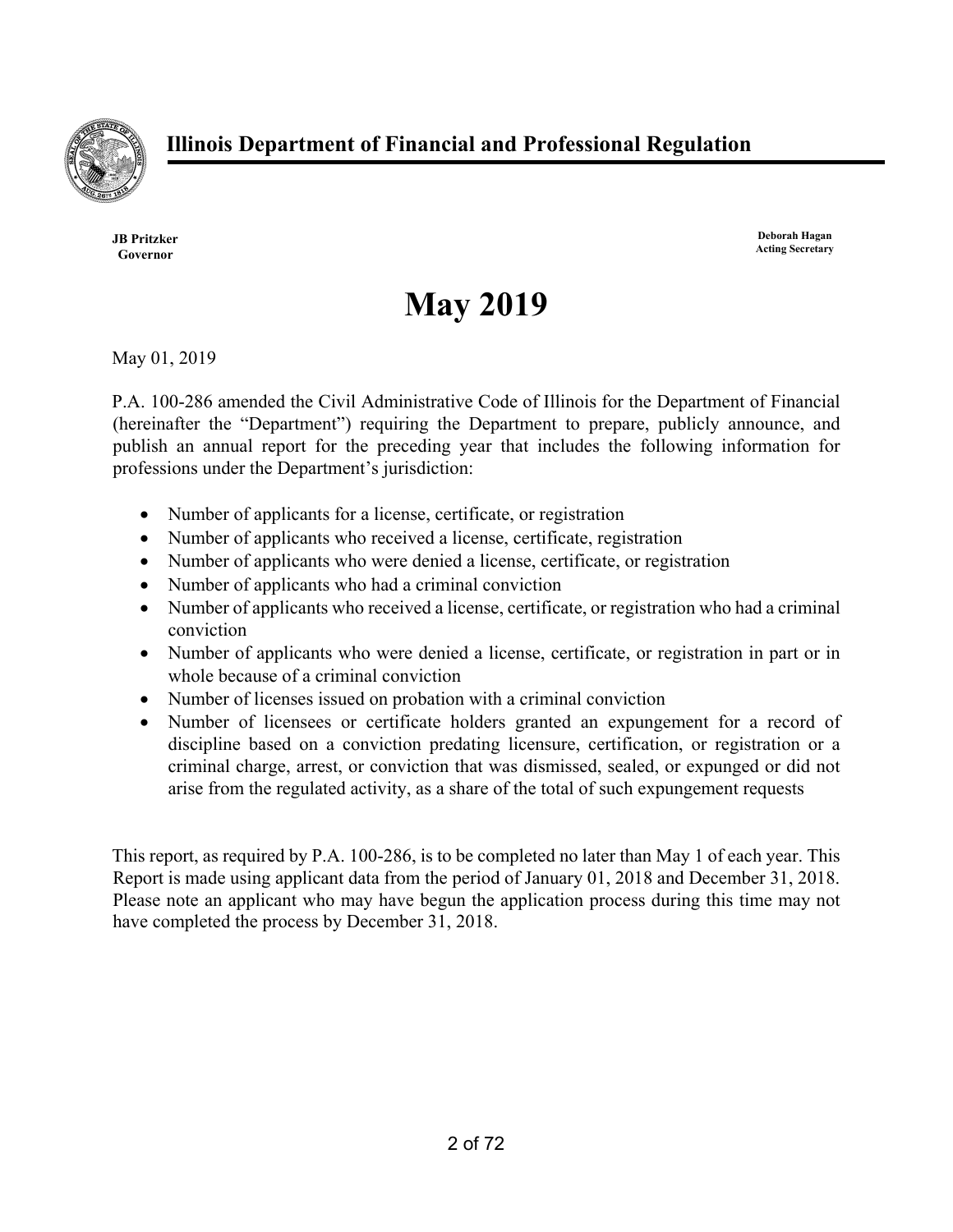

**JB Pritzker Governor** 

**Deborah Hagan Acting Secretary** 

## **May 2019**

May 01, 2019

P.A. 100-286 amended the Civil Administrative Code of Illinois for the Department of Financial (hereinafter the "Department") requiring the Department to prepare, publicly announce, and publish an annual report for the preceding year that includes the following information for professions under the Department's jurisdiction:

- Number of applicants for a license, certificate, or registration
- Number of applicants who received a license, certificate, registration
- Number of applicants who were denied a license, certificate, or registration
- Number of applicants who had a criminal conviction
- Number of applicants who received a license, certificate, or registration who had a criminal conviction
- Number of applicants who were denied a license, certificate, or registration in part or in whole because of a criminal conviction
- Number of licenses issued on probation with a criminal conviction
- Number of licensees or certificate holders granted an expungement for a record of discipline based on a conviction predating licensure, certification, or registration or a criminal charge, arrest, or conviction that was dismissed, sealed, or expunged or did not arise from the regulated activity, as a share of the total of such expungement requests

This report, as required by P.A. 100-286, is to be completed no later than May 1 of each year. This Report is made using applicant data from the period of January 01, 2018 and December 31, 2018. Please note an applicant who may have begun the application process during this time may not have completed the process by December 31, 2018.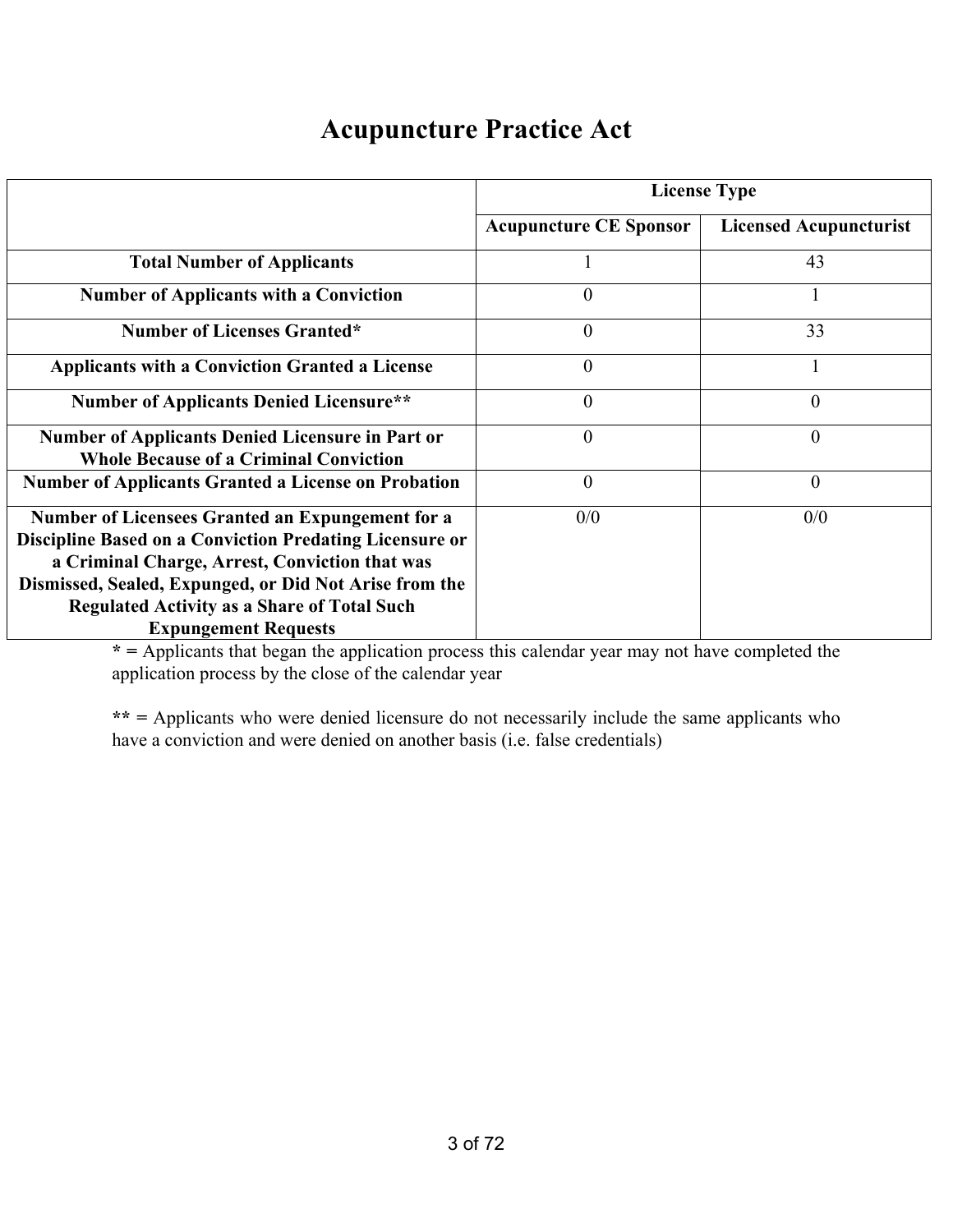#### **Acupuncture Practice Act**

|                                                                                                                                                                                                                                                                                                                            | <b>License Type</b>           |                               |  |  |  |
|----------------------------------------------------------------------------------------------------------------------------------------------------------------------------------------------------------------------------------------------------------------------------------------------------------------------------|-------------------------------|-------------------------------|--|--|--|
|                                                                                                                                                                                                                                                                                                                            | <b>Acupuncture CE Sponsor</b> | <b>Licensed Acupuncturist</b> |  |  |  |
| <b>Total Number of Applicants</b>                                                                                                                                                                                                                                                                                          |                               | 43                            |  |  |  |
| <b>Number of Applicants with a Conviction</b>                                                                                                                                                                                                                                                                              | $\Omega$                      |                               |  |  |  |
| <b>Number of Licenses Granted*</b>                                                                                                                                                                                                                                                                                         | $\theta$                      | 33                            |  |  |  |
| <b>Applicants with a Conviction Granted a License</b>                                                                                                                                                                                                                                                                      | $\Omega$                      |                               |  |  |  |
| <b>Number of Applicants Denied Licensure**</b>                                                                                                                                                                                                                                                                             | $\theta$                      | $\theta$                      |  |  |  |
| <b>Number of Applicants Denied Licensure in Part or</b><br><b>Whole Because of a Criminal Conviction</b>                                                                                                                                                                                                                   | $\Omega$                      | $\theta$                      |  |  |  |
| <b>Number of Applicants Granted a License on Probation</b>                                                                                                                                                                                                                                                                 | $\theta$                      | $\overline{0}$                |  |  |  |
| <b>Number of Licensees Granted an Expungement for a</b><br><b>Discipline Based on a Conviction Predating Licensure or</b><br>a Criminal Charge, Arrest, Conviction that was<br>Dismissed, Sealed, Expunged, or Did Not Arise from the<br><b>Regulated Activity as a Share of Total Such</b><br><b>Expungement Requests</b> | 0/0                           | 0/0                           |  |  |  |

**\* =** Applicants that began the application process this calendar year may not have completed the application process by the close of the calendar year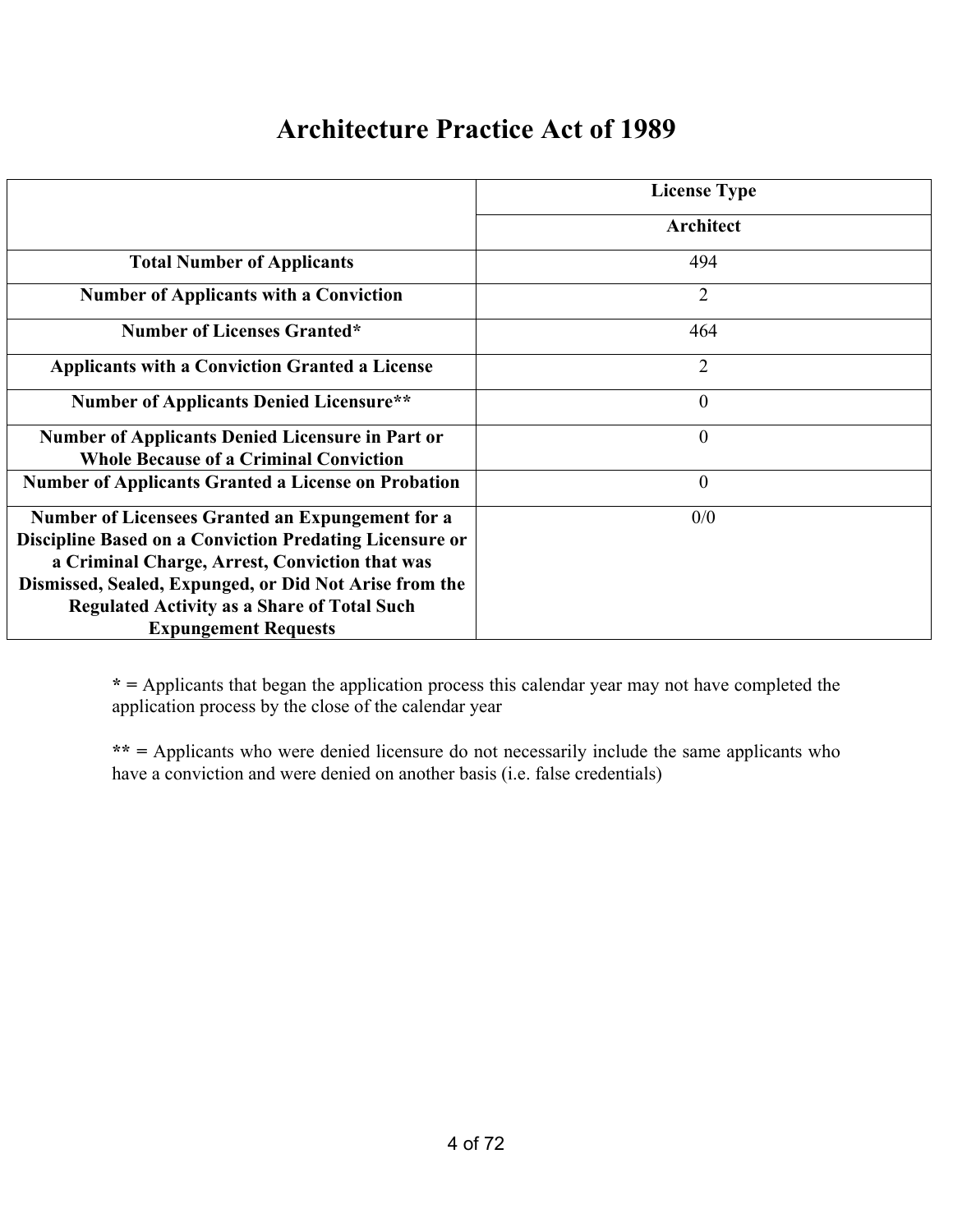## **Architecture Practice Act of 1989**

|                                                                                                                                                                                                                                                                                                              | <b>License Type</b> |
|--------------------------------------------------------------------------------------------------------------------------------------------------------------------------------------------------------------------------------------------------------------------------------------------------------------|---------------------|
|                                                                                                                                                                                                                                                                                                              | Architect           |
| <b>Total Number of Applicants</b>                                                                                                                                                                                                                                                                            | 494                 |
| <b>Number of Applicants with a Conviction</b>                                                                                                                                                                                                                                                                | $\overline{2}$      |
| <b>Number of Licenses Granted*</b>                                                                                                                                                                                                                                                                           | 464                 |
| <b>Applicants with a Conviction Granted a License</b>                                                                                                                                                                                                                                                        | $\overline{2}$      |
| <b>Number of Applicants Denied Licensure**</b>                                                                                                                                                                                                                                                               | $\theta$            |
| Number of Applicants Denied Licensure in Part or<br><b>Whole Because of a Criminal Conviction</b>                                                                                                                                                                                                            | $\overline{0}$      |
| <b>Number of Applicants Granted a License on Probation</b>                                                                                                                                                                                                                                                   | $\theta$            |
| Number of Licensees Granted an Expungement for a<br>Discipline Based on a Conviction Predating Licensure or<br>a Criminal Charge, Arrest, Conviction that was<br>Dismissed, Sealed, Expunged, or Did Not Arise from the<br><b>Regulated Activity as a Share of Total Such</b><br><b>Expungement Requests</b> | 0/0                 |

**\* =** Applicants that began the application process this calendar year may not have completed the application process by the close of the calendar year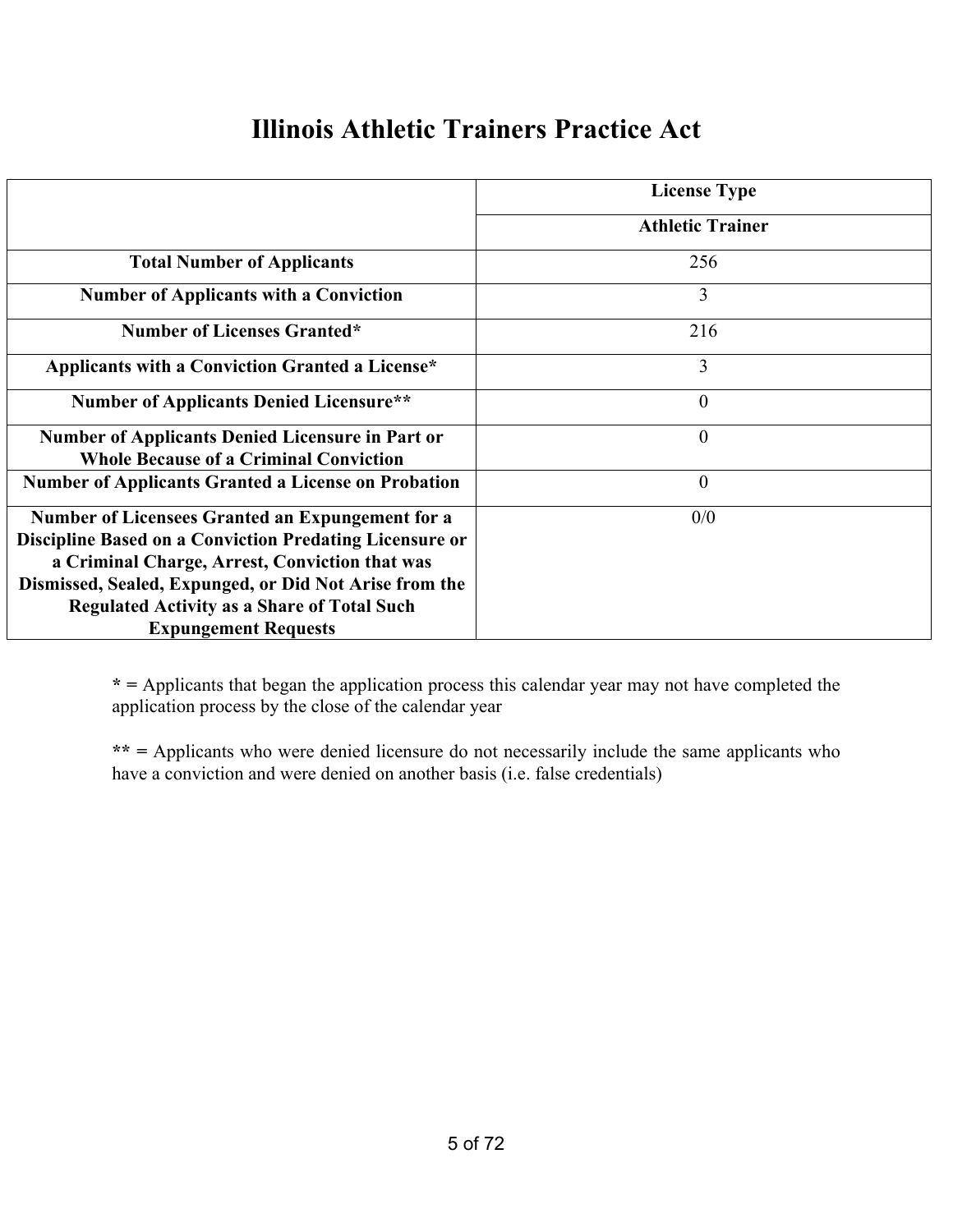#### **Illinois Athletic Trainers Practice Act**

|                                                            | <b>License Type</b>     |
|------------------------------------------------------------|-------------------------|
|                                                            | <b>Athletic Trainer</b> |
| <b>Total Number of Applicants</b>                          | 256                     |
| <b>Number of Applicants with a Conviction</b>              | 3                       |
| <b>Number of Licenses Granted*</b>                         | 216                     |
| Applicants with a Conviction Granted a License*            | 3                       |
| <b>Number of Applicants Denied Licensure**</b>             | $\theta$                |
| <b>Number of Applicants Denied Licensure in Part or</b>    | $\theta$                |
| <b>Whole Because of a Criminal Conviction</b>              |                         |
| <b>Number of Applicants Granted a License on Probation</b> | $\theta$                |
| Number of Licensees Granted an Expungement for a           | 0/0                     |
| Discipline Based on a Conviction Predating Licensure or    |                         |
| a Criminal Charge, Arrest, Conviction that was             |                         |
| Dismissed, Sealed, Expunged, or Did Not Arise from the     |                         |
| <b>Regulated Activity as a Share of Total Such</b>         |                         |
| <b>Expungement Requests</b>                                |                         |

**\* =** Applicants that began the application process this calendar year may not have completed the application process by the close of the calendar year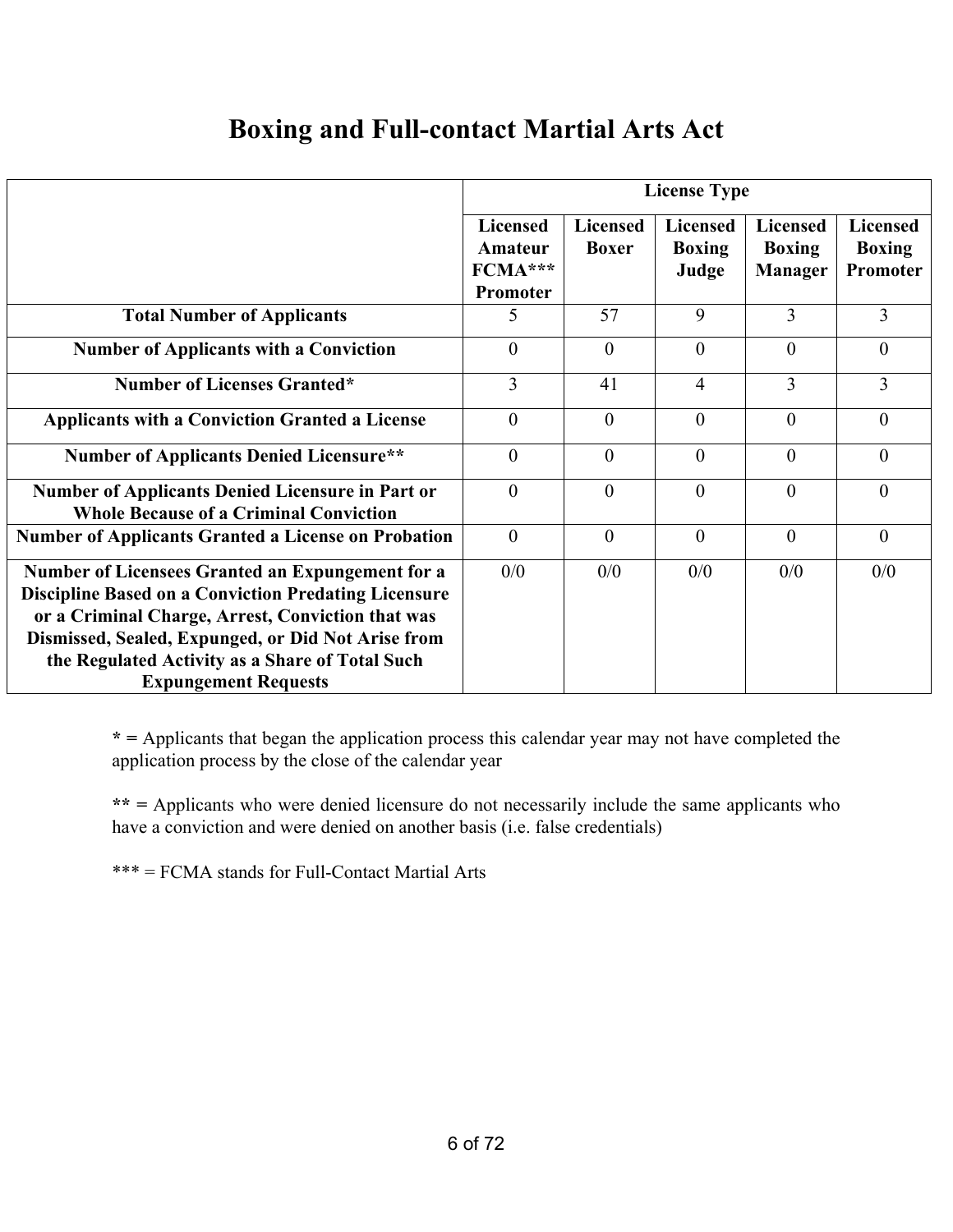#### **Boxing and Full-contact Martial Arts Act**

|                                                                                                                                                                                                                                                                                                              | <b>License Type</b>                               |                                 |                                           |                                                    |                                              |  |
|--------------------------------------------------------------------------------------------------------------------------------------------------------------------------------------------------------------------------------------------------------------------------------------------------------------|---------------------------------------------------|---------------------------------|-------------------------------------------|----------------------------------------------------|----------------------------------------------|--|
|                                                                                                                                                                                                                                                                                                              | <b>Licensed</b><br>Amateur<br>FCMA***<br>Promoter | <b>Licensed</b><br><b>Boxer</b> | <b>Licensed</b><br><b>Boxing</b><br>Judge | <b>Licensed</b><br><b>Boxing</b><br><b>Manager</b> | <b>Licensed</b><br><b>Boxing</b><br>Promoter |  |
| <b>Total Number of Applicants</b>                                                                                                                                                                                                                                                                            | 5                                                 | 57                              | 9                                         | 3                                                  | 3                                            |  |
| <b>Number of Applicants with a Conviction</b>                                                                                                                                                                                                                                                                | $\theta$                                          | $\theta$                        | $\theta$                                  | $\theta$                                           | $\Omega$                                     |  |
| <b>Number of Licenses Granted*</b>                                                                                                                                                                                                                                                                           | 3                                                 | 41                              | $\overline{4}$                            | 3                                                  | 3                                            |  |
| <b>Applicants with a Conviction Granted a License</b>                                                                                                                                                                                                                                                        | $\theta$                                          | $\theta$                        | $\theta$                                  | $\theta$                                           | $\theta$                                     |  |
| <b>Number of Applicants Denied Licensure**</b>                                                                                                                                                                                                                                                               | $\theta$                                          | $\theta$                        | $\theta$                                  | $\theta$                                           | $\theta$                                     |  |
| <b>Number of Applicants Denied Licensure in Part or</b><br><b>Whole Because of a Criminal Conviction</b>                                                                                                                                                                                                     | $\theta$                                          | $\theta$                        | $\theta$                                  | $\theta$                                           | $\Omega$                                     |  |
| <b>Number of Applicants Granted a License on Probation</b>                                                                                                                                                                                                                                                   | $\theta$                                          | $\theta$                        | $\Omega$                                  | $\theta$                                           | $\theta$                                     |  |
| Number of Licensees Granted an Expungement for a<br><b>Discipline Based on a Conviction Predating Licensure</b><br>or a Criminal Charge, Arrest, Conviction that was<br>Dismissed, Sealed, Expunged, or Did Not Arise from<br>the Regulated Activity as a Share of Total Such<br><b>Expungement Requests</b> | 0/0                                               | 0/0                             | 0/0                                       | 0/0                                                | 0/0                                          |  |

**\* =** Applicants that began the application process this calendar year may not have completed the application process by the close of the calendar year

**\*\* =** Applicants who were denied licensure do not necessarily include the same applicants who have a conviction and were denied on another basis (i.e. false credentials)

\*\*\* = FCMA stands for Full-Contact Martial Arts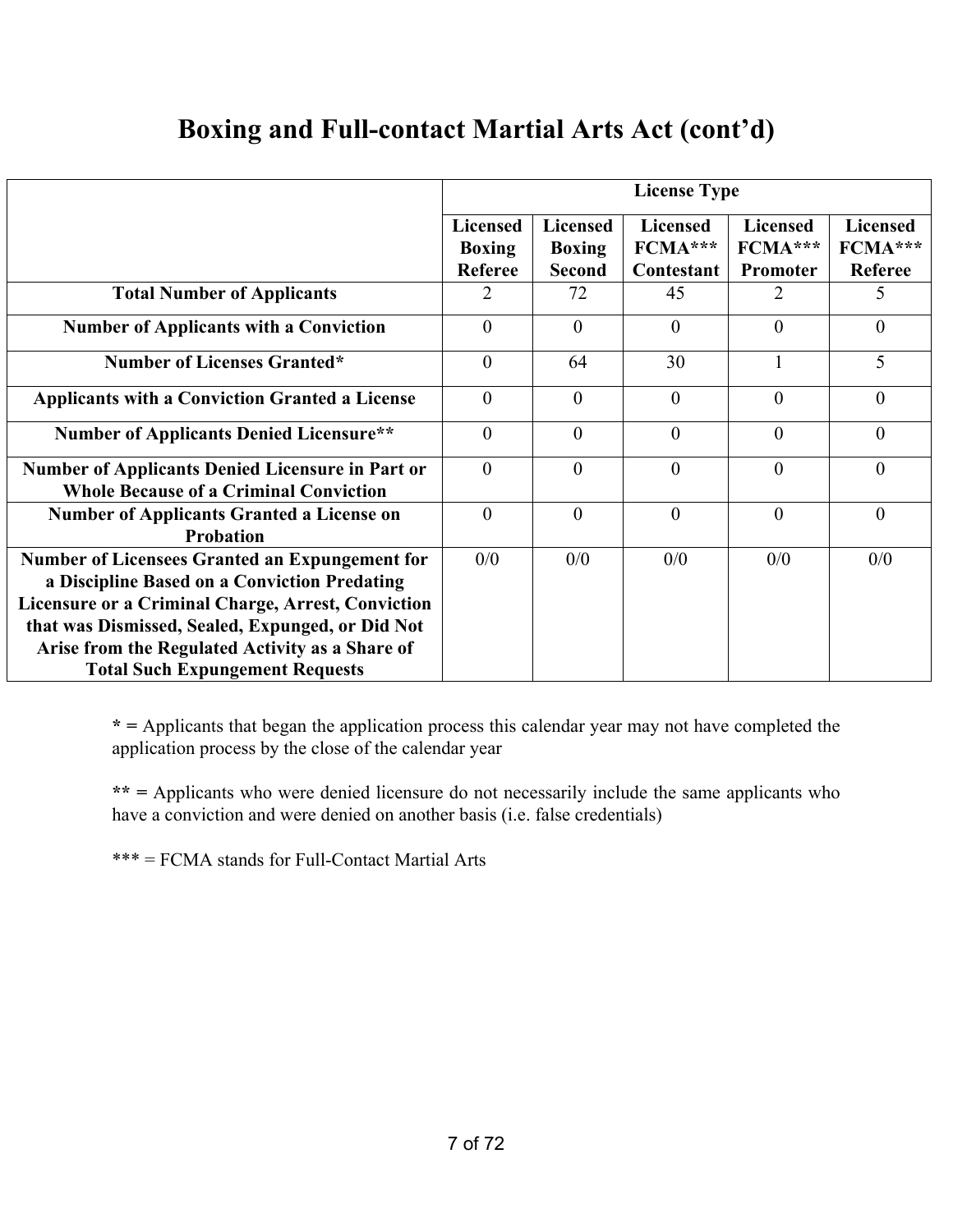## **Boxing and Full-contact Martial Arts Act (cont'd)**

|                                                                                                                                                             | <b>License Type</b>                                |                                                   |                                            |                                        |                                              |
|-------------------------------------------------------------------------------------------------------------------------------------------------------------|----------------------------------------------------|---------------------------------------------------|--------------------------------------------|----------------------------------------|----------------------------------------------|
|                                                                                                                                                             | <b>Licensed</b><br><b>Boxing</b><br><b>Referee</b> | <b>Licensed</b><br><b>Boxing</b><br><b>Second</b> | <b>Licensed</b><br>$FCMA***$<br>Contestant | <b>Licensed</b><br>FCMA***<br>Promoter | <b>Licensed</b><br>FCMA***<br><b>Referee</b> |
| <b>Total Number of Applicants</b>                                                                                                                           | 2                                                  | 72                                                | 45                                         | 2                                      | 5                                            |
| <b>Number of Applicants with a Conviction</b>                                                                                                               | $\theta$                                           | $\theta$                                          | $\theta$                                   | $\Omega$                               | $\Omega$                                     |
| <b>Number of Licenses Granted*</b>                                                                                                                          | $\theta$                                           | 64                                                | 30                                         | $\mathbf{1}$                           | 5                                            |
| <b>Applicants with a Conviction Granted a License</b>                                                                                                       | $\theta$                                           | $\theta$                                          | $\theta$                                   | $\theta$                               | $\theta$                                     |
| <b>Number of Applicants Denied Licensure**</b>                                                                                                              | $\theta$                                           | $\theta$                                          | $\theta$                                   | $\theta$                               | $\theta$                                     |
| <b>Number of Applicants Denied Licensure in Part or</b><br><b>Whole Because of a Criminal Conviction</b>                                                    | $\theta$                                           | $\theta$                                          | $\theta$                                   | $\theta$                               | $\theta$                                     |
| <b>Number of Applicants Granted a License on</b><br><b>Probation</b>                                                                                        | $\theta$                                           | $\theta$                                          | $\theta$                                   | $\theta$                               | $\theta$                                     |
| <b>Number of Licensees Granted an Expungement for</b><br>a Discipline Based on a Conviction Predating<br>Licensure or a Criminal Charge, Arrest, Conviction | 0/0                                                | 0/0                                               | 0/0                                        | 0/0                                    | 0/0                                          |
| that was Dismissed, Sealed, Expunged, or Did Not<br>Arise from the Regulated Activity as a Share of<br><b>Total Such Expungement Requests</b>               |                                                    |                                                   |                                            |                                        |                                              |

**\* =** Applicants that began the application process this calendar year may not have completed the application process by the close of the calendar year

**\*\* =** Applicants who were denied licensure do not necessarily include the same applicants who have a conviction and were denied on another basis (i.e. false credentials)

\*\*\* = FCMA stands for Full-Contact Martial Arts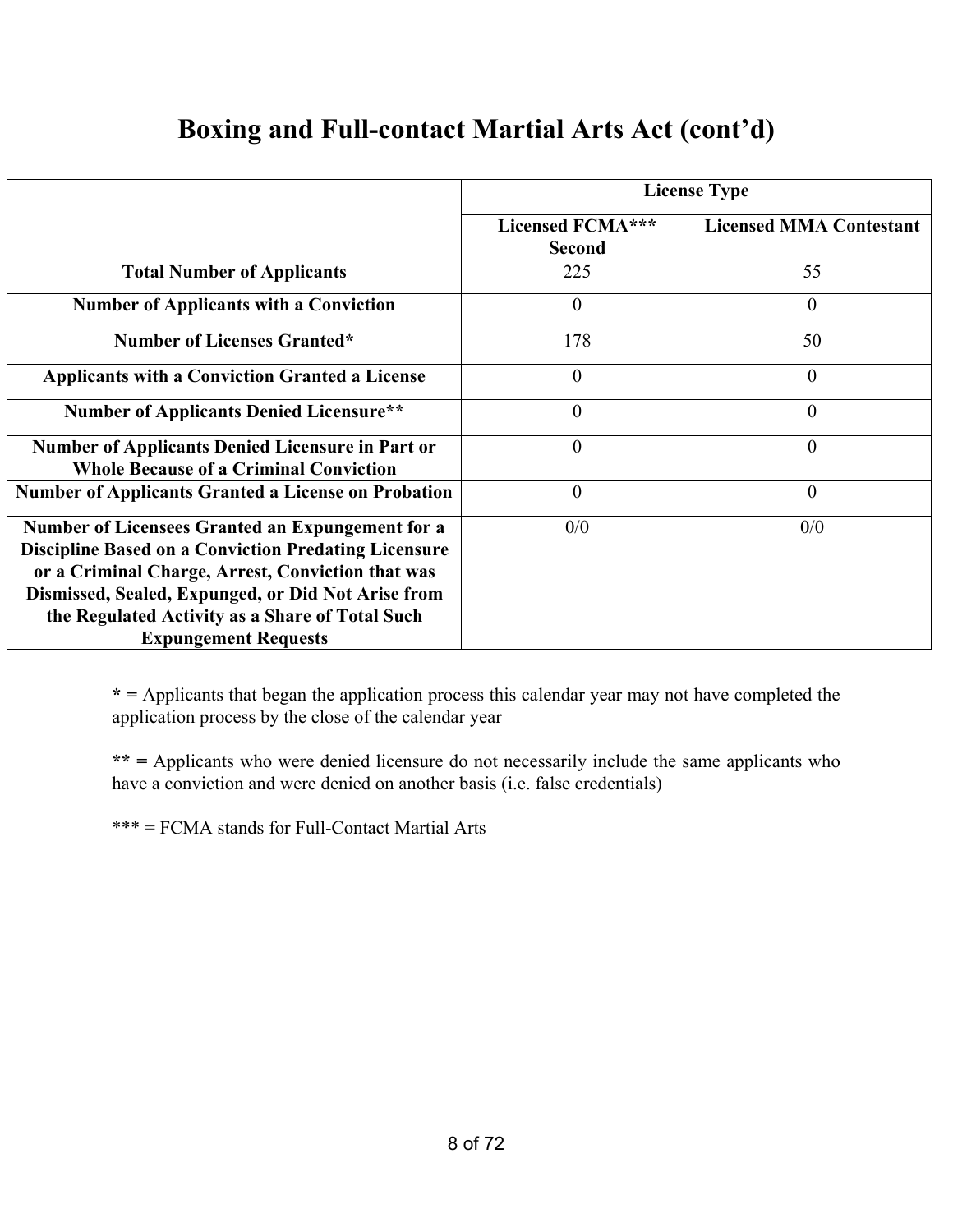|                                                                                                                                                                                                                                                                                                              | <b>License Type</b>                      |                                |  |  |  |
|--------------------------------------------------------------------------------------------------------------------------------------------------------------------------------------------------------------------------------------------------------------------------------------------------------------|------------------------------------------|--------------------------------|--|--|--|
|                                                                                                                                                                                                                                                                                                              | <b>Licensed FCMA***</b><br><b>Second</b> | <b>Licensed MMA Contestant</b> |  |  |  |
| <b>Total Number of Applicants</b>                                                                                                                                                                                                                                                                            | 225                                      | 55                             |  |  |  |
| <b>Number of Applicants with a Conviction</b>                                                                                                                                                                                                                                                                | $\overline{0}$                           | $\overline{0}$                 |  |  |  |
| <b>Number of Licenses Granted*</b>                                                                                                                                                                                                                                                                           | 178                                      | 50                             |  |  |  |
| <b>Applicants with a Conviction Granted a License</b>                                                                                                                                                                                                                                                        | $\theta$                                 | $\theta$                       |  |  |  |
| <b>Number of Applicants Denied Licensure**</b>                                                                                                                                                                                                                                                               | $\boldsymbol{0}$                         | $\overline{0}$                 |  |  |  |
| <b>Number of Applicants Denied Licensure in Part or</b><br><b>Whole Because of a Criminal Conviction</b>                                                                                                                                                                                                     | $\theta$                                 | $\overline{0}$                 |  |  |  |
| <b>Number of Applicants Granted a License on Probation</b>                                                                                                                                                                                                                                                   | $\overline{0}$                           | $\overline{0}$                 |  |  |  |
| Number of Licensees Granted an Expungement for a<br><b>Discipline Based on a Conviction Predating Licensure</b><br>or a Criminal Charge, Arrest, Conviction that was<br>Dismissed, Sealed, Expunged, or Did Not Arise from<br>the Regulated Activity as a Share of Total Such<br><b>Expungement Requests</b> | 0/0                                      | 0/0                            |  |  |  |

#### **Boxing and Full-contact Martial Arts Act (cont'd)**

**\* =** Applicants that began the application process this calendar year may not have completed the application process by the close of the calendar year

**\*\* =** Applicants who were denied licensure do not necessarily include the same applicants who have a conviction and were denied on another basis (i.e. false credentials)

\*\*\* = FCMA stands for Full-Contact Martial Arts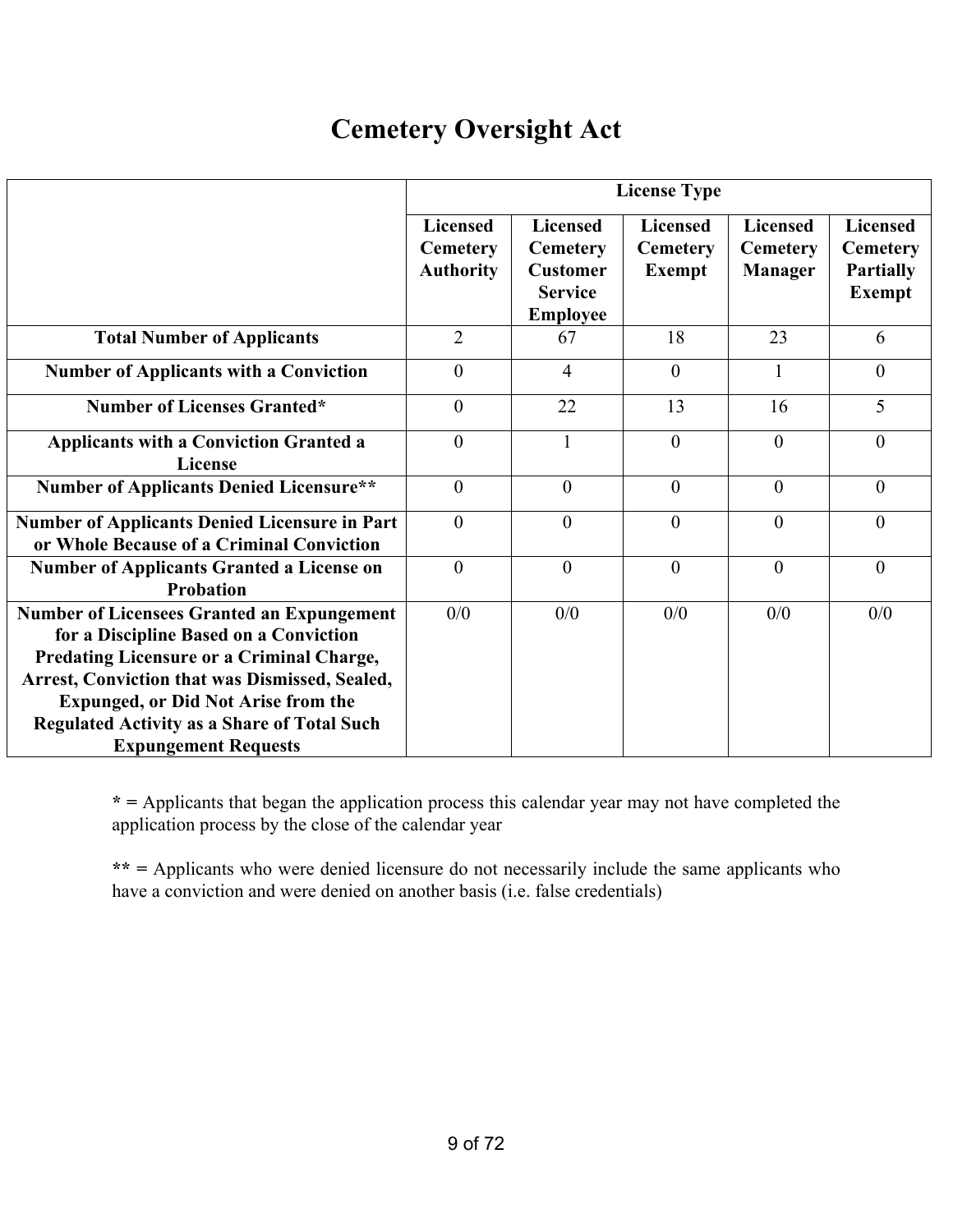## **Cemetery Oversight Act**

|                                                                                                                                                                                                                                                                                                                                      | <b>License Type</b>                                    |                                                                                            |                                                     |                                                      |                                                                         |  |
|--------------------------------------------------------------------------------------------------------------------------------------------------------------------------------------------------------------------------------------------------------------------------------------------------------------------------------------|--------------------------------------------------------|--------------------------------------------------------------------------------------------|-----------------------------------------------------|------------------------------------------------------|-------------------------------------------------------------------------|--|
|                                                                                                                                                                                                                                                                                                                                      | <b>Licensed</b><br><b>Cemetery</b><br><b>Authority</b> | <b>Licensed</b><br><b>Cemetery</b><br><b>Customer</b><br><b>Service</b><br><b>Employee</b> | <b>Licensed</b><br><b>Cemetery</b><br><b>Exempt</b> | <b>Licensed</b><br><b>Cemetery</b><br><b>Manager</b> | <b>Licensed</b><br><b>Cemetery</b><br><b>Partially</b><br><b>Exempt</b> |  |
| <b>Total Number of Applicants</b>                                                                                                                                                                                                                                                                                                    | $\overline{2}$                                         | 67                                                                                         | 18                                                  | 23                                                   | 6                                                                       |  |
| <b>Number of Applicants with a Conviction</b>                                                                                                                                                                                                                                                                                        | $\theta$                                               | $\overline{4}$                                                                             | $\theta$                                            | $\mathbf{1}$                                         | $\theta$                                                                |  |
| <b>Number of Licenses Granted*</b>                                                                                                                                                                                                                                                                                                   | $\overline{0}$                                         | 22                                                                                         | 13                                                  | 16                                                   | 5                                                                       |  |
| <b>Applicants with a Conviction Granted a</b><br><b>License</b>                                                                                                                                                                                                                                                                      | $\overline{0}$                                         | 1                                                                                          | $\theta$                                            | $\mathbf{0}$                                         | $\theta$                                                                |  |
| <b>Number of Applicants Denied Licensure**</b>                                                                                                                                                                                                                                                                                       | $\overline{0}$                                         | $\theta$                                                                                   | $\mathbf{0}$                                        | $\theta$                                             | $\theta$                                                                |  |
| <b>Number of Applicants Denied Licensure in Part</b><br>or Whole Because of a Criminal Conviction                                                                                                                                                                                                                                    | $\theta$                                               | $\theta$                                                                                   | $\theta$                                            | $\theta$                                             | $\theta$                                                                |  |
| <b>Number of Applicants Granted a License on</b><br><b>Probation</b>                                                                                                                                                                                                                                                                 | $\overline{0}$                                         | $\theta$                                                                                   | $\theta$                                            | $\theta$                                             | $\theta$                                                                |  |
| <b>Number of Licensees Granted an Expungement</b><br>for a Discipline Based on a Conviction<br>Predating Licensure or a Criminal Charge,<br><b>Arrest, Conviction that was Dismissed, Sealed,</b><br><b>Expunged, or Did Not Arise from the</b><br><b>Regulated Activity as a Share of Total Such</b><br><b>Expungement Requests</b> | 0/0                                                    | 0/0                                                                                        | 0/0                                                 | 0/0                                                  | 0/0                                                                     |  |

**\* =** Applicants that began the application process this calendar year may not have completed the application process by the close of the calendar year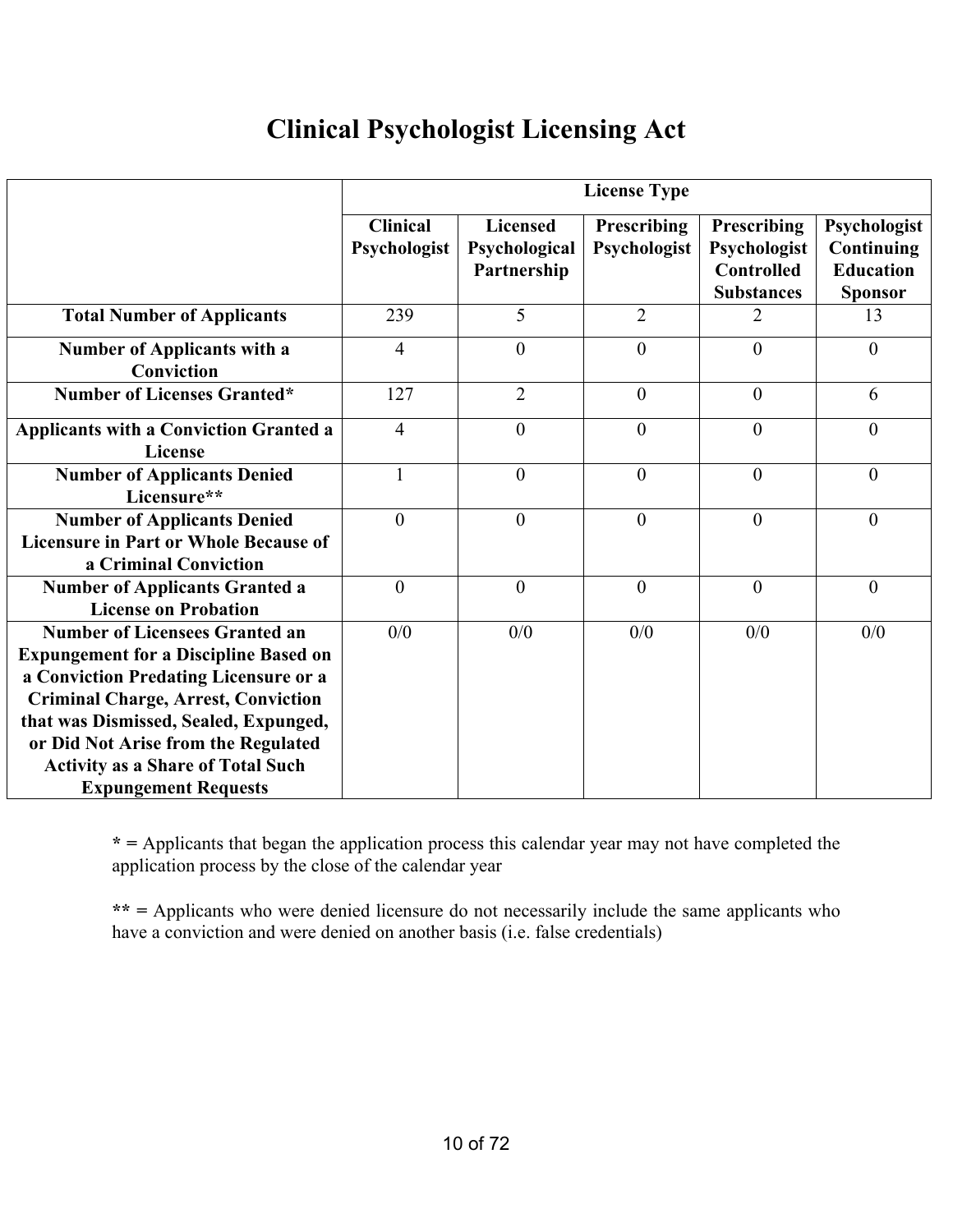## **Clinical Psychologist Licensing Act**

|                                                                                                                                                                                                                                                              | <b>License Type</b>             |                                                 |                                    |                                                                       |                                                                  |
|--------------------------------------------------------------------------------------------------------------------------------------------------------------------------------------------------------------------------------------------------------------|---------------------------------|-------------------------------------------------|------------------------------------|-----------------------------------------------------------------------|------------------------------------------------------------------|
|                                                                                                                                                                                                                                                              | <b>Clinical</b><br>Psychologist | <b>Licensed</b><br>Psychological<br>Partnership | <b>Prescribing</b><br>Psychologist | Prescribing<br>Psychologist<br><b>Controlled</b><br><b>Substances</b> | Psychologist<br>Continuing<br><b>Education</b><br><b>Sponsor</b> |
| <b>Total Number of Applicants</b>                                                                                                                                                                                                                            | 239                             | 5                                               | $\overline{2}$                     |                                                                       | 13                                                               |
| <b>Number of Applicants with a</b><br>Conviction                                                                                                                                                                                                             | 4                               | $\theta$                                        | $\theta$                           | $\theta$                                                              | $\theta$                                                         |
| <b>Number of Licenses Granted*</b>                                                                                                                                                                                                                           | 127                             | $\overline{2}$                                  | $\mathbf{0}$                       | $\mathbf{0}$                                                          | 6                                                                |
| <b>Applicants with a Conviction Granted a</b><br>License                                                                                                                                                                                                     | $\overline{4}$                  | $\theta$                                        | $\theta$                           | $\theta$                                                              | $\theta$                                                         |
| <b>Number of Applicants Denied</b><br>Licensure**                                                                                                                                                                                                            | $\mathbf{1}$                    | $\theta$                                        | $\theta$                           | $\theta$                                                              | $\theta$                                                         |
| <b>Number of Applicants Denied</b><br><b>Licensure in Part or Whole Because of</b><br>a Criminal Conviction                                                                                                                                                  | $\overline{0}$                  | $\theta$                                        | $\mathbf{0}$                       | $\overline{0}$                                                        | $\overline{0}$                                                   |
| <b>Number of Applicants Granted a</b><br><b>License on Probation</b>                                                                                                                                                                                         | $\mathbf{0}$                    | $\overline{0}$                                  | $\mathbf{0}$                       | $\mathbf{0}$                                                          | $\overline{0}$                                                   |
| <b>Number of Licensees Granted an</b><br><b>Expungement for a Discipline Based on</b><br>a Conviction Predating Licensure or a<br><b>Criminal Charge, Arrest, Conviction</b><br>that was Dismissed, Sealed, Expunged,<br>or Did Not Arise from the Regulated | 0/0                             | 0/0                                             | 0/0                                | 0/0                                                                   | 0/0                                                              |
| <b>Activity as a Share of Total Such</b><br><b>Expungement Requests</b>                                                                                                                                                                                      |                                 |                                                 |                                    |                                                                       |                                                                  |

**\* =** Applicants that began the application process this calendar year may not have completed the application process by the close of the calendar year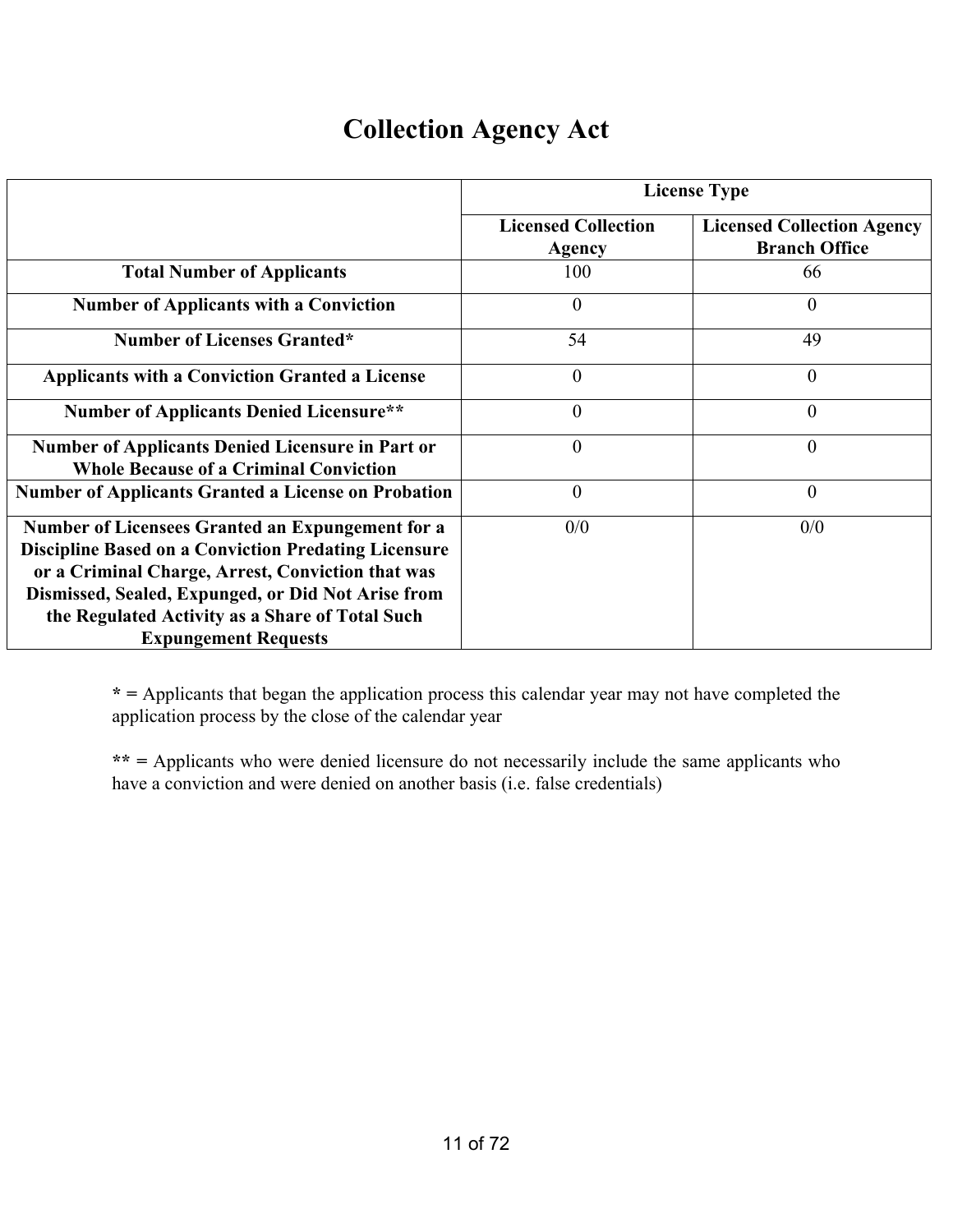## **Collection Agency Act**

|                                                                                                                                                                                                                                                                                                              | <b>License Type</b>                  |                                                           |  |  |  |
|--------------------------------------------------------------------------------------------------------------------------------------------------------------------------------------------------------------------------------------------------------------------------------------------------------------|--------------------------------------|-----------------------------------------------------------|--|--|--|
|                                                                                                                                                                                                                                                                                                              | <b>Licensed Collection</b><br>Agency | <b>Licensed Collection Agency</b><br><b>Branch Office</b> |  |  |  |
| <b>Total Number of Applicants</b>                                                                                                                                                                                                                                                                            | 100                                  | 66                                                        |  |  |  |
| <b>Number of Applicants with a Conviction</b>                                                                                                                                                                                                                                                                | $\overline{0}$                       | $\theta$                                                  |  |  |  |
| <b>Number of Licenses Granted*</b>                                                                                                                                                                                                                                                                           | 54                                   | 49                                                        |  |  |  |
| <b>Applicants with a Conviction Granted a License</b>                                                                                                                                                                                                                                                        | $\theta$                             | $\overline{0}$                                            |  |  |  |
| <b>Number of Applicants Denied Licensure**</b>                                                                                                                                                                                                                                                               | $\boldsymbol{0}$                     | $\overline{0}$                                            |  |  |  |
| <b>Number of Applicants Denied Licensure in Part or</b><br><b>Whole Because of a Criminal Conviction</b>                                                                                                                                                                                                     | $\overline{0}$                       | $\overline{0}$                                            |  |  |  |
| <b>Number of Applicants Granted a License on Probation</b>                                                                                                                                                                                                                                                   | $\overline{0}$                       | $\overline{0}$                                            |  |  |  |
| Number of Licensees Granted an Expungement for a<br><b>Discipline Based on a Conviction Predating Licensure</b><br>or a Criminal Charge, Arrest, Conviction that was<br>Dismissed, Sealed, Expunged, or Did Not Arise from<br>the Regulated Activity as a Share of Total Such<br><b>Expungement Requests</b> | 0/0                                  | 0/0                                                       |  |  |  |

**\* =** Applicants that began the application process this calendar year may not have completed the application process by the close of the calendar year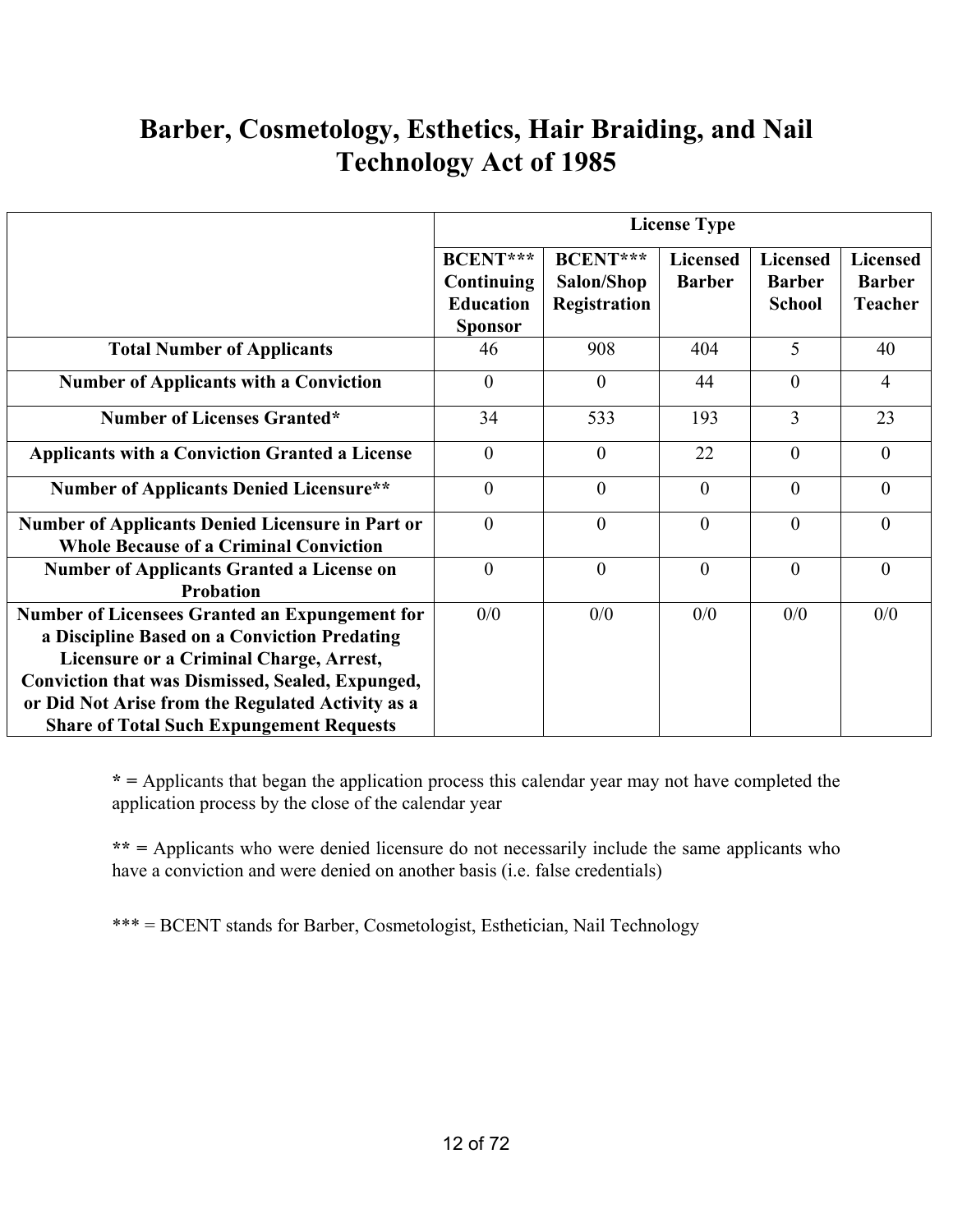## **Barber, Cosmetology, Esthetics, Hair Braiding, and Nail Technology Act of 1985**

|                                                                                                                                                                                                                                                                                                                     | <b>License Type</b>                                                 |                                                      |                                  |                                                   |                                                    |  |
|---------------------------------------------------------------------------------------------------------------------------------------------------------------------------------------------------------------------------------------------------------------------------------------------------------------------|---------------------------------------------------------------------|------------------------------------------------------|----------------------------------|---------------------------------------------------|----------------------------------------------------|--|
|                                                                                                                                                                                                                                                                                                                     | <b>BCENT***</b><br>Continuing<br><b>Education</b><br><b>Sponsor</b> | <b>BCENT***</b><br>Salon/Shop<br><b>Registration</b> | <b>Licensed</b><br><b>Barber</b> | <b>Licensed</b><br><b>Barber</b><br><b>School</b> | <b>Licensed</b><br><b>Barber</b><br><b>Teacher</b> |  |
| <b>Total Number of Applicants</b>                                                                                                                                                                                                                                                                                   | 46                                                                  | 908                                                  | 404                              | 5                                                 | 40                                                 |  |
| <b>Number of Applicants with a Conviction</b>                                                                                                                                                                                                                                                                       | $\theta$                                                            | $\theta$                                             | 44                               | $\theta$                                          | 4                                                  |  |
| <b>Number of Licenses Granted*</b>                                                                                                                                                                                                                                                                                  | 34                                                                  | 533                                                  | 193                              | 3                                                 | 23                                                 |  |
| <b>Applicants with a Conviction Granted a License</b>                                                                                                                                                                                                                                                               | $\theta$                                                            | $\overline{0}$                                       | 22                               | $\theta$                                          | $\theta$                                           |  |
| <b>Number of Applicants Denied Licensure**</b>                                                                                                                                                                                                                                                                      | $\theta$                                                            | $\theta$                                             | $\theta$                         | $\theta$                                          | $\theta$                                           |  |
| <b>Number of Applicants Denied Licensure in Part or</b><br><b>Whole Because of a Criminal Conviction</b>                                                                                                                                                                                                            | $\Omega$                                                            | $\theta$                                             | $\theta$                         | $\theta$                                          | $\theta$                                           |  |
| <b>Number of Applicants Granted a License on</b><br><b>Probation</b>                                                                                                                                                                                                                                                | $\theta$                                                            | $\theta$                                             | $\theta$                         | $\theta$                                          | $\theta$                                           |  |
| <b>Number of Licensees Granted an Expungement for</b><br>a Discipline Based on a Conviction Predating<br>Licensure or a Criminal Charge, Arrest,<br><b>Conviction that was Dismissed, Sealed, Expunged,</b><br>or Did Not Arise from the Regulated Activity as a<br><b>Share of Total Such Expungement Requests</b> | 0/0                                                                 | 0/0                                                  | 0/0                              | 0/0                                               | 0/0                                                |  |

**\* =** Applicants that began the application process this calendar year may not have completed the application process by the close of the calendar year

**\*\* =** Applicants who were denied licensure do not necessarily include the same applicants who have a conviction and were denied on another basis (i.e. false credentials)

\*\*\* = BCENT stands for Barber, Cosmetologist, Esthetician, Nail Technology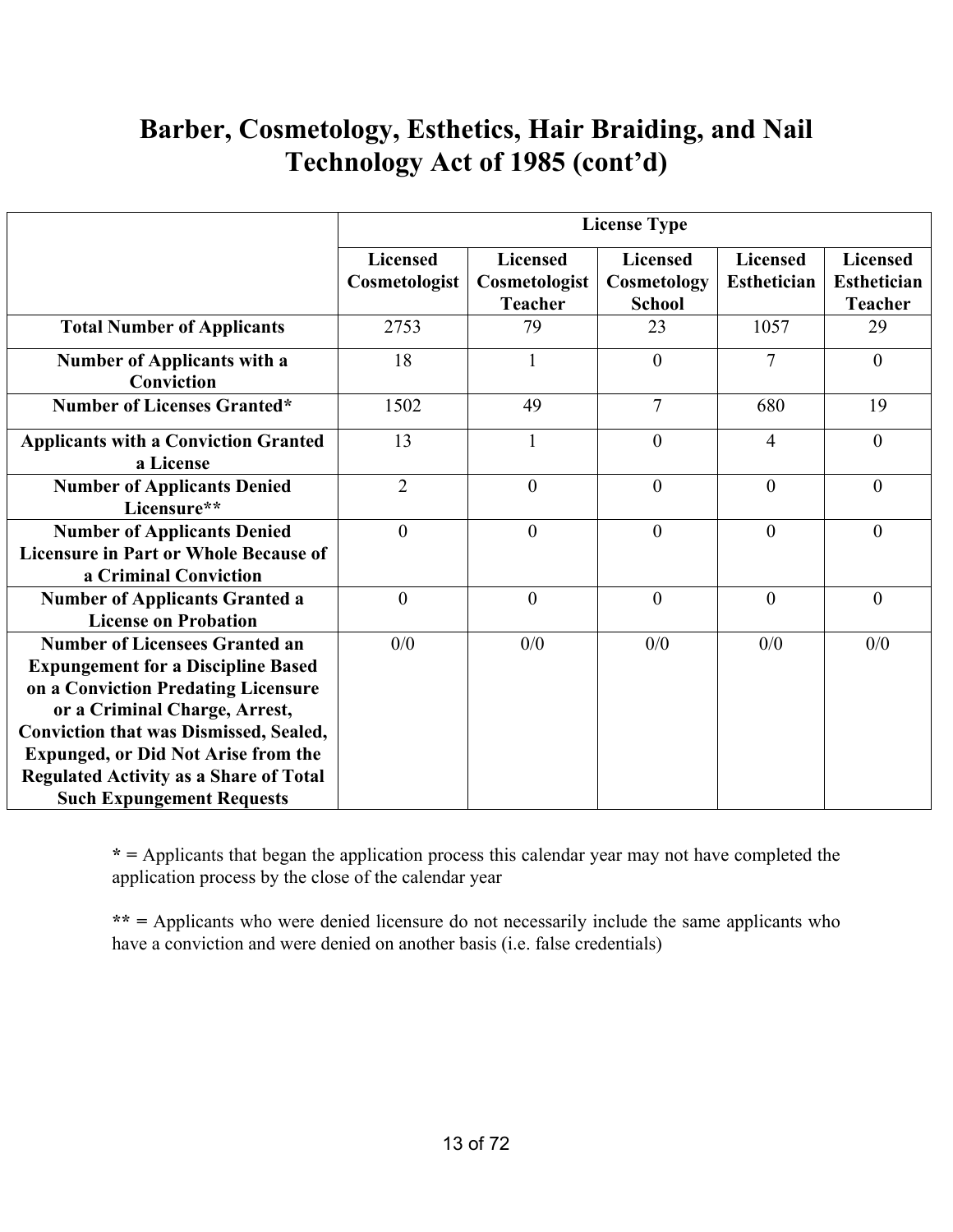## **Barber, Cosmetology, Esthetics, Hair Braiding, and Nail Technology Act of 1985 (cont'd)**

|                                                                                                                                                                                                                                                                                                                                                | <b>License Type</b>              |                                                    |                                                 |                                       |                                                         |  |  |
|------------------------------------------------------------------------------------------------------------------------------------------------------------------------------------------------------------------------------------------------------------------------------------------------------------------------------------------------|----------------------------------|----------------------------------------------------|-------------------------------------------------|---------------------------------------|---------------------------------------------------------|--|--|
|                                                                                                                                                                                                                                                                                                                                                | <b>Licensed</b><br>Cosmetologist | <b>Licensed</b><br>Cosmetologist<br><b>Teacher</b> | <b>Licensed</b><br>Cosmetology<br><b>School</b> | <b>Licensed</b><br><b>Esthetician</b> | <b>Licensed</b><br><b>Esthetician</b><br><b>Teacher</b> |  |  |
| <b>Total Number of Applicants</b>                                                                                                                                                                                                                                                                                                              | 2753                             | 79                                                 | 23                                              | 1057                                  | 29                                                      |  |  |
| <b>Number of Applicants with a</b><br>Conviction                                                                                                                                                                                                                                                                                               | 18                               | 1                                                  | $\theta$                                        | $\overline{7}$                        | $\theta$                                                |  |  |
| <b>Number of Licenses Granted*</b>                                                                                                                                                                                                                                                                                                             | 1502                             | 49                                                 | $\overline{7}$                                  | 680                                   | 19                                                      |  |  |
| <b>Applicants with a Conviction Granted</b><br>a License                                                                                                                                                                                                                                                                                       | 13                               | $\mathbf{1}$                                       | $\overline{0}$                                  | $\overline{4}$                        | $\overline{0}$                                          |  |  |
| <b>Number of Applicants Denied</b><br>Licensure**                                                                                                                                                                                                                                                                                              | $\overline{2}$                   | $\overline{0}$                                     | $\overline{0}$                                  | $\overline{0}$                        | $\overline{0}$                                          |  |  |
| <b>Number of Applicants Denied</b><br><b>Licensure in Part or Whole Because of</b><br>a Criminal Conviction                                                                                                                                                                                                                                    | $\theta$                         | $\mathbf{0}$                                       | $\mathbf{0}$                                    | $\overline{0}$                        | $\overline{0}$                                          |  |  |
| <b>Number of Applicants Granted a</b><br><b>License on Probation</b>                                                                                                                                                                                                                                                                           | $\theta$                         | $\overline{0}$                                     | $\overline{0}$                                  | $\theta$                              | $\overline{0}$                                          |  |  |
| <b>Number of Licensees Granted an</b><br><b>Expungement for a Discipline Based</b><br>on a Conviction Predating Licensure<br>or a Criminal Charge, Arrest,<br><b>Conviction that was Dismissed, Sealed,</b><br><b>Expunged, or Did Not Arise from the</b><br><b>Regulated Activity as a Share of Total</b><br><b>Such Expungement Requests</b> | 0/0                              | 0/0                                                | 0/0                                             | 0/0                                   | 0/0                                                     |  |  |

**\* =** Applicants that began the application process this calendar year may not have completed the application process by the close of the calendar year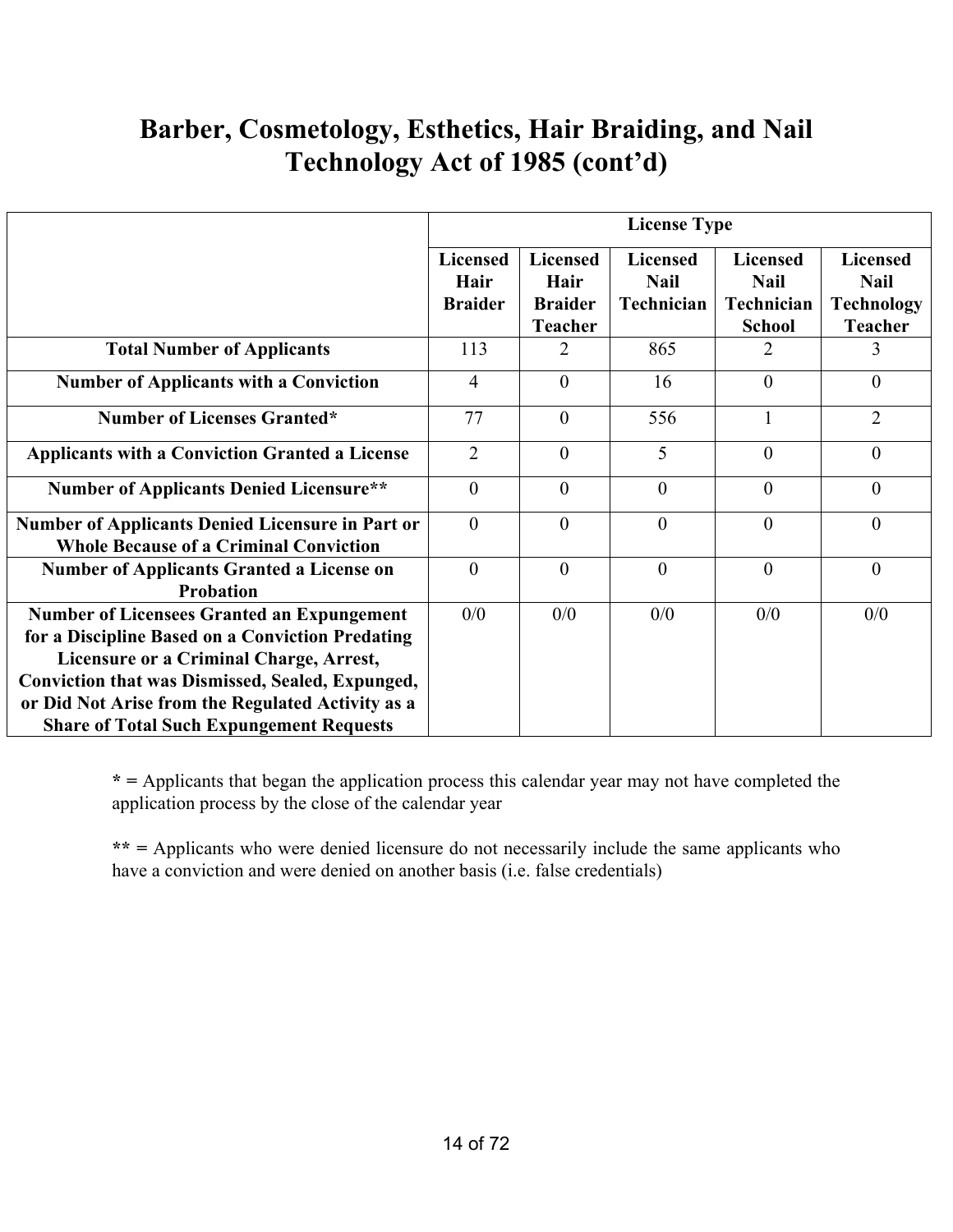## **Barber, Cosmetology, Esthetics, Hair Braiding, and Nail Technology Act of 1985 (cont'd)**

|                                                                                                                                                                                                                                                                                                                     | <b>License Type</b>                       |                                                      |                                              |                                                               |                                                                       |
|---------------------------------------------------------------------------------------------------------------------------------------------------------------------------------------------------------------------------------------------------------------------------------------------------------------------|-------------------------------------------|------------------------------------------------------|----------------------------------------------|---------------------------------------------------------------|-----------------------------------------------------------------------|
|                                                                                                                                                                                                                                                                                                                     | <b>Licensed</b><br>Hair<br><b>Braider</b> | <b>Licensed</b><br>Hair<br><b>Braider</b><br>Teacher | <b>Licensed</b><br><b>Nail</b><br>Technician | <b>Licensed</b><br><b>Nail</b><br>Technician<br><b>School</b> | <b>Licensed</b><br><b>Nail</b><br><b>Technology</b><br><b>Teacher</b> |
| <b>Total Number of Applicants</b>                                                                                                                                                                                                                                                                                   | 113                                       | 2                                                    | 865                                          | 2                                                             | 3                                                                     |
| <b>Number of Applicants with a Conviction</b>                                                                                                                                                                                                                                                                       | $\overline{4}$                            | $\theta$                                             | 16                                           | $\theta$                                                      | $\mathbf{0}$                                                          |
| <b>Number of Licenses Granted*</b>                                                                                                                                                                                                                                                                                  | 77                                        | $\theta$                                             | 556                                          | 1                                                             | $\overline{2}$                                                        |
| <b>Applicants with a Conviction Granted a License</b>                                                                                                                                                                                                                                                               | $\overline{2}$                            | $\theta$                                             | 5                                            | $\theta$                                                      | $\overline{0}$                                                        |
| <b>Number of Applicants Denied Licensure**</b>                                                                                                                                                                                                                                                                      | $\overline{0}$                            | $\theta$                                             | $\theta$                                     | $\theta$                                                      | $\mathbf{0}$                                                          |
| <b>Number of Applicants Denied Licensure in Part or</b><br><b>Whole Because of a Criminal Conviction</b>                                                                                                                                                                                                            | $\theta$                                  | $\theta$                                             | $\theta$                                     | $\theta$                                                      | $\mathbf{0}$                                                          |
| <b>Number of Applicants Granted a License on</b><br><b>Probation</b>                                                                                                                                                                                                                                                | $\theta$                                  | $\theta$                                             | $\Omega$                                     | $\theta$                                                      | $\theta$                                                              |
| <b>Number of Licensees Granted an Expungement</b><br>for a Discipline Based on a Conviction Predating<br>Licensure or a Criminal Charge, Arrest,<br><b>Conviction that was Dismissed, Sealed, Expunged,</b><br>or Did Not Arise from the Regulated Activity as a<br><b>Share of Total Such Expungement Requests</b> | 0/0                                       | 0/0                                                  | 0/0                                          | 0/0                                                           | 0/0                                                                   |

**\* =** Applicants that began the application process this calendar year may not have completed the application process by the close of the calendar year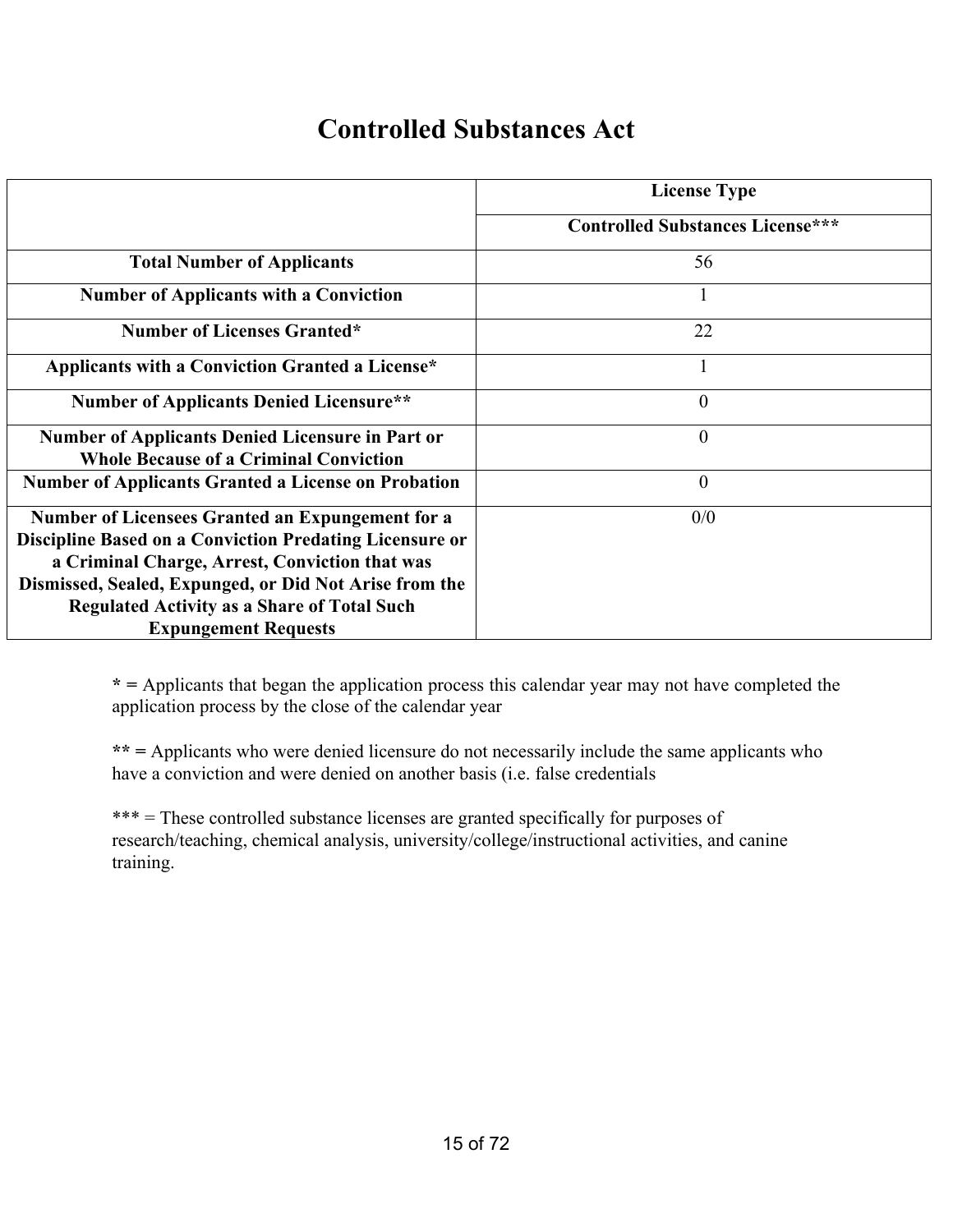#### **Controlled Substances Act**

|                                                                                                                                                                                                                                                                                                              | <b>License Type</b>                     |
|--------------------------------------------------------------------------------------------------------------------------------------------------------------------------------------------------------------------------------------------------------------------------------------------------------------|-----------------------------------------|
|                                                                                                                                                                                                                                                                                                              | <b>Controlled Substances License***</b> |
| <b>Total Number of Applicants</b>                                                                                                                                                                                                                                                                            | 56                                      |
| <b>Number of Applicants with a Conviction</b>                                                                                                                                                                                                                                                                |                                         |
| <b>Number of Licenses Granted*</b>                                                                                                                                                                                                                                                                           | 22                                      |
| Applicants with a Conviction Granted a License*                                                                                                                                                                                                                                                              |                                         |
| <b>Number of Applicants Denied Licensure**</b>                                                                                                                                                                                                                                                               | $\theta$                                |
| Number of Applicants Denied Licensure in Part or<br><b>Whole Because of a Criminal Conviction</b>                                                                                                                                                                                                            | $\mathbf{0}$                            |
| <b>Number of Applicants Granted a License on Probation</b>                                                                                                                                                                                                                                                   | $\theta$                                |
| Number of Licensees Granted an Expungement for a<br>Discipline Based on a Conviction Predating Licensure or<br>a Criminal Charge, Arrest, Conviction that was<br>Dismissed, Sealed, Expunged, or Did Not Arise from the<br><b>Regulated Activity as a Share of Total Such</b><br><b>Expungement Requests</b> | 0/0                                     |

**\* =** Applicants that began the application process this calendar year may not have completed the application process by the close of the calendar year

**\*\* =** Applicants who were denied licensure do not necessarily include the same applicants who have a conviction and were denied on another basis (i.e. false credentials

\*\*\* = These controlled substance licenses are granted specifically for purposes of research/teaching, chemical analysis, university/college/instructional activities, and canine training.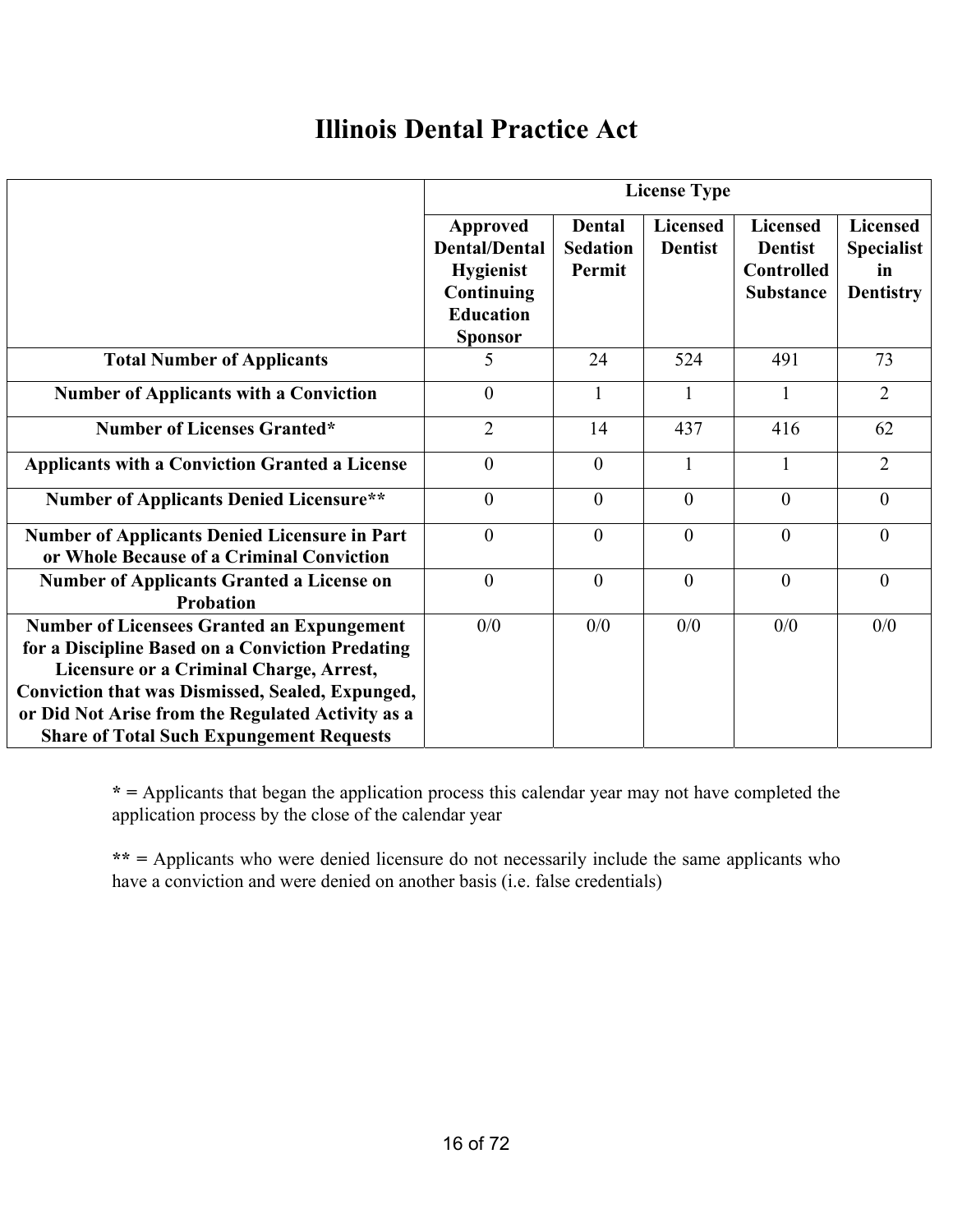#### **Illinois Dental Practice Act**

|                                                                                                                                                                                                                                                                                                                     | <b>License Type</b>                                                                                      |                                            |                                   |                                                                            |                                                                |
|---------------------------------------------------------------------------------------------------------------------------------------------------------------------------------------------------------------------------------------------------------------------------------------------------------------------|----------------------------------------------------------------------------------------------------------|--------------------------------------------|-----------------------------------|----------------------------------------------------------------------------|----------------------------------------------------------------|
|                                                                                                                                                                                                                                                                                                                     | Approved<br><b>Dental/Dental</b><br><b>Hygienist</b><br>Continuing<br><b>Education</b><br><b>Sponsor</b> | <b>Dental</b><br><b>Sedation</b><br>Permit | <b>Licensed</b><br><b>Dentist</b> | <b>Licensed</b><br><b>Dentist</b><br><b>Controlled</b><br><b>Substance</b> | <b>Licensed</b><br><b>Specialist</b><br>in<br><b>Dentistry</b> |
| <b>Total Number of Applicants</b>                                                                                                                                                                                                                                                                                   | 5                                                                                                        | 24                                         | 524                               | 491                                                                        | 73                                                             |
| <b>Number of Applicants with a Conviction</b>                                                                                                                                                                                                                                                                       | $\overline{0}$                                                                                           | $\mathbf{1}$                               |                                   |                                                                            | $\overline{2}$                                                 |
| <b>Number of Licenses Granted*</b>                                                                                                                                                                                                                                                                                  | $\overline{2}$                                                                                           | 14                                         | 437                               | 416                                                                        | 62                                                             |
| <b>Applicants with a Conviction Granted a License</b>                                                                                                                                                                                                                                                               | $\theta$                                                                                                 | $\theta$                                   | 1                                 |                                                                            | $\overline{2}$                                                 |
| <b>Number of Applicants Denied Licensure**</b>                                                                                                                                                                                                                                                                      | $\theta$                                                                                                 | $\theta$                                   | $\theta$                          | $\theta$                                                                   | $\theta$                                                       |
| <b>Number of Applicants Denied Licensure in Part</b><br>or Whole Because of a Criminal Conviction                                                                                                                                                                                                                   | $\overline{0}$                                                                                           | $\overline{0}$                             | $\theta$                          | $\theta$                                                                   | $\theta$                                                       |
| <b>Number of Applicants Granted a License on</b><br><b>Probation</b>                                                                                                                                                                                                                                                | $\theta$                                                                                                 | $\theta$                                   | $\theta$                          | $\theta$                                                                   | $\theta$                                                       |
| <b>Number of Licensees Granted an Expungement</b><br>for a Discipline Based on a Conviction Predating<br>Licensure or a Criminal Charge, Arrest,<br><b>Conviction that was Dismissed, Sealed, Expunged,</b><br>or Did Not Arise from the Regulated Activity as a<br><b>Share of Total Such Expungement Requests</b> | 0/0                                                                                                      | 0/0                                        | 0/0                               | 0/0                                                                        | 0/0                                                            |

**\* =** Applicants that began the application process this calendar year may not have completed the application process by the close of the calendar year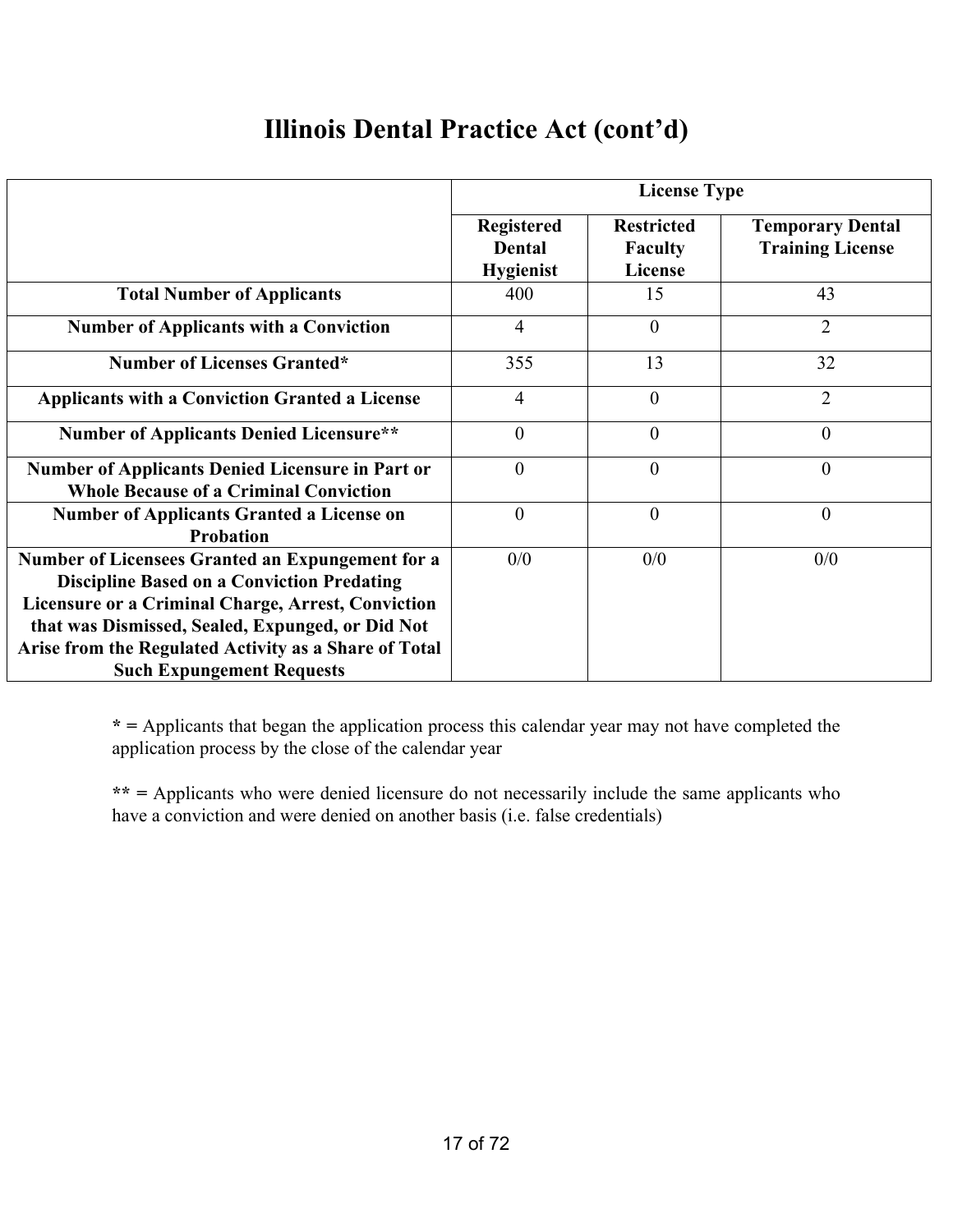## **Illinois Dental Practice Act (cont'd)**

|                                                                                                                                                             | <b>License Type</b>                                    |                                                |                                                    |  |  |
|-------------------------------------------------------------------------------------------------------------------------------------------------------------|--------------------------------------------------------|------------------------------------------------|----------------------------------------------------|--|--|
|                                                                                                                                                             | <b>Registered</b><br><b>Dental</b><br><b>Hygienist</b> | <b>Restricted</b><br><b>Faculty</b><br>License | <b>Temporary Dental</b><br><b>Training License</b> |  |  |
| <b>Total Number of Applicants</b>                                                                                                                           | 400                                                    | 15                                             | 43                                                 |  |  |
| <b>Number of Applicants with a Conviction</b>                                                                                                               | 4                                                      | $\overline{0}$                                 | $\overline{2}$                                     |  |  |
| <b>Number of Licenses Granted*</b>                                                                                                                          | 355                                                    | 13                                             | 32                                                 |  |  |
| <b>Applicants with a Conviction Granted a License</b>                                                                                                       | $\overline{4}$                                         | $\overline{0}$                                 | $\overline{2}$                                     |  |  |
| <b>Number of Applicants Denied Licensure**</b>                                                                                                              | $\theta$                                               | $\theta$                                       | $\theta$                                           |  |  |
| <b>Number of Applicants Denied Licensure in Part or</b><br><b>Whole Because of a Criminal Conviction</b>                                                    | $\overline{0}$                                         | $\overline{0}$                                 | $\overline{0}$                                     |  |  |
| <b>Number of Applicants Granted a License on</b><br><b>Probation</b>                                                                                        | $\overline{0}$                                         | $\overline{0}$                                 | $\overline{0}$                                     |  |  |
| Number of Licensees Granted an Expungement for a<br><b>Discipline Based on a Conviction Predating</b><br>Licensure or a Criminal Charge, Arrest, Conviction | 0/0                                                    | 0/0                                            | 0/0                                                |  |  |
| that was Dismissed, Sealed, Expunged, or Did Not<br>Arise from the Regulated Activity as a Share of Total<br><b>Such Expungement Requests</b>               |                                                        |                                                |                                                    |  |  |

**\* =** Applicants that began the application process this calendar year may not have completed the application process by the close of the calendar year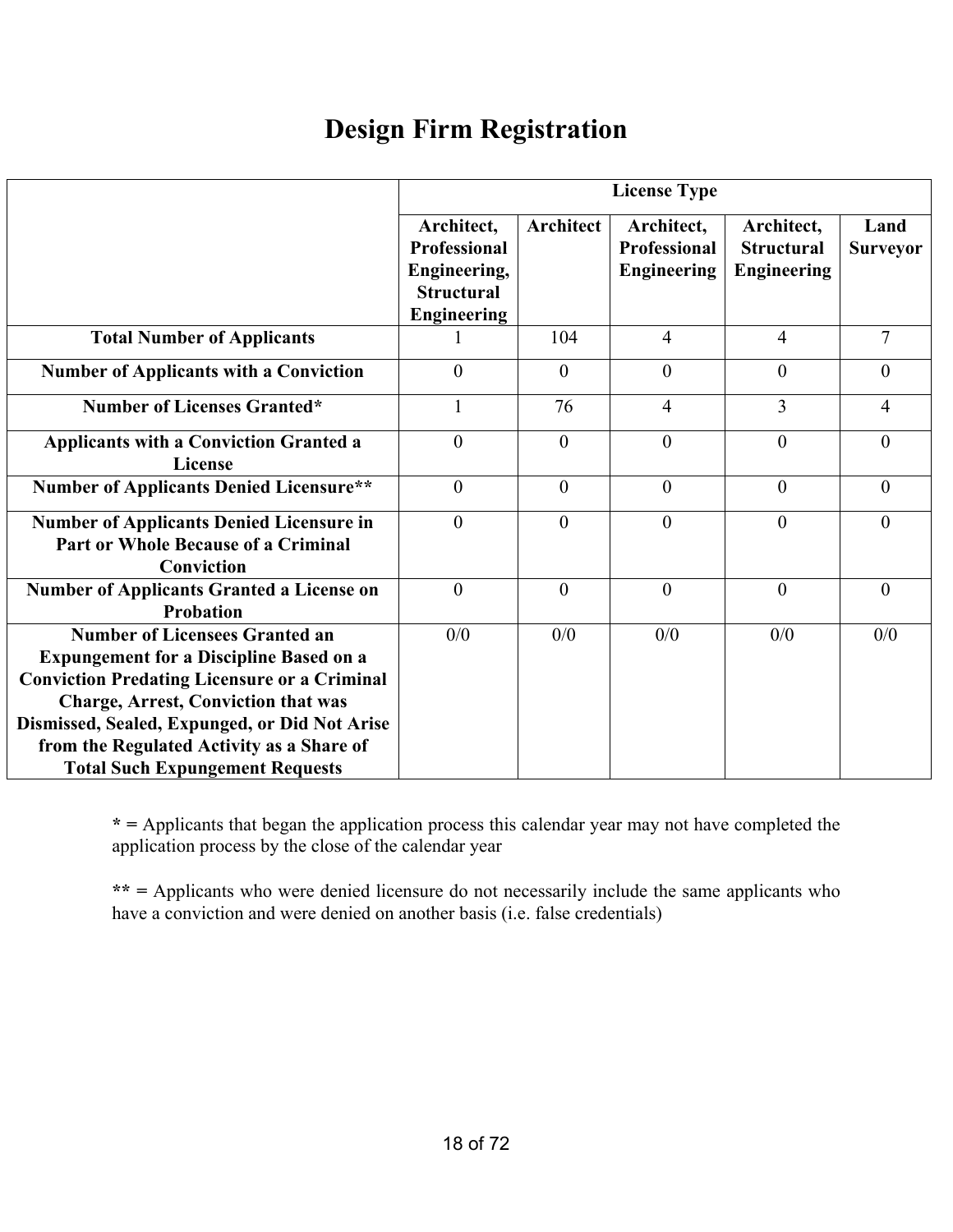## **Design Firm Registration**

|                                                                                                                                                                                                                                                                                                                                      | <b>License Type</b>                                                                          |                  |                                                         |                                                       |                         |  |
|--------------------------------------------------------------------------------------------------------------------------------------------------------------------------------------------------------------------------------------------------------------------------------------------------------------------------------------|----------------------------------------------------------------------------------------------|------------------|---------------------------------------------------------|-------------------------------------------------------|-------------------------|--|
|                                                                                                                                                                                                                                                                                                                                      | Architect,<br><b>Professional</b><br>Engineering,<br><b>Structural</b><br><b>Engineering</b> | <b>Architect</b> | Architect,<br><b>Professional</b><br><b>Engineering</b> | Architect,<br><b>Structural</b><br><b>Engineering</b> | Land<br><b>Surveyor</b> |  |
| <b>Total Number of Applicants</b>                                                                                                                                                                                                                                                                                                    |                                                                                              | 104              | $\overline{4}$                                          | $\overline{4}$                                        | $\overline{7}$          |  |
| <b>Number of Applicants with a Conviction</b>                                                                                                                                                                                                                                                                                        | $\theta$                                                                                     | $\theta$         | $\overline{0}$                                          | $\theta$                                              | $\overline{0}$          |  |
| <b>Number of Licenses Granted*</b>                                                                                                                                                                                                                                                                                                   | $\mathbf{1}$                                                                                 | 76               | $\overline{4}$                                          | 3                                                     | $\overline{4}$          |  |
| <b>Applicants with a Conviction Granted a</b><br>License                                                                                                                                                                                                                                                                             | $\theta$                                                                                     | $\theta$         | $\theta$                                                | $\theta$                                              | $\theta$                |  |
| <b>Number of Applicants Denied Licensure**</b>                                                                                                                                                                                                                                                                                       | $\theta$                                                                                     | $\theta$         | $\theta$                                                | $\theta$                                              | $\theta$                |  |
| <b>Number of Applicants Denied Licensure in</b><br><b>Part or Whole Because of a Criminal</b><br>Conviction                                                                                                                                                                                                                          | $\theta$                                                                                     | $\theta$         | $\theta$                                                | $\theta$                                              | $\Omega$                |  |
| <b>Number of Applicants Granted a License on</b><br>Probation                                                                                                                                                                                                                                                                        | $\overline{0}$                                                                               | $\theta$         | $\theta$                                                | $\theta$                                              | $\theta$                |  |
| <b>Number of Licensees Granted an</b><br><b>Expungement for a Discipline Based on a</b><br><b>Conviction Predating Licensure or a Criminal</b><br><b>Charge, Arrest, Conviction that was</b><br>Dismissed, Sealed, Expunged, or Did Not Arise<br>from the Regulated Activity as a Share of<br><b>Total Such Expungement Requests</b> | 0/0                                                                                          | 0/0              | 0/0                                                     | 0/0                                                   | 0/0                     |  |

**\* =** Applicants that began the application process this calendar year may not have completed the application process by the close of the calendar year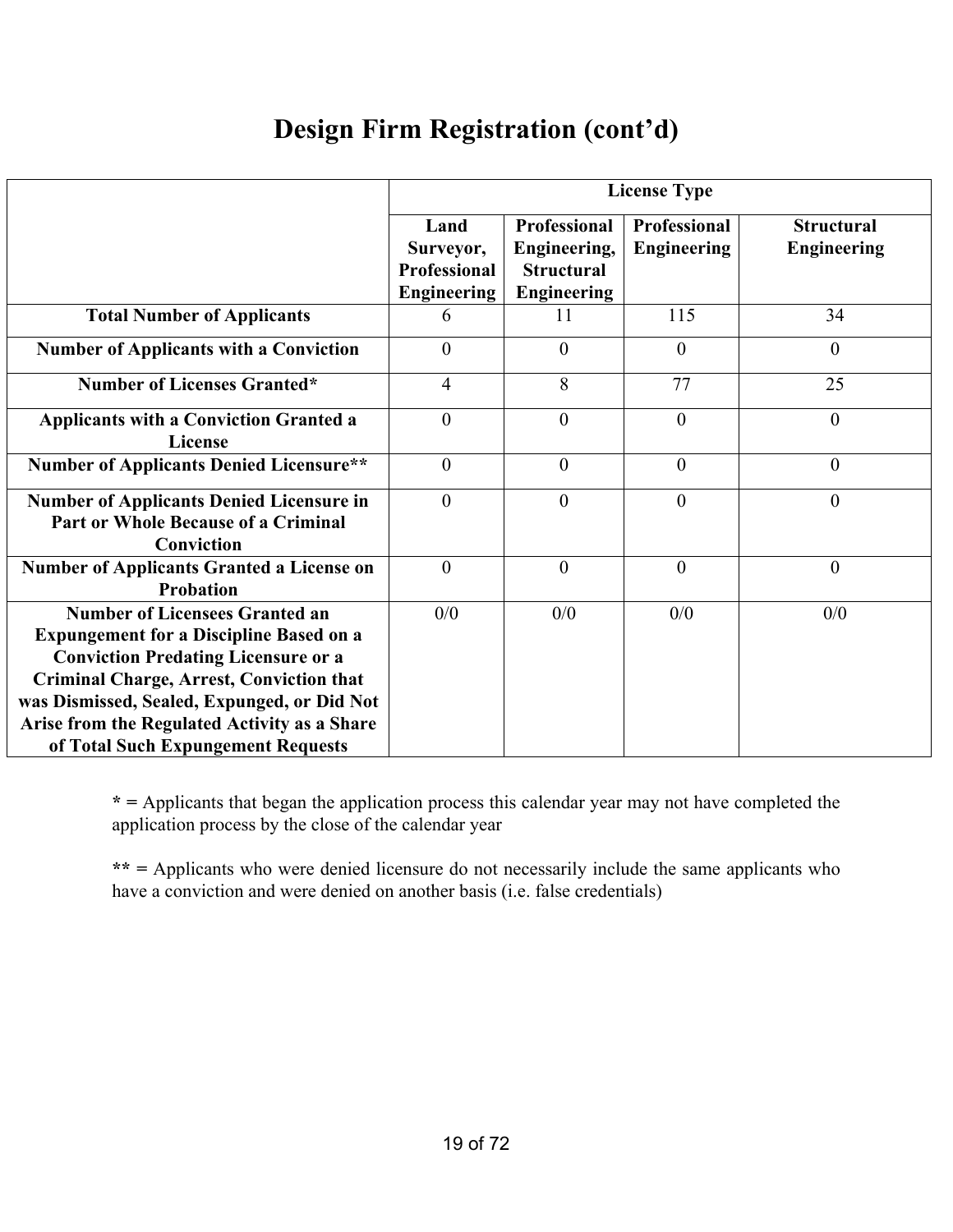## **Design Firm Registration (cont'd)**

|                                                                                                                                                                                                                                                                                                                               |                                                                |                                                                                | <b>License Type</b>                       |                                         |
|-------------------------------------------------------------------------------------------------------------------------------------------------------------------------------------------------------------------------------------------------------------------------------------------------------------------------------|----------------------------------------------------------------|--------------------------------------------------------------------------------|-------------------------------------------|-----------------------------------------|
|                                                                                                                                                                                                                                                                                                                               | Land<br>Surveyor,<br><b>Professional</b><br><b>Engineering</b> | <b>Professional</b><br>Engineering,<br><b>Structural</b><br><b>Engineering</b> | <b>Professional</b><br><b>Engineering</b> | <b>Structural</b><br><b>Engineering</b> |
| <b>Total Number of Applicants</b>                                                                                                                                                                                                                                                                                             | 6                                                              | 11                                                                             | 115                                       | 34                                      |
| <b>Number of Applicants with a Conviction</b>                                                                                                                                                                                                                                                                                 | $\theta$                                                       | $\theta$                                                                       | $\overline{0}$                            | $\theta$                                |
| <b>Number of Licenses Granted*</b>                                                                                                                                                                                                                                                                                            | $\overline{4}$                                                 | 8                                                                              | 77                                        | 25                                      |
| <b>Applicants with a Conviction Granted a</b><br>License                                                                                                                                                                                                                                                                      | $\theta$                                                       | $\theta$                                                                       | $\theta$                                  | $\overline{0}$                          |
| <b>Number of Applicants Denied Licensure**</b>                                                                                                                                                                                                                                                                                | $\mathbf{0}$                                                   | $\overline{0}$                                                                 | $\theta$                                  | $\theta$                                |
| <b>Number of Applicants Denied Licensure in</b><br><b>Part or Whole Because of a Criminal</b><br>Conviction                                                                                                                                                                                                                   | $\overline{0}$                                                 | $\theta$                                                                       | $\theta$                                  | $\boldsymbol{0}$                        |
| <b>Number of Applicants Granted a License on</b><br>Probation                                                                                                                                                                                                                                                                 | $\theta$                                                       | $\theta$                                                                       | $\theta$                                  | $\theta$                                |
| <b>Number of Licensees Granted an</b><br><b>Expungement for a Discipline Based on a</b><br><b>Conviction Predating Licensure or a</b><br><b>Criminal Charge, Arrest, Conviction that</b><br>was Dismissed, Sealed, Expunged, or Did Not<br>Arise from the Regulated Activity as a Share<br>of Total Such Expungement Requests | 0/0                                                            | 0/0                                                                            | 0/0                                       | 0/0                                     |

**\* =** Applicants that began the application process this calendar year may not have completed the application process by the close of the calendar year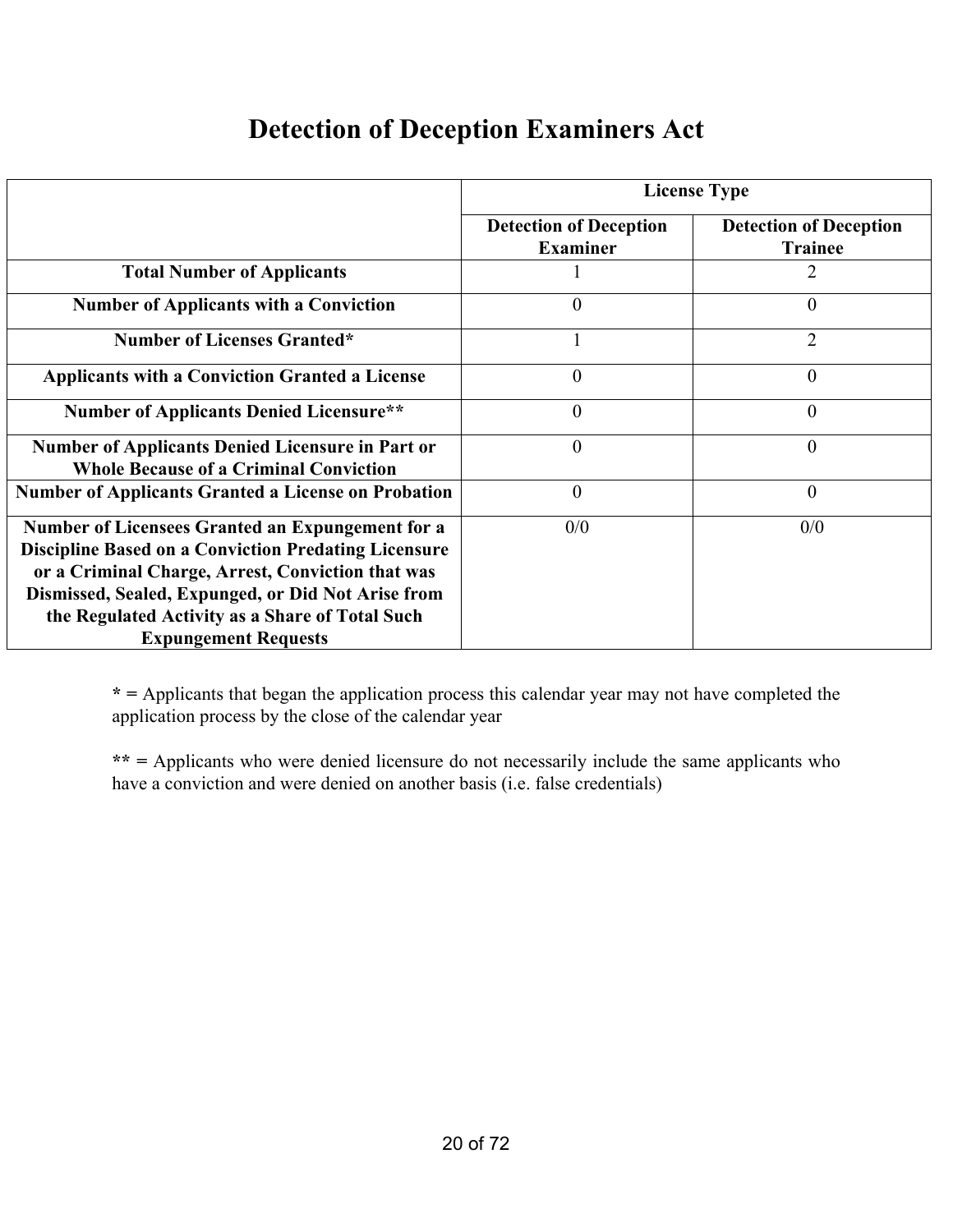#### **Detection of Deception Examiners Act**

|                                                                                                                                                                                                                                                                                                              | <b>License Type</b>                              |                                                 |  |  |  |
|--------------------------------------------------------------------------------------------------------------------------------------------------------------------------------------------------------------------------------------------------------------------------------------------------------------|--------------------------------------------------|-------------------------------------------------|--|--|--|
|                                                                                                                                                                                                                                                                                                              | <b>Detection of Deception</b><br><b>Examiner</b> | <b>Detection of Deception</b><br><b>Trainee</b> |  |  |  |
| <b>Total Number of Applicants</b>                                                                                                                                                                                                                                                                            |                                                  |                                                 |  |  |  |
| <b>Number of Applicants with a Conviction</b>                                                                                                                                                                                                                                                                | $\theta$                                         | 0                                               |  |  |  |
| <b>Number of Licenses Granted*</b>                                                                                                                                                                                                                                                                           |                                                  | $\overline{2}$                                  |  |  |  |
| <b>Applicants with a Conviction Granted a License</b>                                                                                                                                                                                                                                                        | $\theta$                                         | $\theta$                                        |  |  |  |
| <b>Number of Applicants Denied Licensure**</b>                                                                                                                                                                                                                                                               | $\overline{0}$                                   | $\theta$                                        |  |  |  |
| <b>Number of Applicants Denied Licensure in Part or</b><br><b>Whole Because of a Criminal Conviction</b>                                                                                                                                                                                                     | $\overline{0}$                                   | $\overline{0}$                                  |  |  |  |
| <b>Number of Applicants Granted a License on Probation</b>                                                                                                                                                                                                                                                   | $\overline{0}$                                   | $\overline{0}$                                  |  |  |  |
| Number of Licensees Granted an Expungement for a<br><b>Discipline Based on a Conviction Predating Licensure</b><br>or a Criminal Charge, Arrest, Conviction that was<br>Dismissed, Sealed, Expunged, or Did Not Arise from<br>the Regulated Activity as a Share of Total Such<br><b>Expungement Requests</b> | 0/0                                              | 0/0                                             |  |  |  |

**\* =** Applicants that began the application process this calendar year may not have completed the application process by the close of the calendar year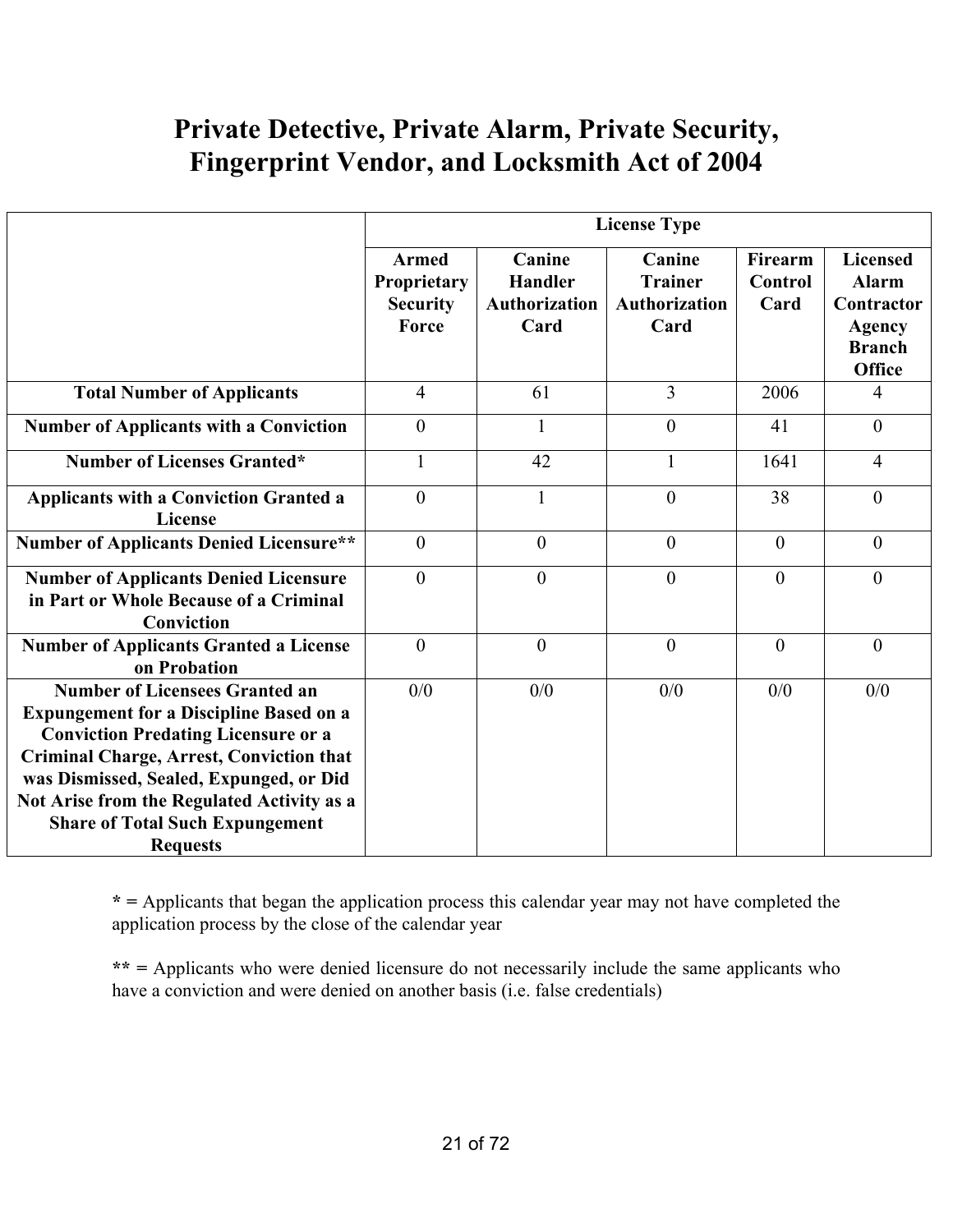## **Private Detective, Private Alarm, Private Security, Fingerprint Vendor, and Locksmith Act of 2004**

|                                                                                                                                                                                                                                                                                                                                                | <b>License Type</b>                                            |                                                          |                                                          |                                   |                                                                                           |
|------------------------------------------------------------------------------------------------------------------------------------------------------------------------------------------------------------------------------------------------------------------------------------------------------------------------------------------------|----------------------------------------------------------------|----------------------------------------------------------|----------------------------------------------------------|-----------------------------------|-------------------------------------------------------------------------------------------|
|                                                                                                                                                                                                                                                                                                                                                | <b>Armed</b><br><b>Proprietary</b><br><b>Security</b><br>Force | Canine<br><b>Handler</b><br><b>Authorization</b><br>Card | Canine<br><b>Trainer</b><br><b>Authorization</b><br>Card | Firearm<br><b>Control</b><br>Card | <b>Licensed</b><br><b>Alarm</b><br>Contractor<br>Agency<br><b>Branch</b><br><b>Office</b> |
| <b>Total Number of Applicants</b>                                                                                                                                                                                                                                                                                                              | $\overline{4}$                                                 | 61                                                       | 3                                                        | 2006                              | $\overline{4}$                                                                            |
| <b>Number of Applicants with a Conviction</b>                                                                                                                                                                                                                                                                                                  | $\overline{0}$                                                 |                                                          | $\theta$                                                 | 41                                | $\overline{0}$                                                                            |
| <b>Number of Licenses Granted*</b>                                                                                                                                                                                                                                                                                                             |                                                                | 42                                                       |                                                          | 1641                              | $\overline{4}$                                                                            |
| <b>Applicants with a Conviction Granted a</b><br><b>License</b>                                                                                                                                                                                                                                                                                | $\overline{0}$                                                 |                                                          | $\mathbf{0}$                                             | 38                                | $\boldsymbol{0}$                                                                          |
| <b>Number of Applicants Denied Licensure**</b>                                                                                                                                                                                                                                                                                                 | $\overline{0}$                                                 | $\overline{0}$                                           | $\mathbf{0}$                                             | $\overline{0}$                    | $\overline{0}$                                                                            |
| <b>Number of Applicants Denied Licensure</b><br>in Part or Whole Because of a Criminal<br>Conviction                                                                                                                                                                                                                                           | $\theta$                                                       | $\theta$                                                 | $\theta$                                                 | $\theta$                          | $\theta$                                                                                  |
| <b>Number of Applicants Granted a License</b><br>on Probation                                                                                                                                                                                                                                                                                  | $\overline{0}$                                                 | $\overline{0}$                                           | $\theta$                                                 | $\theta$                          | $\overline{0}$                                                                            |
| <b>Number of Licensees Granted an</b><br><b>Expungement for a Discipline Based on a</b><br><b>Conviction Predating Licensure or a</b><br><b>Criminal Charge, Arrest, Conviction that</b><br>was Dismissed, Sealed, Expunged, or Did<br>Not Arise from the Regulated Activity as a<br><b>Share of Total Such Expungement</b><br><b>Requests</b> | 0/0                                                            | 0/0                                                      | 0/0                                                      | 0/0                               | 0/0                                                                                       |

**\* =** Applicants that began the application process this calendar year may not have completed the application process by the close of the calendar year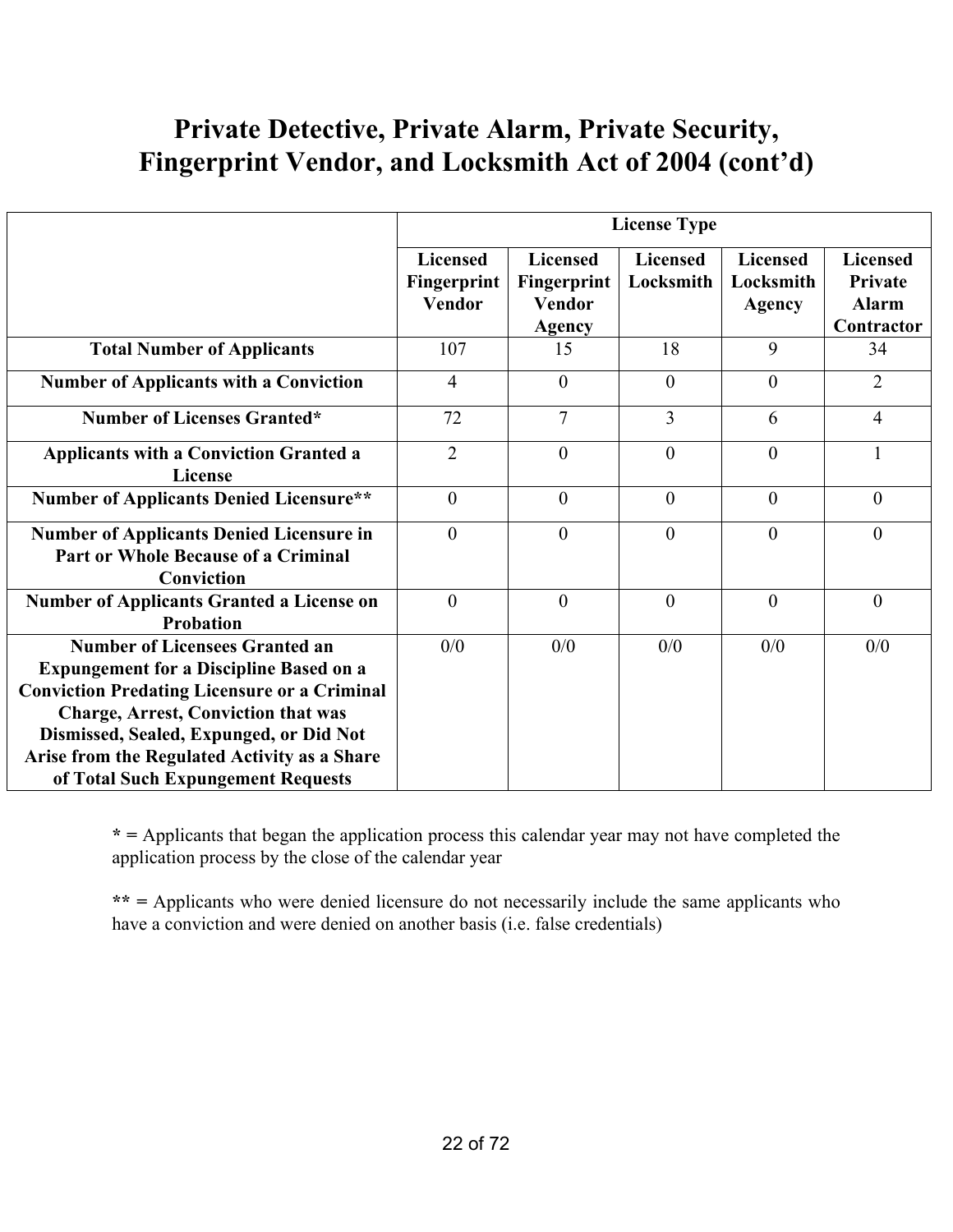## **Private Detective, Private Alarm, Private Security, Fingerprint Vendor, and Locksmith Act of 2004 (cont'd)**

|                                                                                                                                                                                                                                                                                                                               | <b>License Type</b>                             |                                                                  |                       |                                               |                                                                 |
|-------------------------------------------------------------------------------------------------------------------------------------------------------------------------------------------------------------------------------------------------------------------------------------------------------------------------------|-------------------------------------------------|------------------------------------------------------------------|-----------------------|-----------------------------------------------|-----------------------------------------------------------------|
|                                                                                                                                                                                                                                                                                                                               | <b>Licensed</b><br>Fingerprint<br><b>Vendor</b> | <b>Licensed</b><br>Fingerprint<br><b>Vendor</b><br><b>Agency</b> | Licensed<br>Locksmith | <b>Licensed</b><br>Locksmith<br><b>Agency</b> | <b>Licensed</b><br><b>Private</b><br><b>Alarm</b><br>Contractor |
| <b>Total Number of Applicants</b>                                                                                                                                                                                                                                                                                             | 107                                             | 15                                                               | 18                    | 9                                             | 34                                                              |
| <b>Number of Applicants with a Conviction</b>                                                                                                                                                                                                                                                                                 | $\overline{4}$                                  | $\theta$                                                         | $\mathbf{0}$          | $\mathbf{0}$                                  | $\overline{2}$                                                  |
| <b>Number of Licenses Granted*</b>                                                                                                                                                                                                                                                                                            | 72                                              | $\overline{7}$                                                   | 3                     | 6                                             | $\overline{4}$                                                  |
| <b>Applicants with a Conviction Granted a</b><br><b>License</b>                                                                                                                                                                                                                                                               | $\overline{2}$                                  | $\theta$                                                         | $\mathbf{0}$          | $\overline{0}$                                |                                                                 |
| <b>Number of Applicants Denied Licensure**</b>                                                                                                                                                                                                                                                                                | $\overline{0}$                                  | $\theta$                                                         | $\mathbf{0}$          | $\mathbf{0}$                                  | $\theta$                                                        |
| <b>Number of Applicants Denied Licensure in</b><br><b>Part or Whole Because of a Criminal</b><br>Conviction                                                                                                                                                                                                                   | $\mathbf{0}$                                    | $\overline{0}$                                                   | $\overline{0}$        | $\mathbf{0}$                                  | $\theta$                                                        |
| <b>Number of Applicants Granted a License on</b><br><b>Probation</b>                                                                                                                                                                                                                                                          | $\theta$                                        | $\theta$                                                         | $\overline{0}$        | $\mathbf{0}$                                  | $\overline{0}$                                                  |
| <b>Number of Licensees Granted an</b><br><b>Expungement for a Discipline Based on a</b><br><b>Conviction Predating Licensure or a Criminal</b><br><b>Charge, Arrest, Conviction that was</b><br>Dismissed, Sealed, Expunged, or Did Not<br>Arise from the Regulated Activity as a Share<br>of Total Such Expungement Requests | 0/0                                             | 0/0                                                              | 0/0                   | 0/0                                           | 0/0                                                             |

**\* =** Applicants that began the application process this calendar year may not have completed the application process by the close of the calendar year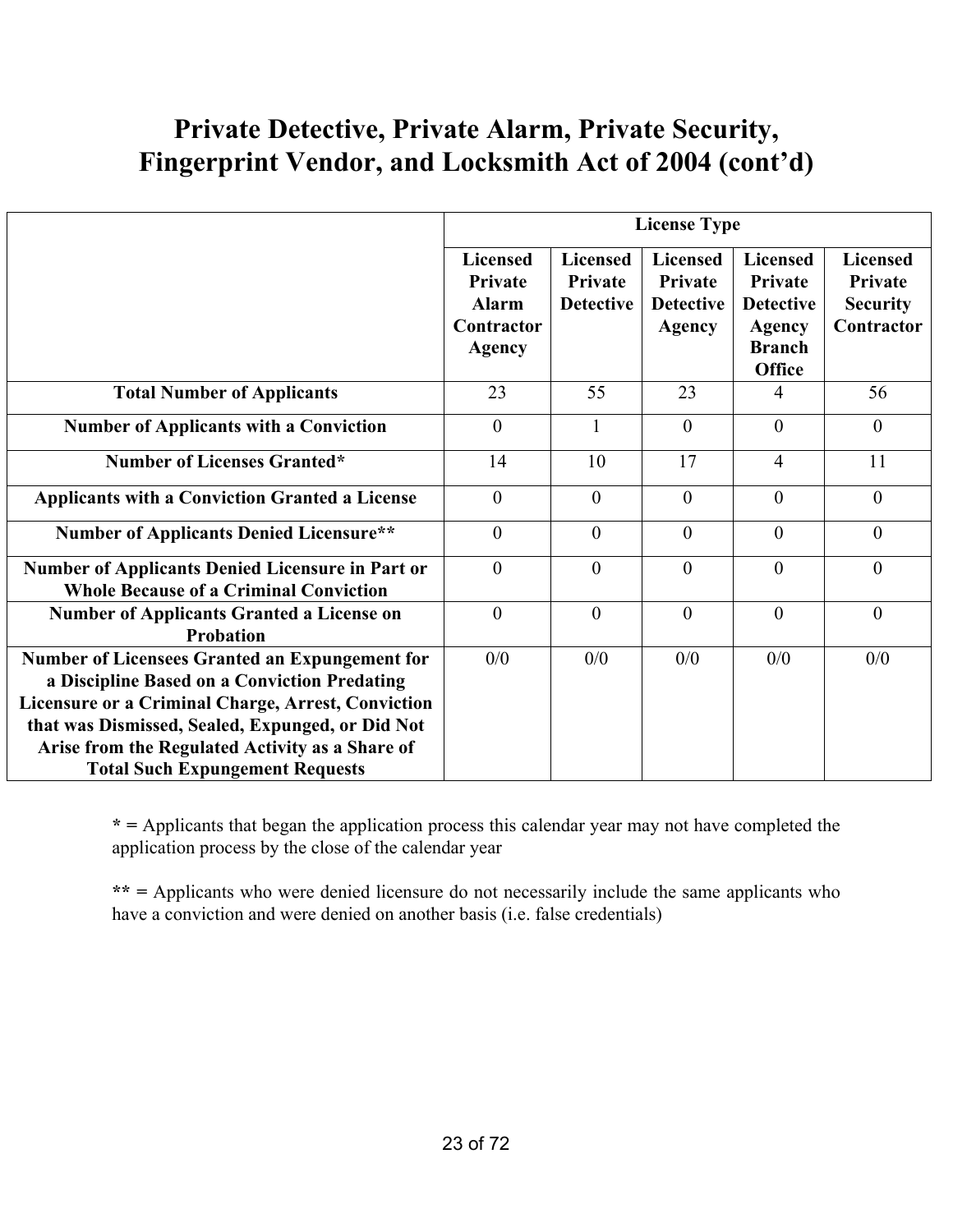## **Private Detective, Private Alarm, Private Security, Fingerprint Vendor, and Locksmith Act of 2004 (cont'd)**

|                                                                                                                                                                                                                                                                                                              | <b>License Type</b>                                                       |                                                |                                                                 |                                                                                            |                                                                    |
|--------------------------------------------------------------------------------------------------------------------------------------------------------------------------------------------------------------------------------------------------------------------------------------------------------------|---------------------------------------------------------------------------|------------------------------------------------|-----------------------------------------------------------------|--------------------------------------------------------------------------------------------|--------------------------------------------------------------------|
|                                                                                                                                                                                                                                                                                                              | <b>Licensed</b><br>Private<br><b>Alarm</b><br>Contractor<br><b>Agency</b> | <b>Licensed</b><br>Private<br><b>Detective</b> | <b>Licensed</b><br>Private<br><b>Detective</b><br><b>Agency</b> | <b>Licensed</b><br>Private<br><b>Detective</b><br>Agency<br><b>Branch</b><br><b>Office</b> | <b>Licensed</b><br><b>Private</b><br><b>Security</b><br>Contractor |
| <b>Total Number of Applicants</b>                                                                                                                                                                                                                                                                            | 23                                                                        | 55                                             | 23                                                              | 4                                                                                          | 56                                                                 |
| <b>Number of Applicants with a Conviction</b>                                                                                                                                                                                                                                                                | $\theta$                                                                  | 1                                              | $\theta$                                                        | $\mathbf{0}$                                                                               | $\overline{0}$                                                     |
| <b>Number of Licenses Granted*</b>                                                                                                                                                                                                                                                                           | 14                                                                        | 10                                             | 17                                                              | $\overline{4}$                                                                             | 11                                                                 |
| <b>Applicants with a Conviction Granted a License</b>                                                                                                                                                                                                                                                        | $\theta$                                                                  | $\theta$                                       | $\theta$                                                        | $\overline{0}$                                                                             | $\overline{0}$                                                     |
| <b>Number of Applicants Denied Licensure**</b>                                                                                                                                                                                                                                                               | $\theta$                                                                  | $\theta$                                       | $\theta$                                                        | $\theta$                                                                                   | $\theta$                                                           |
| <b>Number of Applicants Denied Licensure in Part or</b><br><b>Whole Because of a Criminal Conviction</b>                                                                                                                                                                                                     | $\theta$                                                                  | $\theta$                                       | $\theta$                                                        | $\theta$                                                                                   | $\theta$                                                           |
| <b>Number of Applicants Granted a License on</b><br>Probation                                                                                                                                                                                                                                                | $\theta$                                                                  | $\theta$                                       | $\theta$                                                        | $\theta$                                                                                   | $\theta$                                                           |
| <b>Number of Licensees Granted an Expungement for</b><br>a Discipline Based on a Conviction Predating<br>Licensure or a Criminal Charge, Arrest, Conviction<br>that was Dismissed, Sealed, Expunged, or Did Not<br>Arise from the Regulated Activity as a Share of<br><b>Total Such Expungement Requests</b> | 0/0                                                                       | 0/0                                            | 0/0                                                             | 0/0                                                                                        | 0/0                                                                |

**\* =** Applicants that began the application process this calendar year may not have completed the application process by the close of the calendar year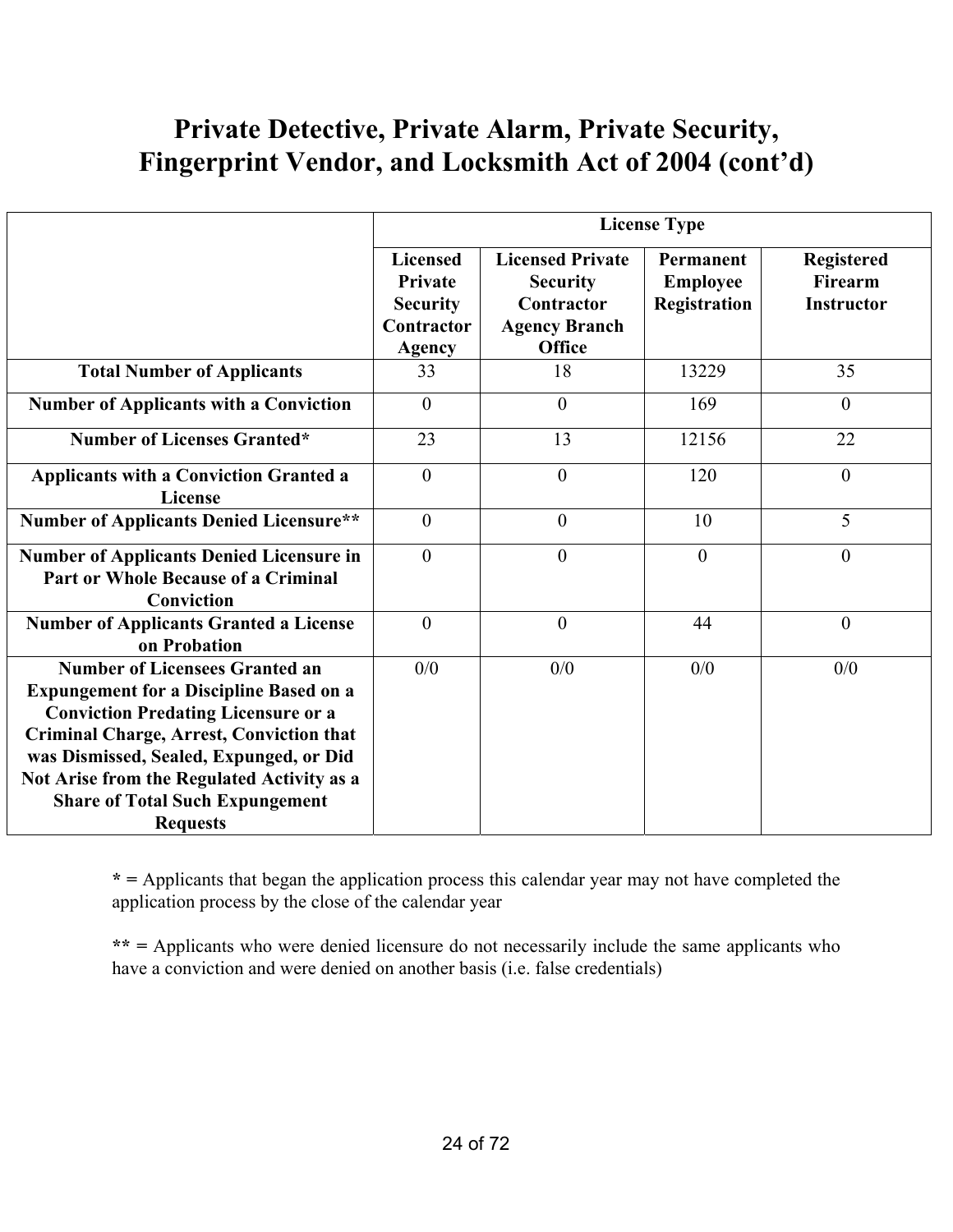## **Private Detective, Private Alarm, Private Security, Fingerprint Vendor, and Locksmith Act of 2004 (cont'd)**

|                                                                                                                                                                                                                                                                                                                                                | <b>License Type</b>                                                          |                                                                                                   |                                                     |                                                          |  |
|------------------------------------------------------------------------------------------------------------------------------------------------------------------------------------------------------------------------------------------------------------------------------------------------------------------------------------------------|------------------------------------------------------------------------------|---------------------------------------------------------------------------------------------------|-----------------------------------------------------|----------------------------------------------------------|--|
|                                                                                                                                                                                                                                                                                                                                                | <b>Licensed</b><br>Private<br><b>Security</b><br>Contractor<br><b>Agency</b> | <b>Licensed Private</b><br><b>Security</b><br>Contractor<br><b>Agency Branch</b><br><b>Office</b> | Permanent<br><b>Employee</b><br><b>Registration</b> | <b>Registered</b><br><b>Firearm</b><br><b>Instructor</b> |  |
| <b>Total Number of Applicants</b>                                                                                                                                                                                                                                                                                                              | 33                                                                           | 18                                                                                                | 13229                                               | 35                                                       |  |
| <b>Number of Applicants with a Conviction</b>                                                                                                                                                                                                                                                                                                  | $\overline{0}$                                                               | $\overline{0}$                                                                                    | 169                                                 | $\mathbf{0}$                                             |  |
| <b>Number of Licenses Granted*</b>                                                                                                                                                                                                                                                                                                             | 23                                                                           | 13                                                                                                | 12156                                               | 22                                                       |  |
| <b>Applicants with a Conviction Granted a</b><br>License                                                                                                                                                                                                                                                                                       | $\mathbf{0}$                                                                 | $\theta$                                                                                          | 120                                                 | $\theta$                                                 |  |
| <b>Number of Applicants Denied Licensure**</b>                                                                                                                                                                                                                                                                                                 | $\boldsymbol{0}$                                                             | $\boldsymbol{0}$                                                                                  | 10                                                  | 5                                                        |  |
| <b>Number of Applicants Denied Licensure in</b><br><b>Part or Whole Because of a Criminal</b><br>Conviction                                                                                                                                                                                                                                    | $\overline{0}$                                                               | $\overline{0}$                                                                                    | $\boldsymbol{0}$                                    | $\boldsymbol{0}$                                         |  |
| <b>Number of Applicants Granted a License</b><br>on Probation                                                                                                                                                                                                                                                                                  | $\theta$                                                                     | $\boldsymbol{0}$                                                                                  | 44                                                  | $\boldsymbol{0}$                                         |  |
| <b>Number of Licensees Granted an</b><br><b>Expungement for a Discipline Based on a</b><br><b>Conviction Predating Licensure or a</b><br><b>Criminal Charge, Arrest, Conviction that</b><br>was Dismissed, Sealed, Expunged, or Did<br>Not Arise from the Regulated Activity as a<br><b>Share of Total Such Expungement</b><br><b>Requests</b> | 0/0                                                                          | 0/0                                                                                               | 0/0                                                 | 0/0                                                      |  |

**\* =** Applicants that began the application process this calendar year may not have completed the application process by the close of the calendar year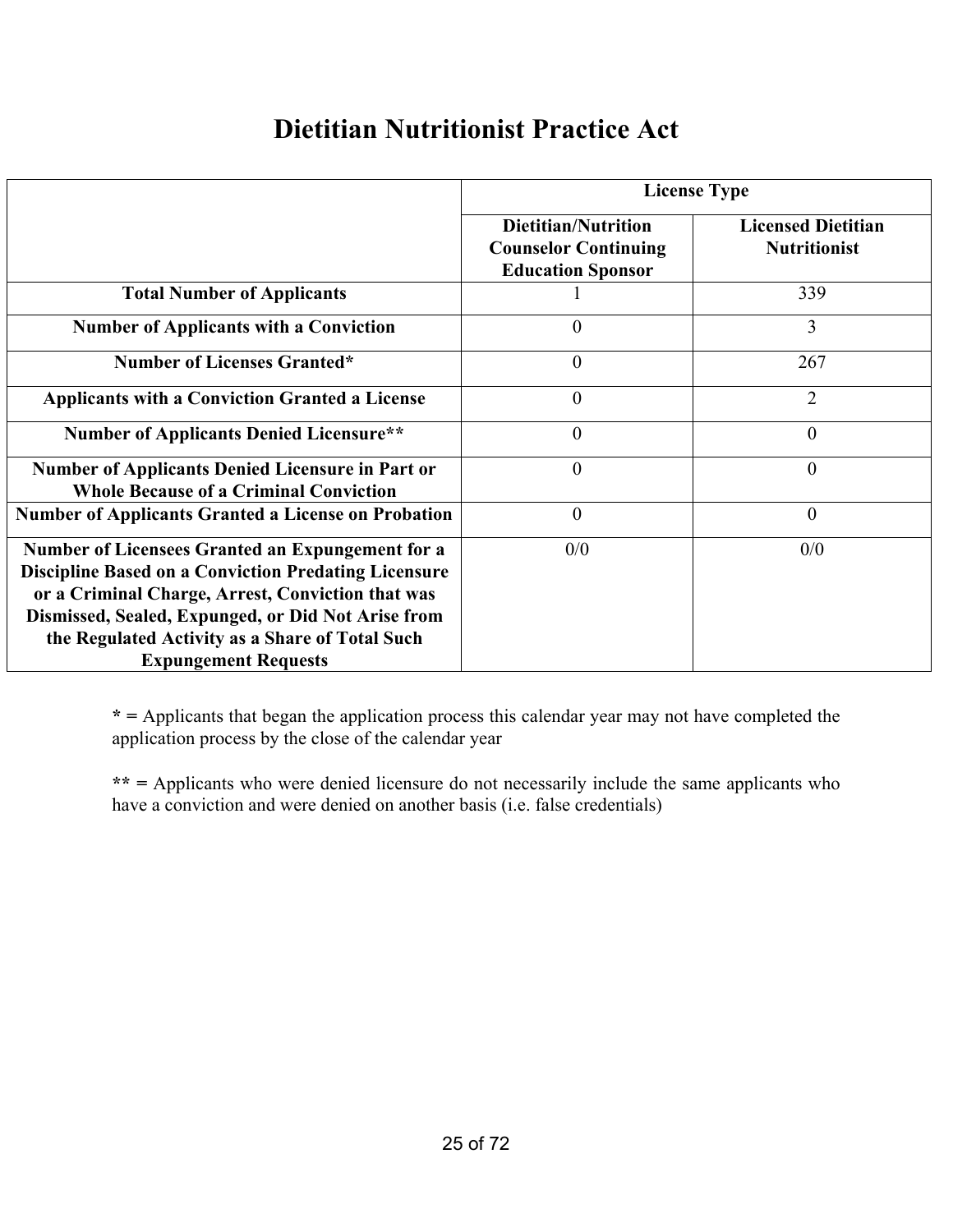## **Dietitian Nutritionist Practice Act**

|                                                                                                                                                                                                                                                                                                              | <b>License Type</b>                                                                   |                                                  |  |  |  |
|--------------------------------------------------------------------------------------------------------------------------------------------------------------------------------------------------------------------------------------------------------------------------------------------------------------|---------------------------------------------------------------------------------------|--------------------------------------------------|--|--|--|
|                                                                                                                                                                                                                                                                                                              | <b>Dietitian/Nutrition</b><br><b>Counselor Continuing</b><br><b>Education Sponsor</b> | <b>Licensed Dietitian</b><br><b>Nutritionist</b> |  |  |  |
| <b>Total Number of Applicants</b>                                                                                                                                                                                                                                                                            |                                                                                       | 339                                              |  |  |  |
| <b>Number of Applicants with a Conviction</b>                                                                                                                                                                                                                                                                | $\theta$                                                                              | 3                                                |  |  |  |
| <b>Number of Licenses Granted*</b>                                                                                                                                                                                                                                                                           | $\overline{0}$                                                                        | 267                                              |  |  |  |
| <b>Applicants with a Conviction Granted a License</b>                                                                                                                                                                                                                                                        | $\theta$                                                                              | $\overline{2}$                                   |  |  |  |
| <b>Number of Applicants Denied Licensure**</b>                                                                                                                                                                                                                                                               | $\theta$                                                                              | $\theta$                                         |  |  |  |
| <b>Number of Applicants Denied Licensure in Part or</b><br><b>Whole Because of a Criminal Conviction</b>                                                                                                                                                                                                     | $\theta$                                                                              | 0                                                |  |  |  |
| <b>Number of Applicants Granted a License on Probation</b>                                                                                                                                                                                                                                                   | $\theta$                                                                              | $\theta$                                         |  |  |  |
| Number of Licensees Granted an Expungement for a<br><b>Discipline Based on a Conviction Predating Licensure</b><br>or a Criminal Charge, Arrest, Conviction that was<br>Dismissed, Sealed, Expunged, or Did Not Arise from<br>the Regulated Activity as a Share of Total Such<br><b>Expungement Requests</b> | 0/0                                                                                   | 0/0                                              |  |  |  |

**\* =** Applicants that began the application process this calendar year may not have completed the application process by the close of the calendar year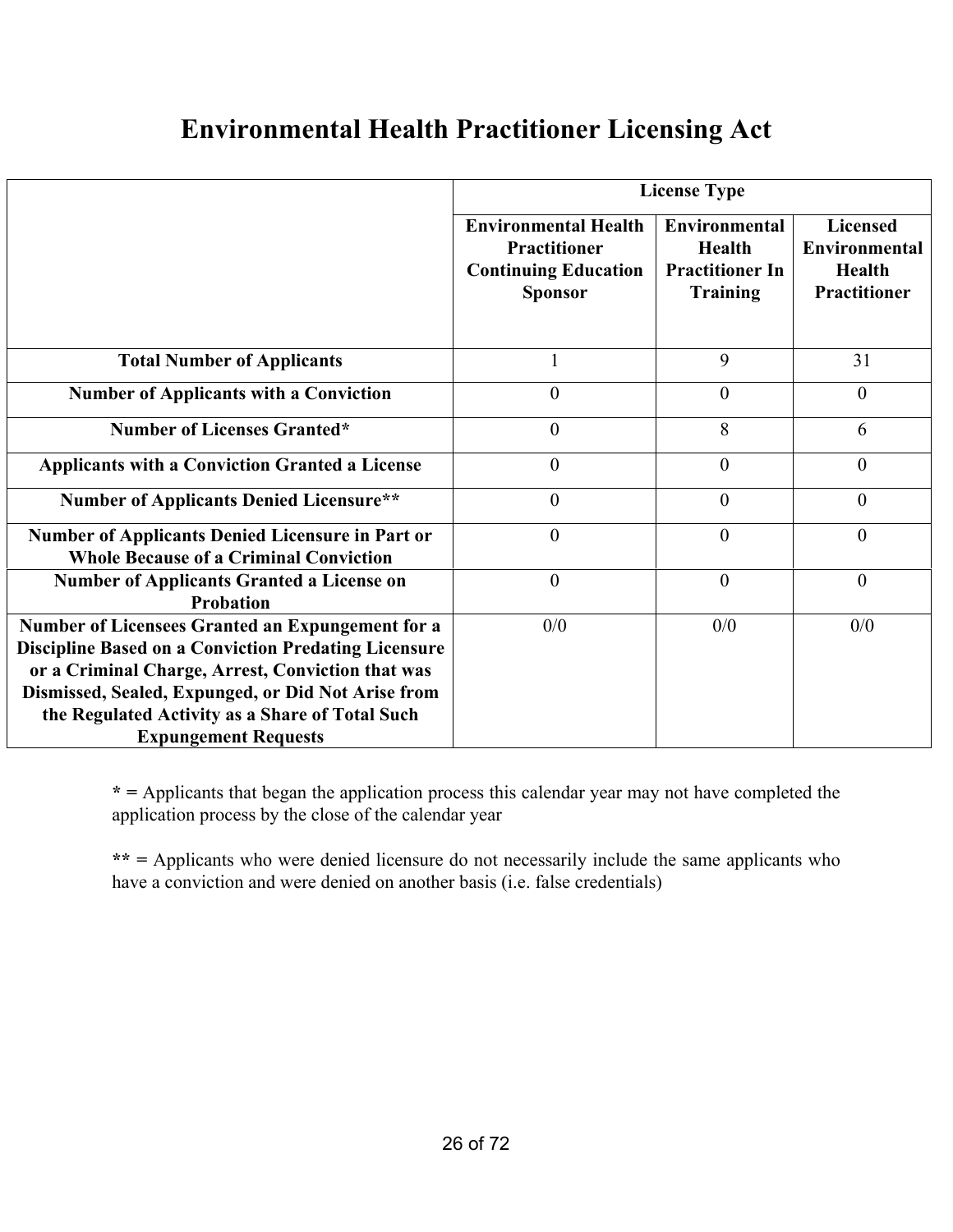## **Environmental Health Practitioner Licensing Act**

|                                                                                                                                                                                                                                                                                                              | <b>License Type</b>                                                                                 |                                                                                    |                                                                   |  |  |
|--------------------------------------------------------------------------------------------------------------------------------------------------------------------------------------------------------------------------------------------------------------------------------------------------------------|-----------------------------------------------------------------------------------------------------|------------------------------------------------------------------------------------|-------------------------------------------------------------------|--|--|
|                                                                                                                                                                                                                                                                                                              | <b>Environmental Health</b><br><b>Practitioner</b><br><b>Continuing Education</b><br><b>Sponsor</b> | <b>Environmental</b><br><b>Health</b><br><b>Practitioner In</b><br><b>Training</b> | Licensed<br>Environmental<br><b>Health</b><br><b>Practitioner</b> |  |  |
| <b>Total Number of Applicants</b>                                                                                                                                                                                                                                                                            |                                                                                                     | 9                                                                                  | 31                                                                |  |  |
| <b>Number of Applicants with a Conviction</b>                                                                                                                                                                                                                                                                | $\boldsymbol{0}$                                                                                    | $\theta$                                                                           | $\overline{0}$                                                    |  |  |
| <b>Number of Licenses Granted*</b>                                                                                                                                                                                                                                                                           | $\overline{0}$                                                                                      | 8                                                                                  | 6                                                                 |  |  |
| <b>Applicants with a Conviction Granted a License</b>                                                                                                                                                                                                                                                        | $\boldsymbol{0}$                                                                                    | $\theta$                                                                           | $\overline{0}$                                                    |  |  |
| <b>Number of Applicants Denied Licensure**</b>                                                                                                                                                                                                                                                               | $\theta$                                                                                            | $\theta$                                                                           | $\theta$                                                          |  |  |
| <b>Number of Applicants Denied Licensure in Part or</b><br><b>Whole Because of a Criminal Conviction</b>                                                                                                                                                                                                     | $\overline{0}$                                                                                      | $\overline{0}$                                                                     | $\theta$                                                          |  |  |
| <b>Number of Applicants Granted a License on</b><br><b>Probation</b>                                                                                                                                                                                                                                         | $\mathbf{0}$                                                                                        | $\theta$                                                                           | $\overline{0}$                                                    |  |  |
| Number of Licensees Granted an Expungement for a<br><b>Discipline Based on a Conviction Predating Licensure</b><br>or a Criminal Charge, Arrest, Conviction that was<br>Dismissed, Sealed, Expunged, or Did Not Arise from<br>the Regulated Activity as a Share of Total Such<br><b>Expungement Requests</b> | 0/0                                                                                                 | 0/0                                                                                | 0/0                                                               |  |  |

**\* =** Applicants that began the application process this calendar year may not have completed the application process by the close of the calendar year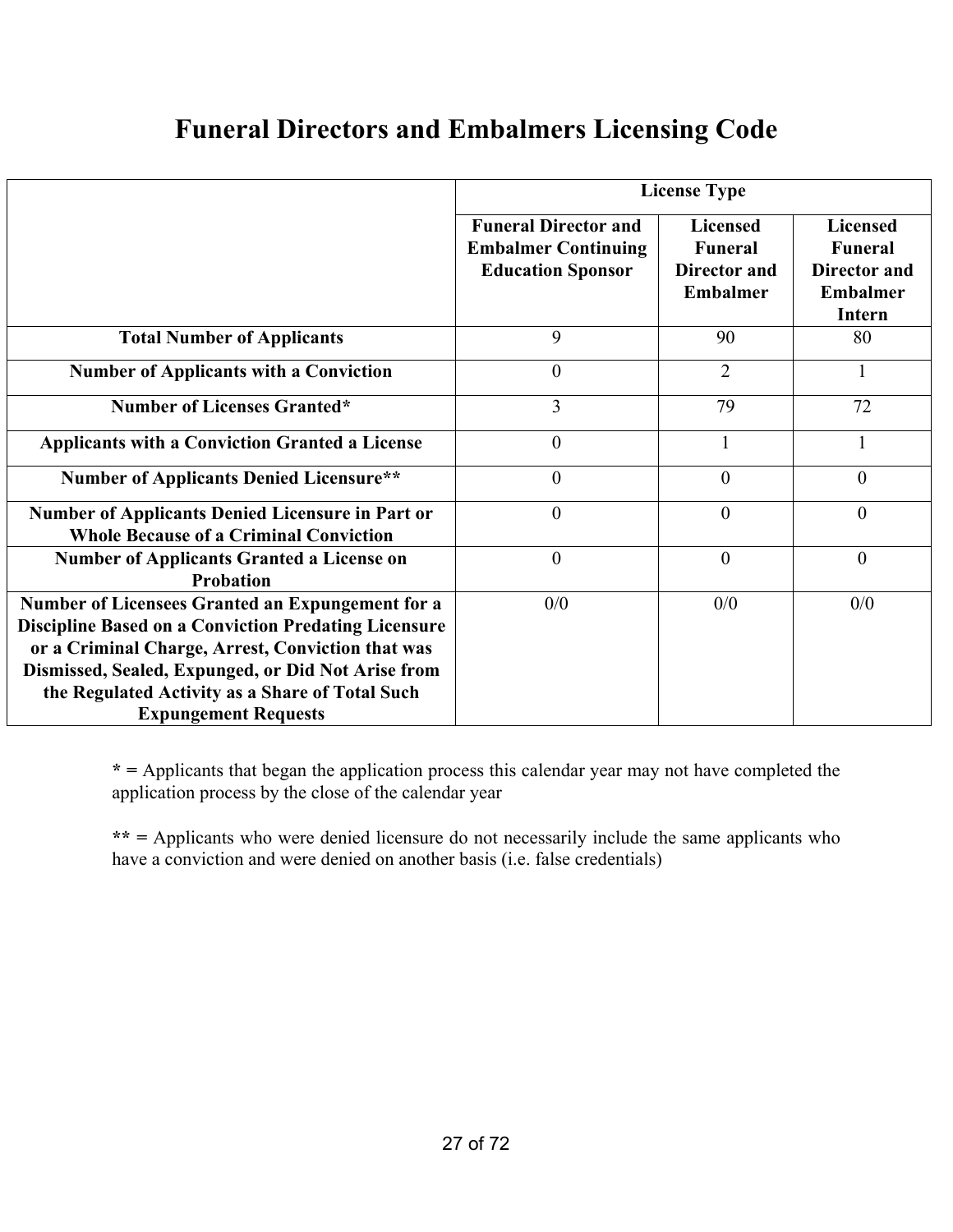## **Funeral Directors and Embalmers Licensing Code**

|                                                                                                                                                                                                                                                                                                              | <b>License Type</b>                                                                   |                                                               |                                                                                       |
|--------------------------------------------------------------------------------------------------------------------------------------------------------------------------------------------------------------------------------------------------------------------------------------------------------------|---------------------------------------------------------------------------------------|---------------------------------------------------------------|---------------------------------------------------------------------------------------|
|                                                                                                                                                                                                                                                                                                              | <b>Funeral Director and</b><br><b>Embalmer Continuing</b><br><b>Education Sponsor</b> | <b>Licensed</b><br><b>Funeral</b><br>Director and<br>Embalmer | <b>Licensed</b><br>Funeral<br><b>Director</b> and<br><b>Embalmer</b><br><b>Intern</b> |
| <b>Total Number of Applicants</b>                                                                                                                                                                                                                                                                            | 9                                                                                     | 90                                                            | 80                                                                                    |
| <b>Number of Applicants with a Conviction</b>                                                                                                                                                                                                                                                                | $\overline{0}$                                                                        | $\overline{2}$                                                |                                                                                       |
| <b>Number of Licenses Granted*</b>                                                                                                                                                                                                                                                                           | 3                                                                                     | 79                                                            | 72                                                                                    |
| <b>Applicants with a Conviction Granted a License</b>                                                                                                                                                                                                                                                        | $\overline{0}$                                                                        |                                                               |                                                                                       |
| <b>Number of Applicants Denied Licensure**</b>                                                                                                                                                                                                                                                               | $\overline{0}$                                                                        | $\overline{0}$                                                | $\overline{0}$                                                                        |
| Number of Applicants Denied Licensure in Part or<br><b>Whole Because of a Criminal Conviction</b>                                                                                                                                                                                                            | $\overline{0}$                                                                        | $\overline{0}$                                                | $\overline{0}$                                                                        |
| <b>Number of Applicants Granted a License on</b><br>Probation                                                                                                                                                                                                                                                | $\overline{0}$                                                                        | $\overline{0}$                                                | $\overline{0}$                                                                        |
| Number of Licensees Granted an Expungement for a<br><b>Discipline Based on a Conviction Predating Licensure</b><br>or a Criminal Charge, Arrest, Conviction that was<br>Dismissed, Sealed, Expunged, or Did Not Arise from<br>the Regulated Activity as a Share of Total Such<br><b>Expungement Requests</b> | 0/0                                                                                   | 0/0                                                           | 0/0                                                                                   |

**\* =** Applicants that began the application process this calendar year may not have completed the application process by the close of the calendar year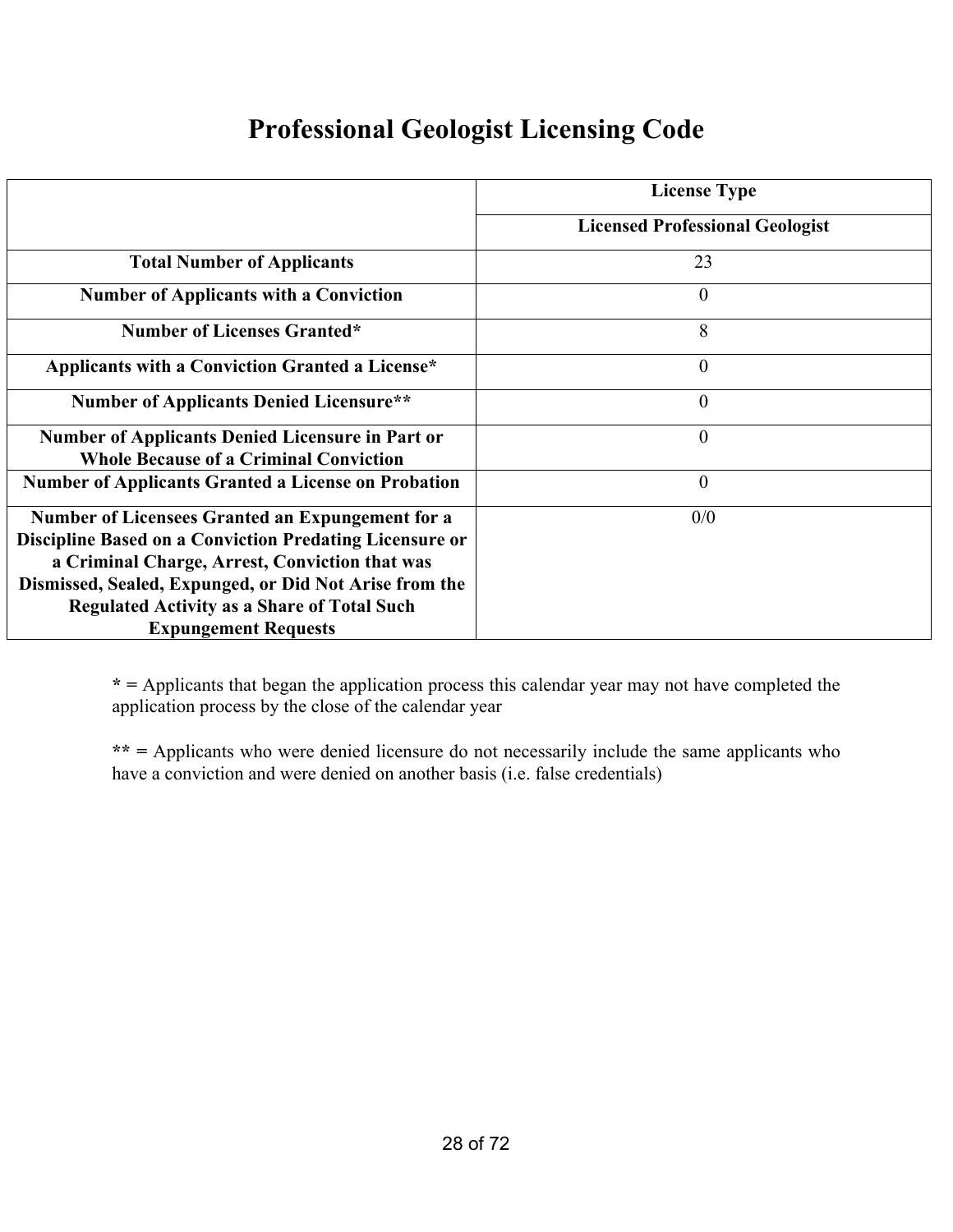#### **Professional Geologist Licensing Code**

|                                                                | <b>License Type</b>                    |
|----------------------------------------------------------------|----------------------------------------|
|                                                                | <b>Licensed Professional Geologist</b> |
| <b>Total Number of Applicants</b>                              | 23                                     |
| <b>Number of Applicants with a Conviction</b>                  | $\theta$                               |
| <b>Number of Licenses Granted*</b>                             | 8                                      |
| Applicants with a Conviction Granted a License*                | $\theta$                               |
| <b>Number of Applicants Denied Licensure**</b>                 | $\theta$                               |
| Number of Applicants Denied Licensure in Part or               | $\theta$                               |
| <b>Whole Because of a Criminal Conviction</b>                  |                                        |
| <b>Number of Applicants Granted a License on Probation</b>     | $\theta$                               |
| <b>Number of Licensees Granted an Expungement for a</b>        | 0/0                                    |
| <b>Discipline Based on a Conviction Predating Licensure or</b> |                                        |
| a Criminal Charge, Arrest, Conviction that was                 |                                        |
| Dismissed, Sealed, Expunged, or Did Not Arise from the         |                                        |
| <b>Regulated Activity as a Share of Total Such</b>             |                                        |
| <b>Expungement Requests</b>                                    |                                        |

**\* =** Applicants that began the application process this calendar year may not have completed the application process by the close of the calendar year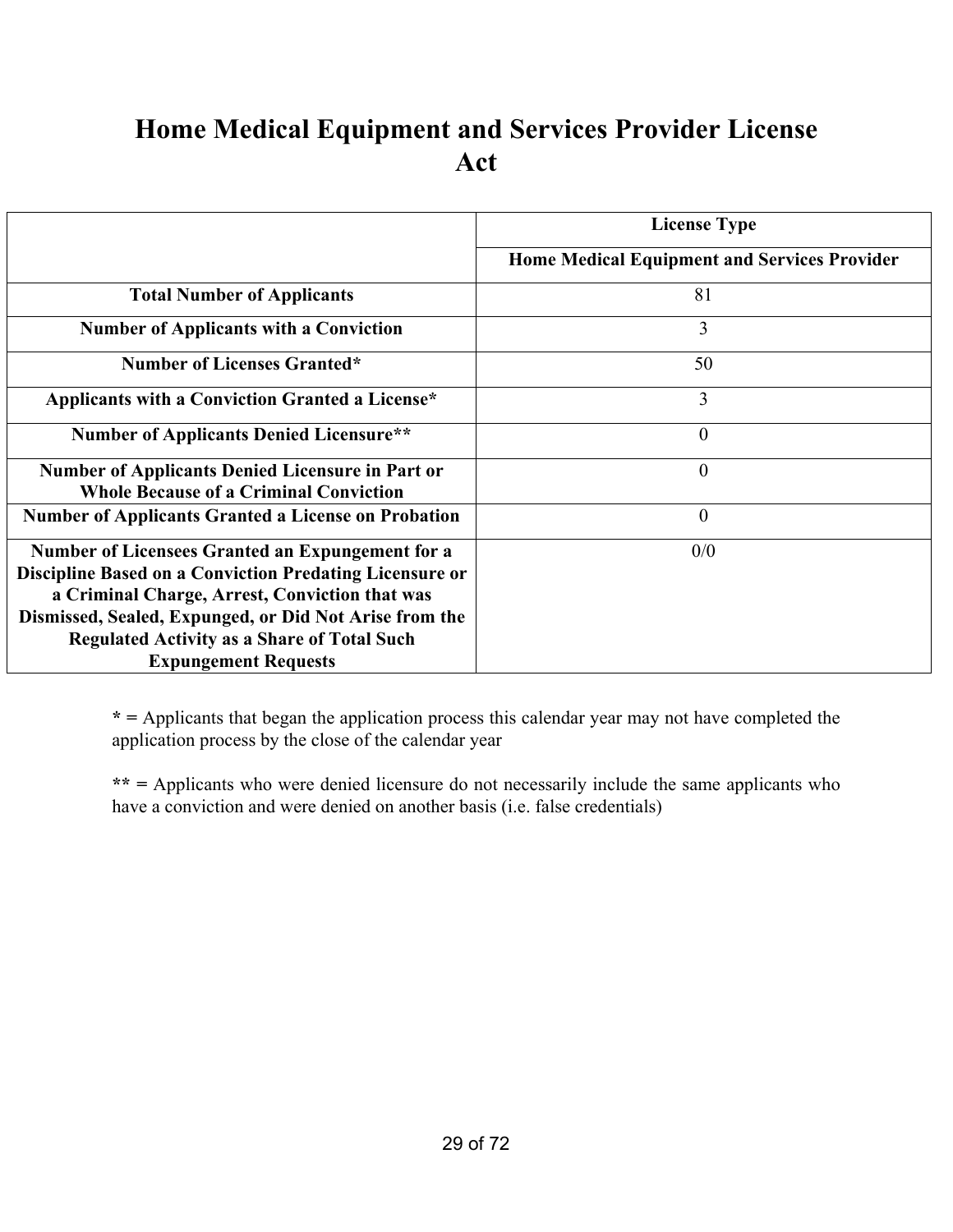## **Home Medical Equipment and Services Provider License Act**

|                                                                                                          | <b>License Type</b>                                 |
|----------------------------------------------------------------------------------------------------------|-----------------------------------------------------|
|                                                                                                          | <b>Home Medical Equipment and Services Provider</b> |
| <b>Total Number of Applicants</b>                                                                        | 81                                                  |
| <b>Number of Applicants with a Conviction</b>                                                            | 3                                                   |
| <b>Number of Licenses Granted*</b>                                                                       | 50                                                  |
| Applicants with a Conviction Granted a License*                                                          | $\overline{3}$                                      |
| <b>Number of Applicants Denied Licensure**</b>                                                           | $\theta$                                            |
| <b>Number of Applicants Denied Licensure in Part or</b><br><b>Whole Because of a Criminal Conviction</b> | $\overline{0}$                                      |
| <b>Number of Applicants Granted a License on Probation</b>                                               | $\overline{0}$                                      |
| Number of Licensees Granted an Expungement for a                                                         | 0/0                                                 |
| <b>Discipline Based on a Conviction Predating Licensure or</b>                                           |                                                     |
| a Criminal Charge, Arrest, Conviction that was                                                           |                                                     |
| Dismissed, Sealed, Expunged, or Did Not Arise from the                                                   |                                                     |
| <b>Regulated Activity as a Share of Total Such</b>                                                       |                                                     |
| <b>Expungement Requests</b>                                                                              |                                                     |

**\* =** Applicants that began the application process this calendar year may not have completed the application process by the close of the calendar year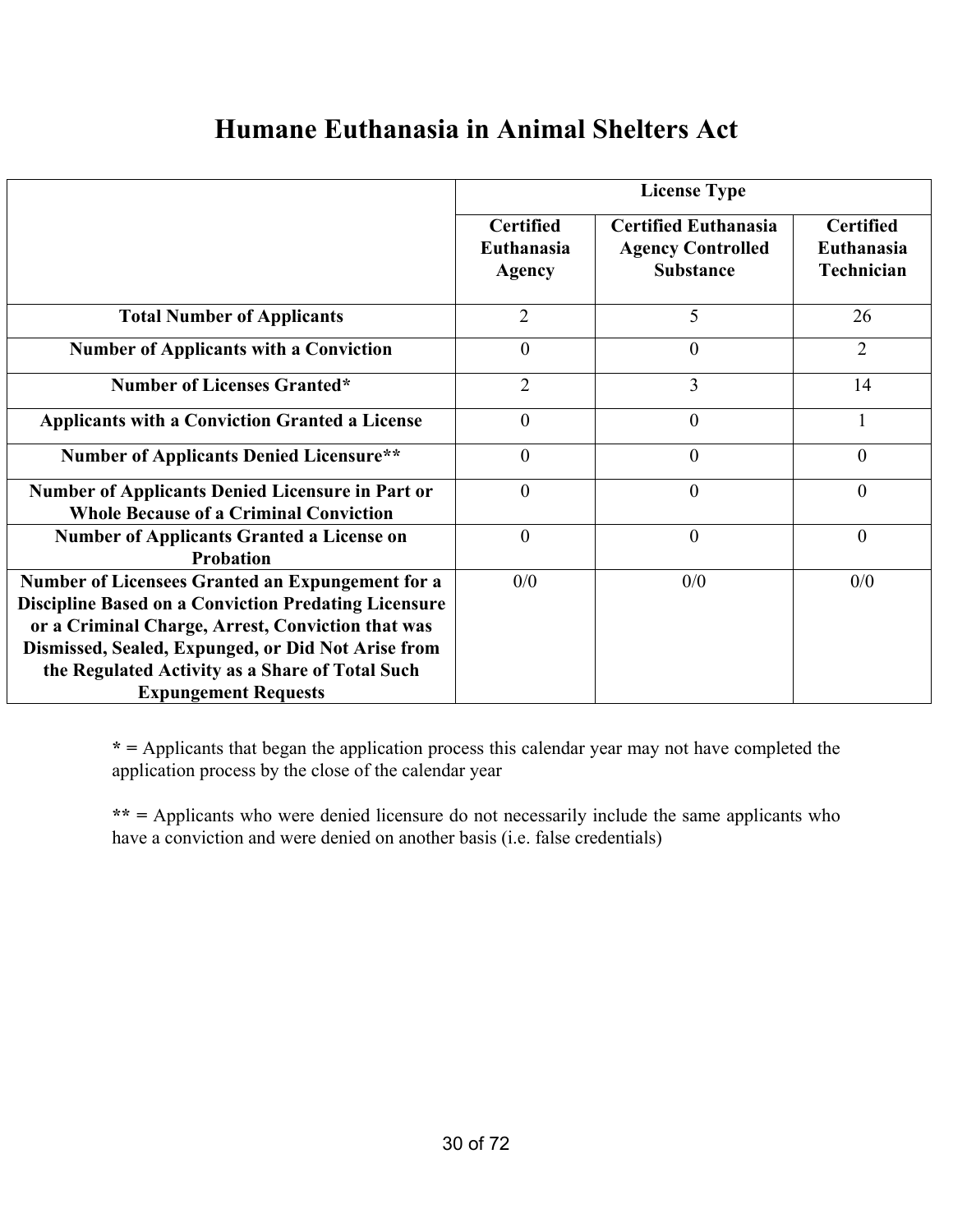#### **Humane Euthanasia in Animal Shelters Act**

|                                                                                                                                                                                                                                                                                                              | <b>License Type</b>                                    |                                                                             |                                              |
|--------------------------------------------------------------------------------------------------------------------------------------------------------------------------------------------------------------------------------------------------------------------------------------------------------------|--------------------------------------------------------|-----------------------------------------------------------------------------|----------------------------------------------|
|                                                                                                                                                                                                                                                                                                              | <b>Certified</b><br><b>Euthanasia</b><br><b>Agency</b> | <b>Certified Euthanasia</b><br><b>Agency Controlled</b><br><b>Substance</b> | <b>Certified</b><br>Euthanasia<br>Technician |
| <b>Total Number of Applicants</b>                                                                                                                                                                                                                                                                            | $\overline{2}$                                         | 5                                                                           | 26                                           |
| <b>Number of Applicants with a Conviction</b>                                                                                                                                                                                                                                                                | $\theta$                                               | $\theta$                                                                    | $\overline{2}$                               |
| <b>Number of Licenses Granted*</b>                                                                                                                                                                                                                                                                           | $\overline{2}$                                         | 3                                                                           | 14                                           |
| <b>Applicants with a Conviction Granted a License</b>                                                                                                                                                                                                                                                        | $\theta$                                               | $\overline{0}$                                                              |                                              |
| <b>Number of Applicants Denied Licensure**</b>                                                                                                                                                                                                                                                               | $\theta$                                               | $\overline{0}$                                                              | $\overline{0}$                               |
| <b>Number of Applicants Denied Licensure in Part or</b><br><b>Whole Because of a Criminal Conviction</b>                                                                                                                                                                                                     | $\theta$                                               | $\theta$                                                                    | $\theta$                                     |
| <b>Number of Applicants Granted a License on</b><br><b>Probation</b>                                                                                                                                                                                                                                         | $\theta$                                               | $\theta$                                                                    | $\theta$                                     |
| Number of Licensees Granted an Expungement for a<br><b>Discipline Based on a Conviction Predating Licensure</b><br>or a Criminal Charge, Arrest, Conviction that was<br>Dismissed, Sealed, Expunged, or Did Not Arise from<br>the Regulated Activity as a Share of Total Such<br><b>Expungement Requests</b> | 0/0                                                    | 0/0                                                                         | 0/0                                          |

**\* =** Applicants that began the application process this calendar year may not have completed the application process by the close of the calendar year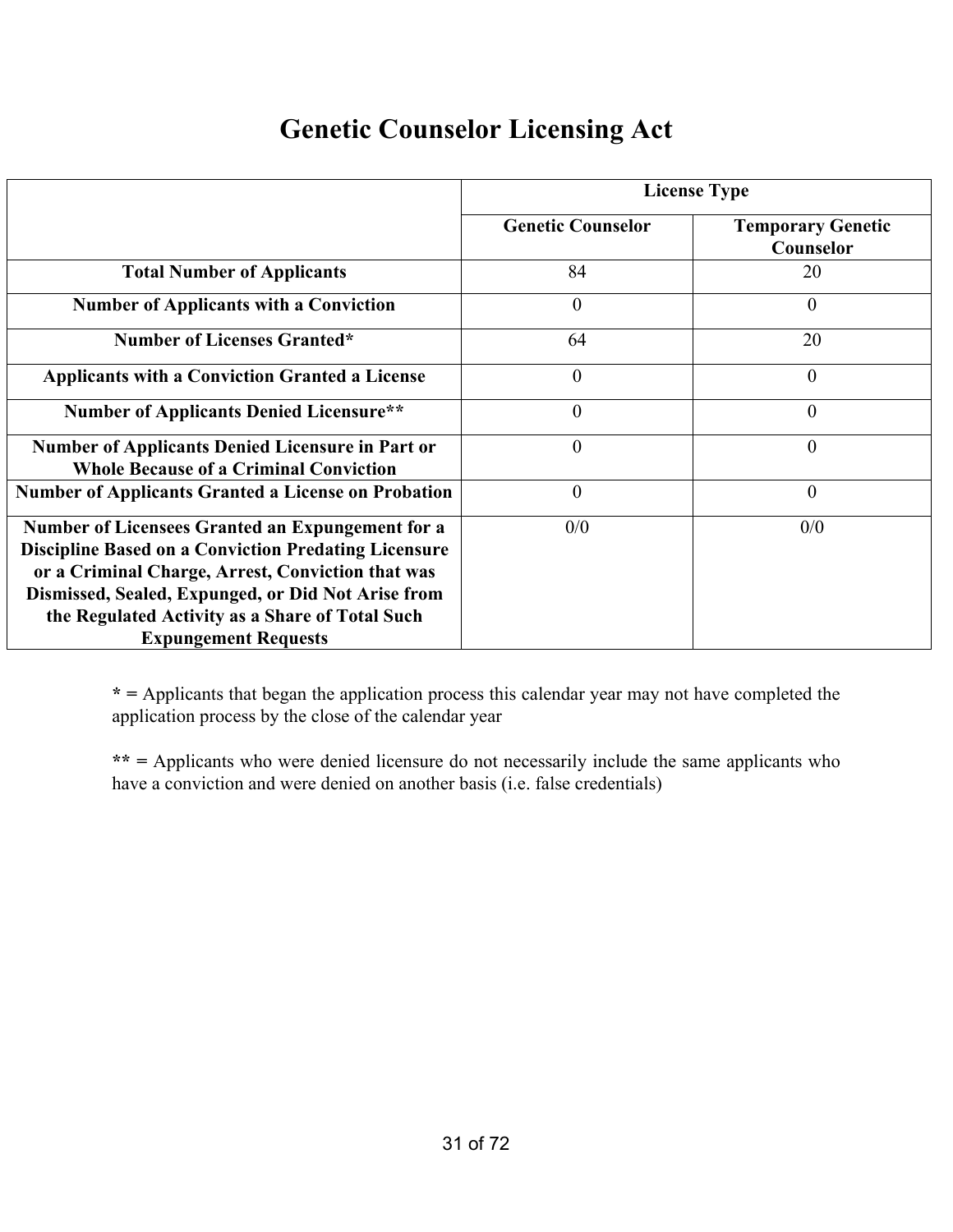#### **Genetic Counselor Licensing Act**

|                                                                                                                                                                                                                                                                                                              | <b>License Type</b>      |                                       |
|--------------------------------------------------------------------------------------------------------------------------------------------------------------------------------------------------------------------------------------------------------------------------------------------------------------|--------------------------|---------------------------------------|
|                                                                                                                                                                                                                                                                                                              | <b>Genetic Counselor</b> | <b>Temporary Genetic</b><br>Counselor |
| <b>Total Number of Applicants</b>                                                                                                                                                                                                                                                                            | 84                       | 20                                    |
| <b>Number of Applicants with a Conviction</b>                                                                                                                                                                                                                                                                | $\overline{0}$           | 0                                     |
| <b>Number of Licenses Granted*</b>                                                                                                                                                                                                                                                                           | 64                       | 20                                    |
| <b>Applicants with a Conviction Granted a License</b>                                                                                                                                                                                                                                                        | $\overline{0}$           | 0                                     |
| <b>Number of Applicants Denied Licensure**</b>                                                                                                                                                                                                                                                               | $\boldsymbol{0}$         | 0                                     |
| <b>Number of Applicants Denied Licensure in Part or</b><br><b>Whole Because of a Criminal Conviction</b>                                                                                                                                                                                                     | $\overline{0}$           | $\overline{0}$                        |
| <b>Number of Applicants Granted a License on Probation</b>                                                                                                                                                                                                                                                   | $\overline{0}$           | $\overline{0}$                        |
| Number of Licensees Granted an Expungement for a<br><b>Discipline Based on a Conviction Predating Licensure</b><br>or a Criminal Charge, Arrest, Conviction that was<br>Dismissed, Sealed, Expunged, or Did Not Arise from<br>the Regulated Activity as a Share of Total Such<br><b>Expungement Requests</b> | 0/0                      | 0/0                                   |

**\* =** Applicants that began the application process this calendar year may not have completed the application process by the close of the calendar year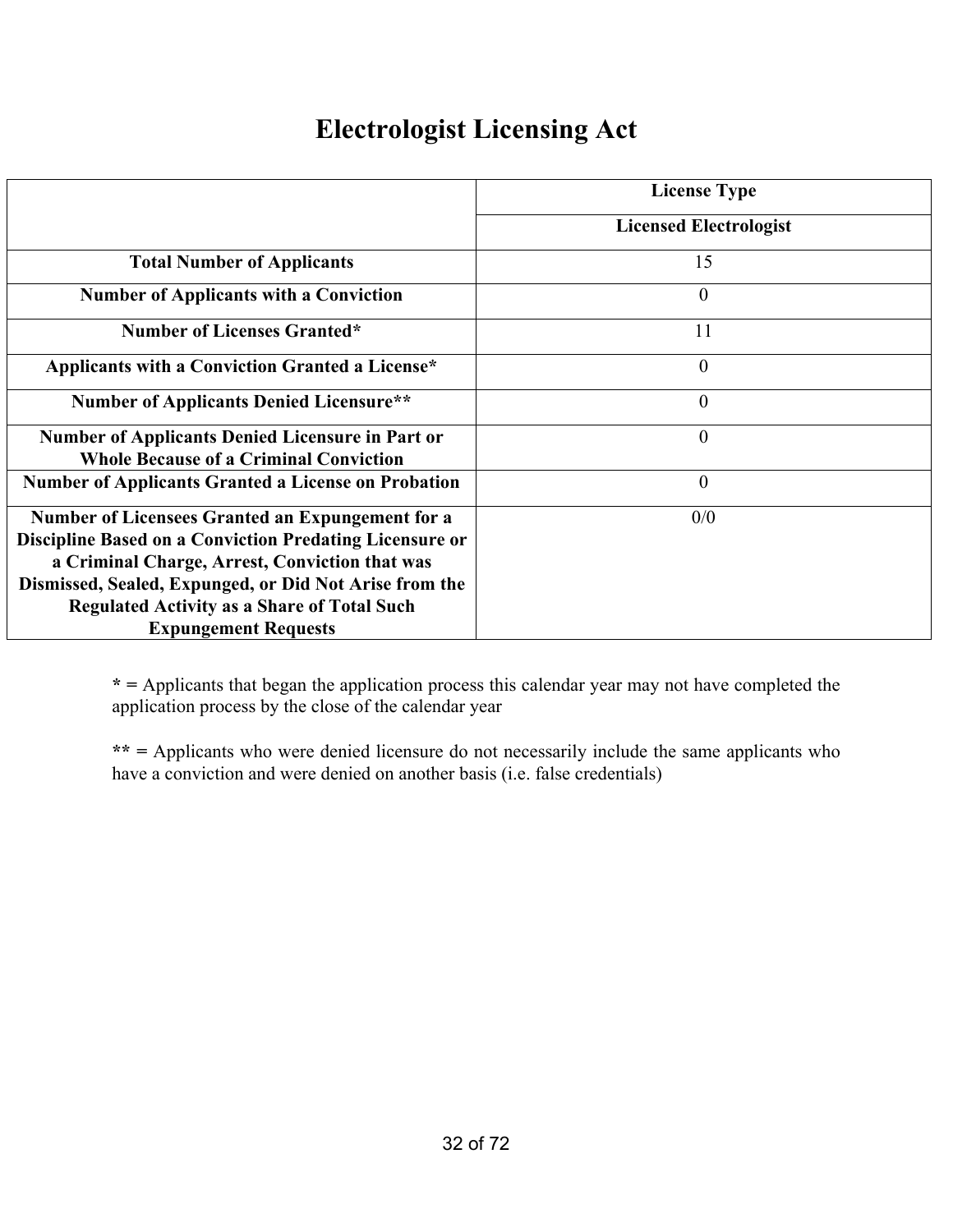## **Electrologist Licensing Act**

|                                                                                                                                                                                                                                                                                                                            | <b>License Type</b>           |
|----------------------------------------------------------------------------------------------------------------------------------------------------------------------------------------------------------------------------------------------------------------------------------------------------------------------------|-------------------------------|
|                                                                                                                                                                                                                                                                                                                            | <b>Licensed Electrologist</b> |
| <b>Total Number of Applicants</b>                                                                                                                                                                                                                                                                                          | 15                            |
| <b>Number of Applicants with a Conviction</b>                                                                                                                                                                                                                                                                              | $\theta$                      |
| <b>Number of Licenses Granted*</b>                                                                                                                                                                                                                                                                                         | 11                            |
| Applicants with a Conviction Granted a License*                                                                                                                                                                                                                                                                            | $\mathbf{0}$                  |
| <b>Number of Applicants Denied Licensure**</b>                                                                                                                                                                                                                                                                             | $\theta$                      |
| <b>Number of Applicants Denied Licensure in Part or</b><br><b>Whole Because of a Criminal Conviction</b>                                                                                                                                                                                                                   | $\overline{0}$                |
| <b>Number of Applicants Granted a License on Probation</b>                                                                                                                                                                                                                                                                 | $\theta$                      |
| <b>Number of Licensees Granted an Expungement for a</b><br><b>Discipline Based on a Conviction Predating Licensure or</b><br>a Criminal Charge, Arrest, Conviction that was<br>Dismissed, Sealed, Expunged, or Did Not Arise from the<br><b>Regulated Activity as a Share of Total Such</b><br><b>Expungement Requests</b> | 0/0                           |

**\* =** Applicants that began the application process this calendar year may not have completed the application process by the close of the calendar year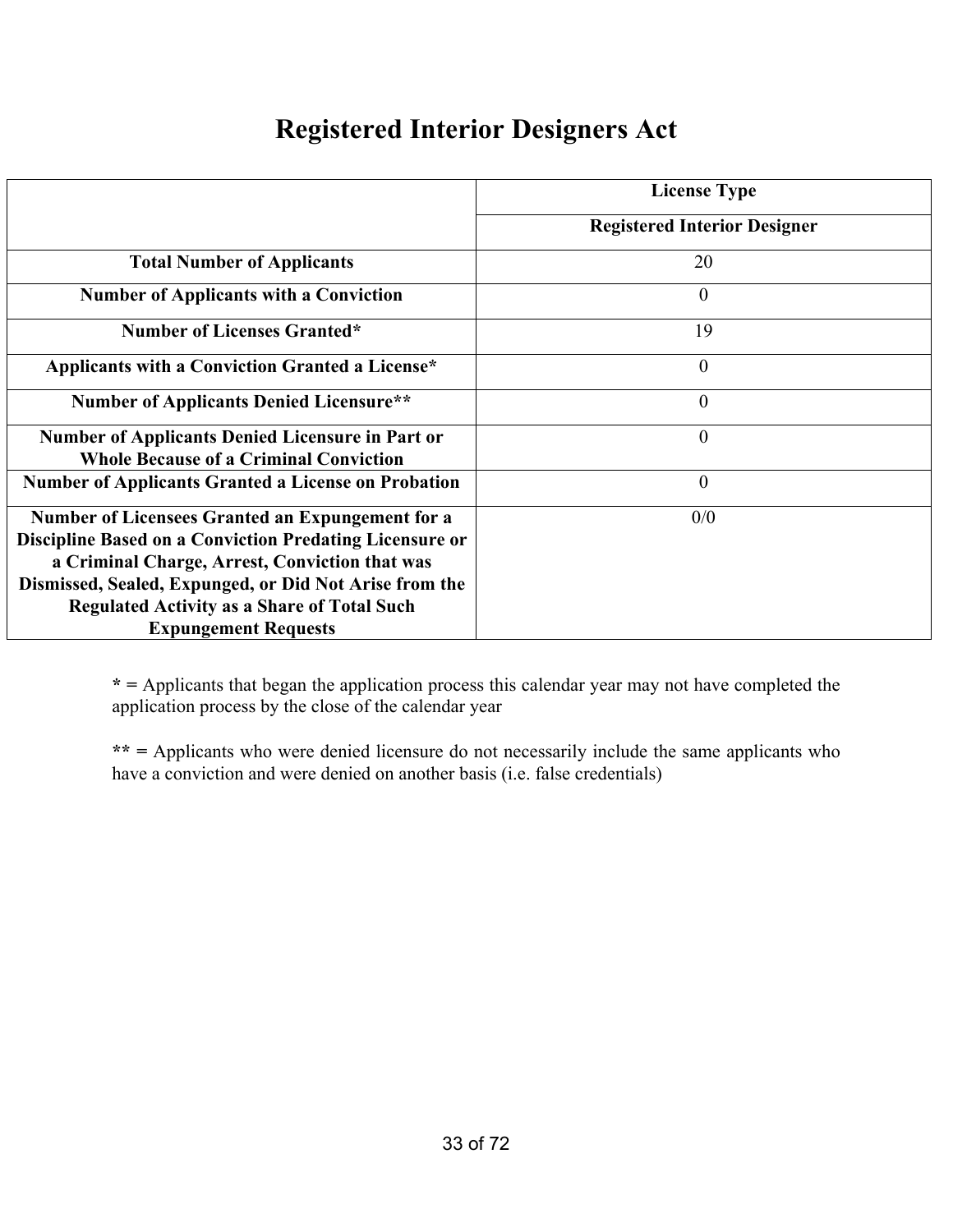#### **Registered Interior Designers Act**

|                                                                                                                                                                                                                                                                                                                            | <b>License Type</b>                 |
|----------------------------------------------------------------------------------------------------------------------------------------------------------------------------------------------------------------------------------------------------------------------------------------------------------------------------|-------------------------------------|
|                                                                                                                                                                                                                                                                                                                            | <b>Registered Interior Designer</b> |
| <b>Total Number of Applicants</b>                                                                                                                                                                                                                                                                                          | 20                                  |
| <b>Number of Applicants with a Conviction</b>                                                                                                                                                                                                                                                                              | $\theta$                            |
| <b>Number of Licenses Granted*</b>                                                                                                                                                                                                                                                                                         | 19                                  |
| Applicants with a Conviction Granted a License*                                                                                                                                                                                                                                                                            | $\mathbf{0}$                        |
| <b>Number of Applicants Denied Licensure**</b>                                                                                                                                                                                                                                                                             | $\theta$                            |
| <b>Number of Applicants Denied Licensure in Part or</b><br><b>Whole Because of a Criminal Conviction</b>                                                                                                                                                                                                                   | $\overline{0}$                      |
| <b>Number of Applicants Granted a License on Probation</b>                                                                                                                                                                                                                                                                 | $\theta$                            |
| <b>Number of Licensees Granted an Expungement for a</b><br><b>Discipline Based on a Conviction Predating Licensure or</b><br>a Criminal Charge, Arrest, Conviction that was<br>Dismissed, Sealed, Expunged, or Did Not Arise from the<br><b>Regulated Activity as a Share of Total Such</b><br><b>Expungement Requests</b> | 0/0                                 |

**\* =** Applicants that began the application process this calendar year may not have completed the application process by the close of the calendar year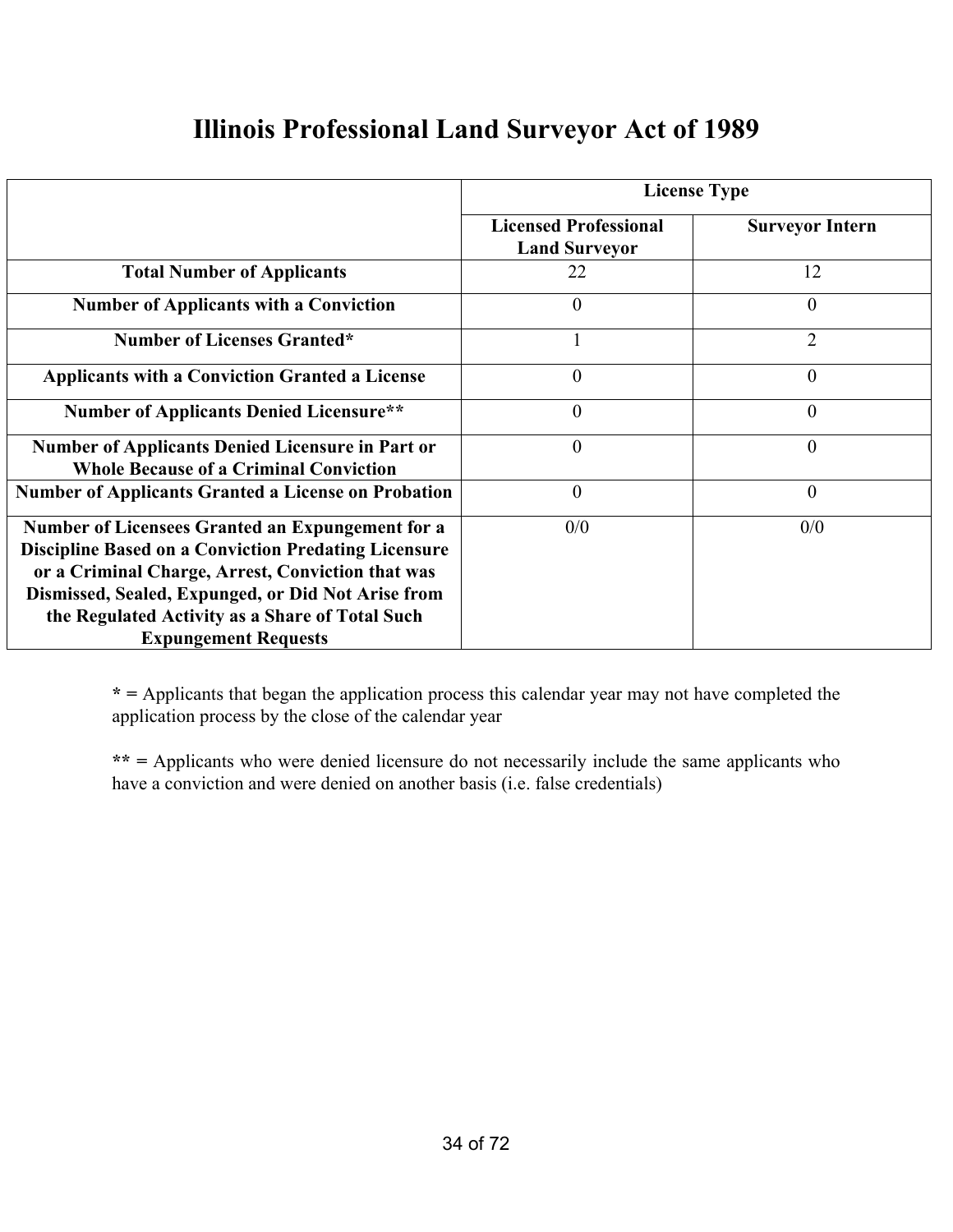#### **Illinois Professional Land Surveyor Act of 1989**

|                                                                                                                                                                                                                                                                                                              | <b>License Type</b>                                  |                        |
|--------------------------------------------------------------------------------------------------------------------------------------------------------------------------------------------------------------------------------------------------------------------------------------------------------------|------------------------------------------------------|------------------------|
|                                                                                                                                                                                                                                                                                                              | <b>Licensed Professional</b><br><b>Land Surveyor</b> | <b>Surveyor Intern</b> |
| <b>Total Number of Applicants</b>                                                                                                                                                                                                                                                                            | 22                                                   | 12                     |
| <b>Number of Applicants with a Conviction</b>                                                                                                                                                                                                                                                                | $\overline{0}$                                       | $\overline{0}$         |
| <b>Number of Licenses Granted*</b>                                                                                                                                                                                                                                                                           |                                                      | $\overline{2}$         |
| <b>Applicants with a Conviction Granted a License</b>                                                                                                                                                                                                                                                        | $\overline{0}$                                       | $\overline{0}$         |
| <b>Number of Applicants Denied Licensure**</b>                                                                                                                                                                                                                                                               | $\boldsymbol{0}$                                     | 0                      |
| <b>Number of Applicants Denied Licensure in Part or</b><br><b>Whole Because of a Criminal Conviction</b>                                                                                                                                                                                                     | $\boldsymbol{0}$                                     | 0                      |
| <b>Number of Applicants Granted a License on Probation</b>                                                                                                                                                                                                                                                   | $\overline{0}$                                       | $\overline{0}$         |
| Number of Licensees Granted an Expungement for a<br><b>Discipline Based on a Conviction Predating Licensure</b><br>or a Criminal Charge, Arrest, Conviction that was<br>Dismissed, Sealed, Expunged, or Did Not Arise from<br>the Regulated Activity as a Share of Total Such<br><b>Expungement Requests</b> | 0/0                                                  | 0/0                    |

**\* =** Applicants that began the application process this calendar year may not have completed the application process by the close of the calendar year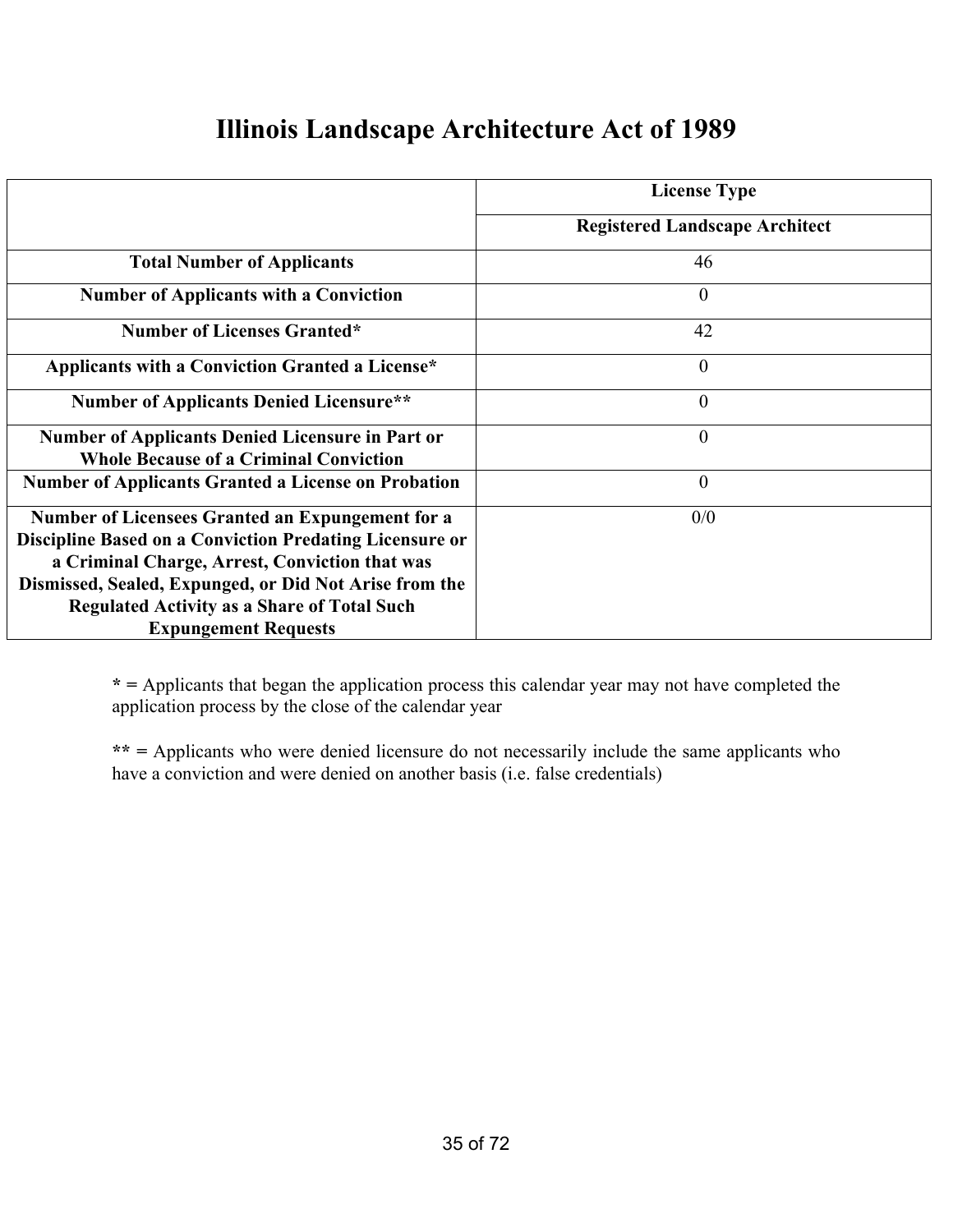#### **Illinois Landscape Architecture Act of 1989**

|                                                                                                                                                                                                                                                                                                                     | <b>License Type</b>                   |
|---------------------------------------------------------------------------------------------------------------------------------------------------------------------------------------------------------------------------------------------------------------------------------------------------------------------|---------------------------------------|
|                                                                                                                                                                                                                                                                                                                     | <b>Registered Landscape Architect</b> |
| <b>Total Number of Applicants</b>                                                                                                                                                                                                                                                                                   | 46                                    |
| <b>Number of Applicants with a Conviction</b>                                                                                                                                                                                                                                                                       | $\mathbf{0}$                          |
| <b>Number of Licenses Granted*</b>                                                                                                                                                                                                                                                                                  | 42                                    |
| Applicants with a Conviction Granted a License*                                                                                                                                                                                                                                                                     | $\overline{0}$                        |
| <b>Number of Applicants Denied Licensure**</b>                                                                                                                                                                                                                                                                      | $\theta$                              |
| <b>Number of Applicants Denied Licensure in Part or</b><br><b>Whole Because of a Criminal Conviction</b>                                                                                                                                                                                                            | $\theta$                              |
| <b>Number of Applicants Granted a License on Probation</b>                                                                                                                                                                                                                                                          | $\theta$                              |
| Number of Licensees Granted an Expungement for a<br><b>Discipline Based on a Conviction Predating Licensure or</b><br>a Criminal Charge, Arrest, Conviction that was<br>Dismissed, Sealed, Expunged, or Did Not Arise from the<br><b>Regulated Activity as a Share of Total Such</b><br><b>Expungement Requests</b> | 0/0                                   |

**\* =** Applicants that began the application process this calendar year may not have completed the application process by the close of the calendar year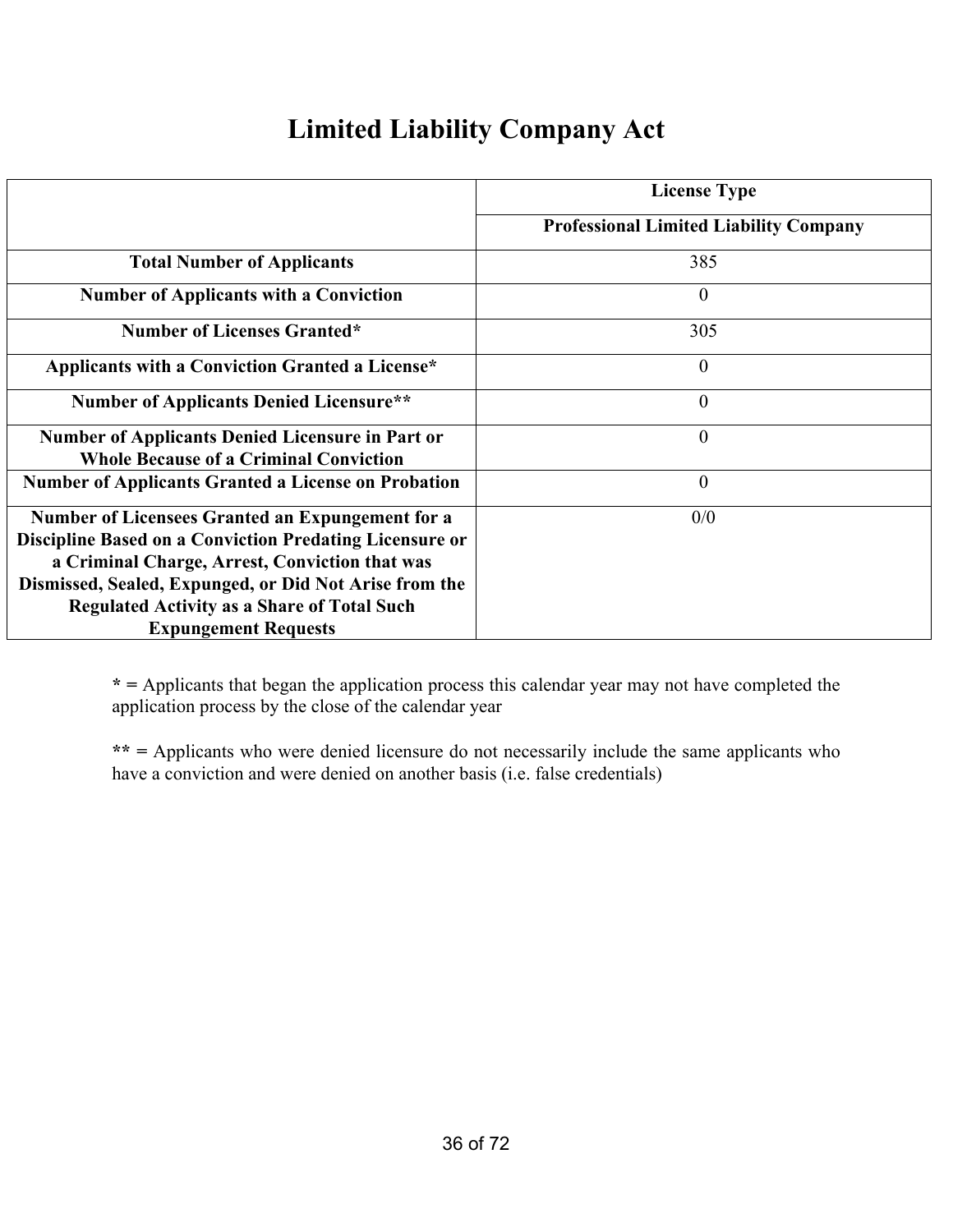## **Limited Liability Company Act**

|                                                                                                                                                                                                                                                                                                                            | <b>License Type</b>                           |
|----------------------------------------------------------------------------------------------------------------------------------------------------------------------------------------------------------------------------------------------------------------------------------------------------------------------------|-----------------------------------------------|
|                                                                                                                                                                                                                                                                                                                            | <b>Professional Limited Liability Company</b> |
| <b>Total Number of Applicants</b>                                                                                                                                                                                                                                                                                          | 385                                           |
| <b>Number of Applicants with a Conviction</b>                                                                                                                                                                                                                                                                              | $\boldsymbol{0}$                              |
| <b>Number of Licenses Granted*</b>                                                                                                                                                                                                                                                                                         | 305                                           |
| Applicants with a Conviction Granted a License*                                                                                                                                                                                                                                                                            | $\theta$                                      |
| <b>Number of Applicants Denied Licensure**</b>                                                                                                                                                                                                                                                                             | $\theta$                                      |
| <b>Number of Applicants Denied Licensure in Part or</b><br><b>Whole Because of a Criminal Conviction</b>                                                                                                                                                                                                                   | $\theta$                                      |
| <b>Number of Applicants Granted a License on Probation</b>                                                                                                                                                                                                                                                                 | $\overline{0}$                                |
| <b>Number of Licensees Granted an Expungement for a</b><br><b>Discipline Based on a Conviction Predating Licensure or</b><br>a Criminal Charge, Arrest, Conviction that was<br>Dismissed, Sealed, Expunged, or Did Not Arise from the<br><b>Regulated Activity as a Share of Total Such</b><br><b>Expungement Requests</b> | 0/0                                           |

**\* =** Applicants that began the application process this calendar year may not have completed the application process by the close of the calendar year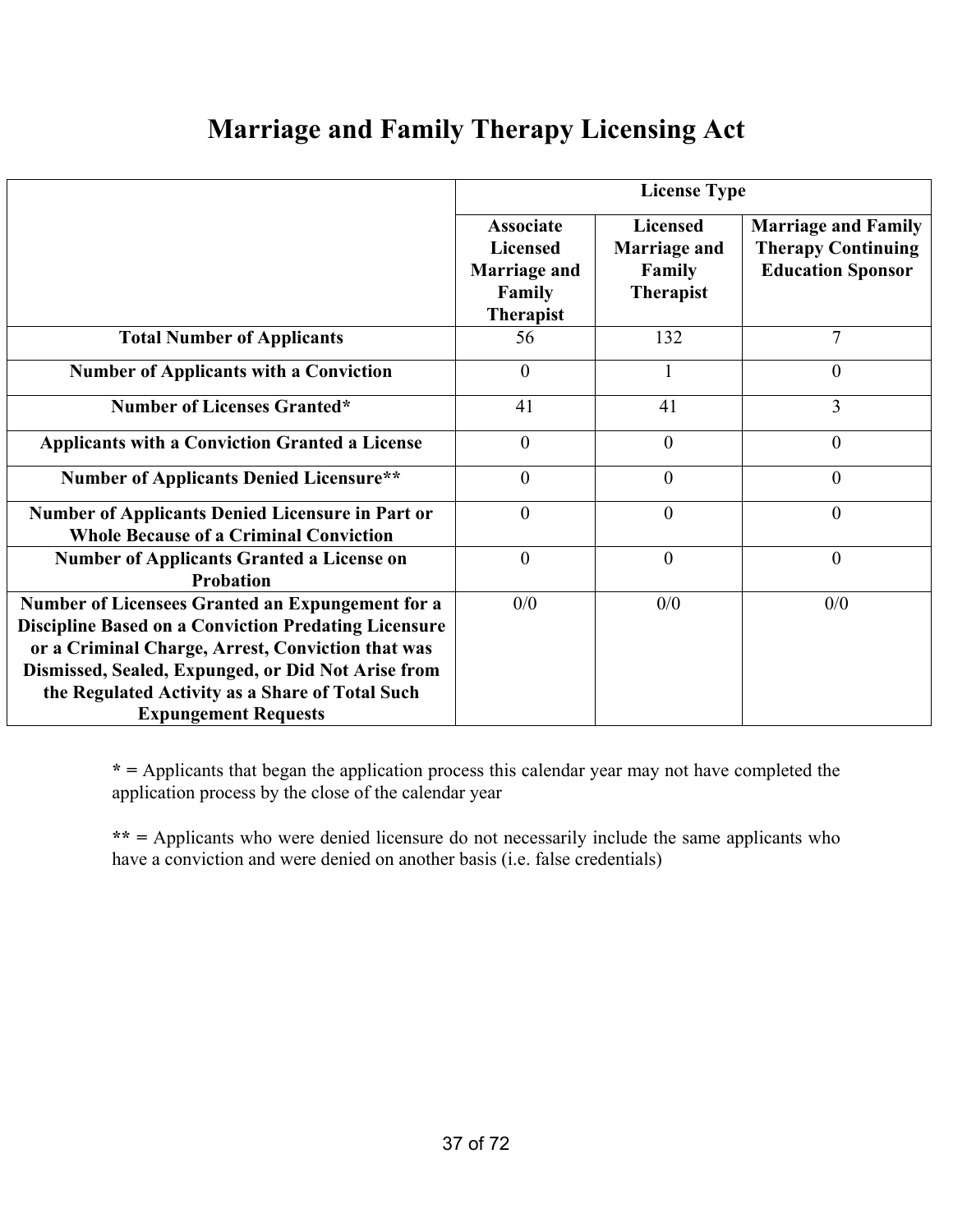### **Marriage and Family Therapy Licensing Act**

|                                                                                                                                                                                                                                                                                                                     |                                                                                          | <b>License Type</b>                                                         |                                                                                     |  |  |
|---------------------------------------------------------------------------------------------------------------------------------------------------------------------------------------------------------------------------------------------------------------------------------------------------------------------|------------------------------------------------------------------------------------------|-----------------------------------------------------------------------------|-------------------------------------------------------------------------------------|--|--|
|                                                                                                                                                                                                                                                                                                                     | <b>Associate</b><br><b>Licensed</b><br><b>Marriage and</b><br>Family<br><b>Therapist</b> | <b>Licensed</b><br><b>Marriage and</b><br><b>Family</b><br><b>Therapist</b> | <b>Marriage and Family</b><br><b>Therapy Continuing</b><br><b>Education Sponsor</b> |  |  |
| <b>Total Number of Applicants</b>                                                                                                                                                                                                                                                                                   | 56                                                                                       | 132                                                                         | 7                                                                                   |  |  |
| <b>Number of Applicants with a Conviction</b>                                                                                                                                                                                                                                                                       | $\theta$                                                                                 |                                                                             | $\overline{0}$                                                                      |  |  |
| <b>Number of Licenses Granted*</b>                                                                                                                                                                                                                                                                                  | 41                                                                                       | 41                                                                          | 3                                                                                   |  |  |
| <b>Applicants with a Conviction Granted a License</b>                                                                                                                                                                                                                                                               | $\overline{0}$                                                                           | $\overline{0}$                                                              | $\overline{0}$                                                                      |  |  |
| <b>Number of Applicants Denied Licensure**</b>                                                                                                                                                                                                                                                                      | $\overline{0}$                                                                           | $\theta$                                                                    | $\overline{0}$                                                                      |  |  |
| <b>Number of Applicants Denied Licensure in Part or</b><br><b>Whole Because of a Criminal Conviction</b>                                                                                                                                                                                                            | $\overline{0}$                                                                           | $\overline{0}$                                                              | $\overline{0}$                                                                      |  |  |
| <b>Number of Applicants Granted a License on</b><br><b>Probation</b>                                                                                                                                                                                                                                                | $\theta$                                                                                 | $\theta$                                                                    | $\overline{0}$                                                                      |  |  |
| <b>Number of Licensees Granted an Expungement for a</b><br><b>Discipline Based on a Conviction Predating Licensure</b><br>or a Criminal Charge, Arrest, Conviction that was<br>Dismissed, Sealed, Expunged, or Did Not Arise from<br>the Regulated Activity as a Share of Total Such<br><b>Expungement Requests</b> | 0/0                                                                                      | 0/0                                                                         | 0/0                                                                                 |  |  |

**\* =** Applicants that began the application process this calendar year may not have completed the application process by the close of the calendar year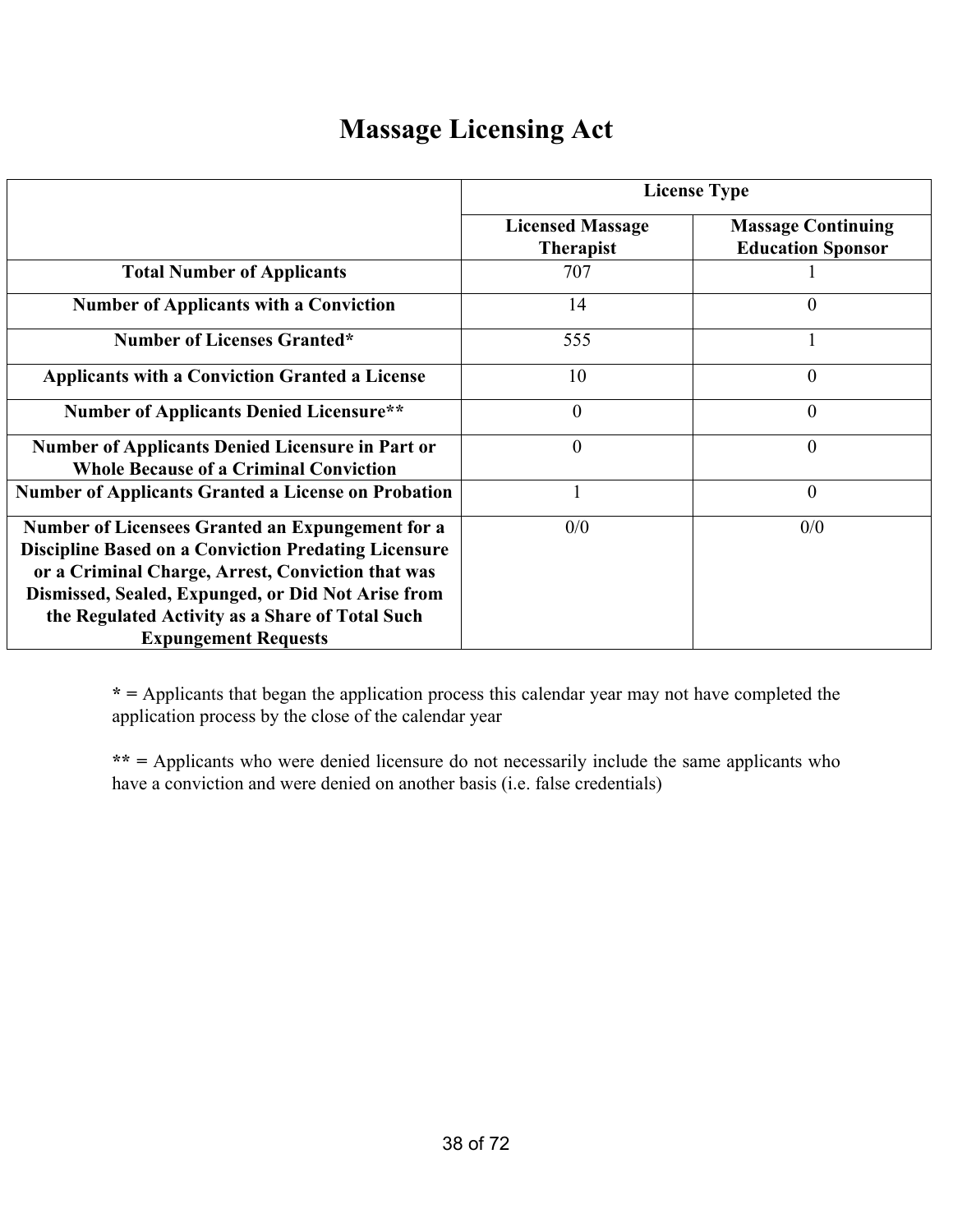### **Massage Licensing Act**

|                                                                                                                                                                                                                                                                                                              | <b>License Type</b>                         |                                                       |  |  |  |
|--------------------------------------------------------------------------------------------------------------------------------------------------------------------------------------------------------------------------------------------------------------------------------------------------------------|---------------------------------------------|-------------------------------------------------------|--|--|--|
|                                                                                                                                                                                                                                                                                                              | <b>Licensed Massage</b><br><b>Therapist</b> | <b>Massage Continuing</b><br><b>Education Sponsor</b> |  |  |  |
| <b>Total Number of Applicants</b>                                                                                                                                                                                                                                                                            | 707                                         |                                                       |  |  |  |
| <b>Number of Applicants with a Conviction</b>                                                                                                                                                                                                                                                                | 14                                          | $\theta$                                              |  |  |  |
| <b>Number of Licenses Granted*</b>                                                                                                                                                                                                                                                                           | 555                                         |                                                       |  |  |  |
| <b>Applicants with a Conviction Granted a License</b>                                                                                                                                                                                                                                                        | 10                                          | $\Omega$                                              |  |  |  |
| <b>Number of Applicants Denied Licensure**</b>                                                                                                                                                                                                                                                               | $\theta$                                    | $\theta$                                              |  |  |  |
| <b>Number of Applicants Denied Licensure in Part or</b><br><b>Whole Because of a Criminal Conviction</b>                                                                                                                                                                                                     | $\theta$                                    | $\theta$                                              |  |  |  |
| <b>Number of Applicants Granted a License on Probation</b>                                                                                                                                                                                                                                                   |                                             | $\overline{0}$                                        |  |  |  |
| Number of Licensees Granted an Expungement for a<br><b>Discipline Based on a Conviction Predating Licensure</b><br>or a Criminal Charge, Arrest, Conviction that was<br>Dismissed, Sealed, Expunged, or Did Not Arise from<br>the Regulated Activity as a Share of Total Such<br><b>Expungement Requests</b> | 0/0                                         | 0/0                                                   |  |  |  |

**\* =** Applicants that began the application process this calendar year may not have completed the application process by the close of the calendar year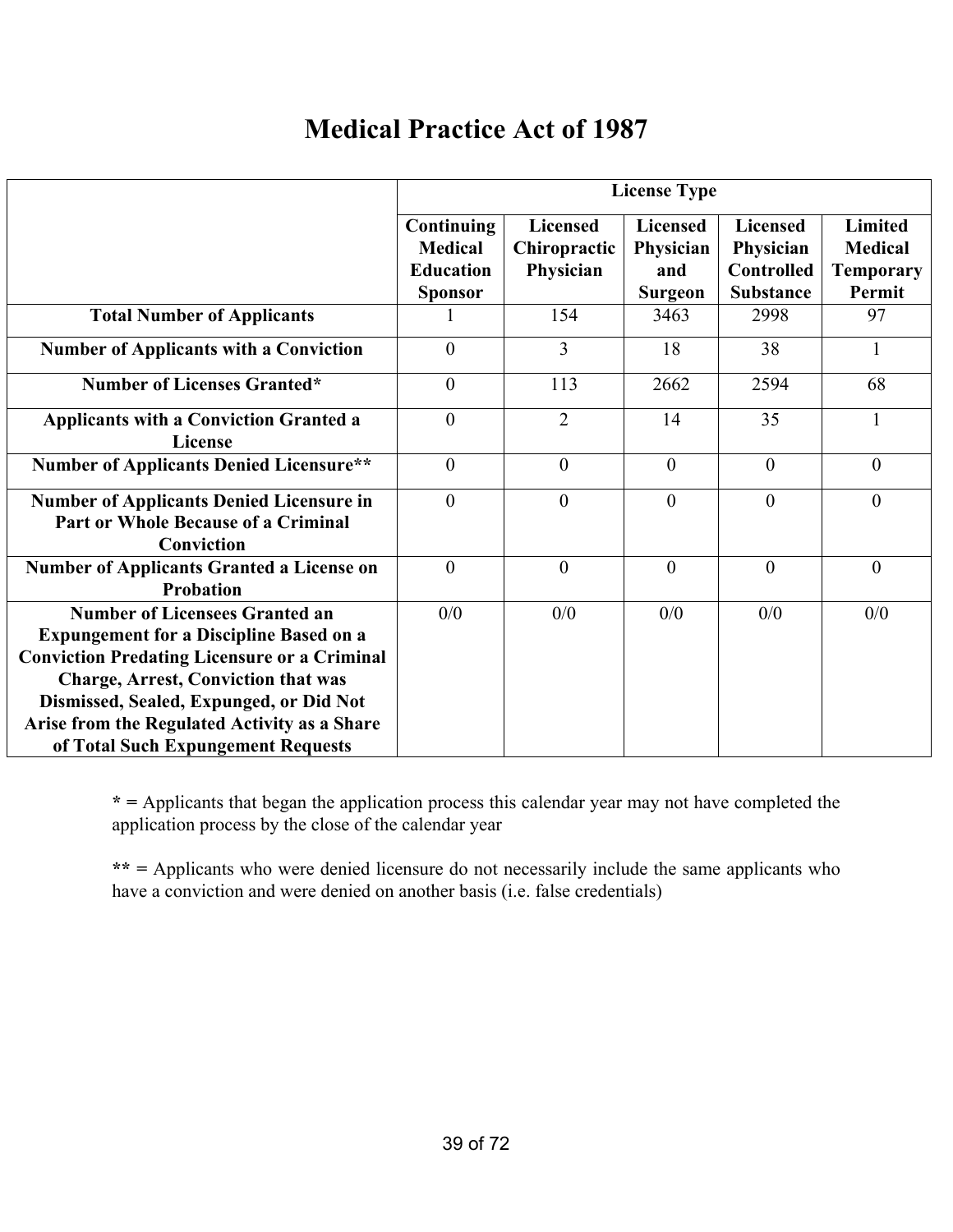### **Medical Practice Act of 1987**

|                                                                                                                                                                                                                                                                                                                               | <b>License Type</b>                                                |                                              |                                                |                                                                       |                                                                |
|-------------------------------------------------------------------------------------------------------------------------------------------------------------------------------------------------------------------------------------------------------------------------------------------------------------------------------|--------------------------------------------------------------------|----------------------------------------------|------------------------------------------------|-----------------------------------------------------------------------|----------------------------------------------------------------|
|                                                                                                                                                                                                                                                                                                                               | Continuing<br><b>Medical</b><br><b>Education</b><br><b>Sponsor</b> | <b>Licensed</b><br>Chiropractic<br>Physician | <b>Licensed</b><br>Physician<br>and<br>Surgeon | <b>Licensed</b><br>Physician<br><b>Controlled</b><br><b>Substance</b> | <b>Limited</b><br><b>Medical</b><br><b>Temporary</b><br>Permit |
| <b>Total Number of Applicants</b>                                                                                                                                                                                                                                                                                             |                                                                    | 154                                          | 3463                                           | 2998                                                                  | 97                                                             |
| <b>Number of Applicants with a Conviction</b>                                                                                                                                                                                                                                                                                 | $\theta$                                                           | $\overline{3}$                               | 18                                             | 38                                                                    | $\mathbf{1}$                                                   |
| <b>Number of Licenses Granted*</b>                                                                                                                                                                                                                                                                                            | $\overline{0}$                                                     | 113                                          | 2662                                           | 2594                                                                  | 68                                                             |
| <b>Applicants with a Conviction Granted a</b><br>License                                                                                                                                                                                                                                                                      | $\overline{0}$                                                     | $\overline{2}$                               | 14                                             | 35                                                                    |                                                                |
| <b>Number of Applicants Denied Licensure**</b>                                                                                                                                                                                                                                                                                | $\theta$                                                           | $\theta$                                     | $\theta$                                       | $\theta$                                                              | $\theta$                                                       |
| <b>Number of Applicants Denied Licensure in</b><br><b>Part or Whole Because of a Criminal</b><br>Conviction                                                                                                                                                                                                                   | $\theta$                                                           | $\theta$                                     | $\overline{0}$                                 | $\overline{0}$                                                        | $\overline{0}$                                                 |
| <b>Number of Applicants Granted a License on</b><br><b>Probation</b>                                                                                                                                                                                                                                                          | $\theta$                                                           | $\theta$                                     | $\overline{0}$                                 | $\theta$                                                              | $\overline{0}$                                                 |
| <b>Number of Licensees Granted an</b><br><b>Expungement for a Discipline Based on a</b><br><b>Conviction Predating Licensure or a Criminal</b><br><b>Charge, Arrest, Conviction that was</b><br>Dismissed, Sealed, Expunged, or Did Not<br>Arise from the Regulated Activity as a Share<br>of Total Such Expungement Requests | 0/0                                                                | 0/0                                          | 0/0                                            | 0/0                                                                   | 0/0                                                            |

**\* =** Applicants that began the application process this calendar year may not have completed the application process by the close of the calendar year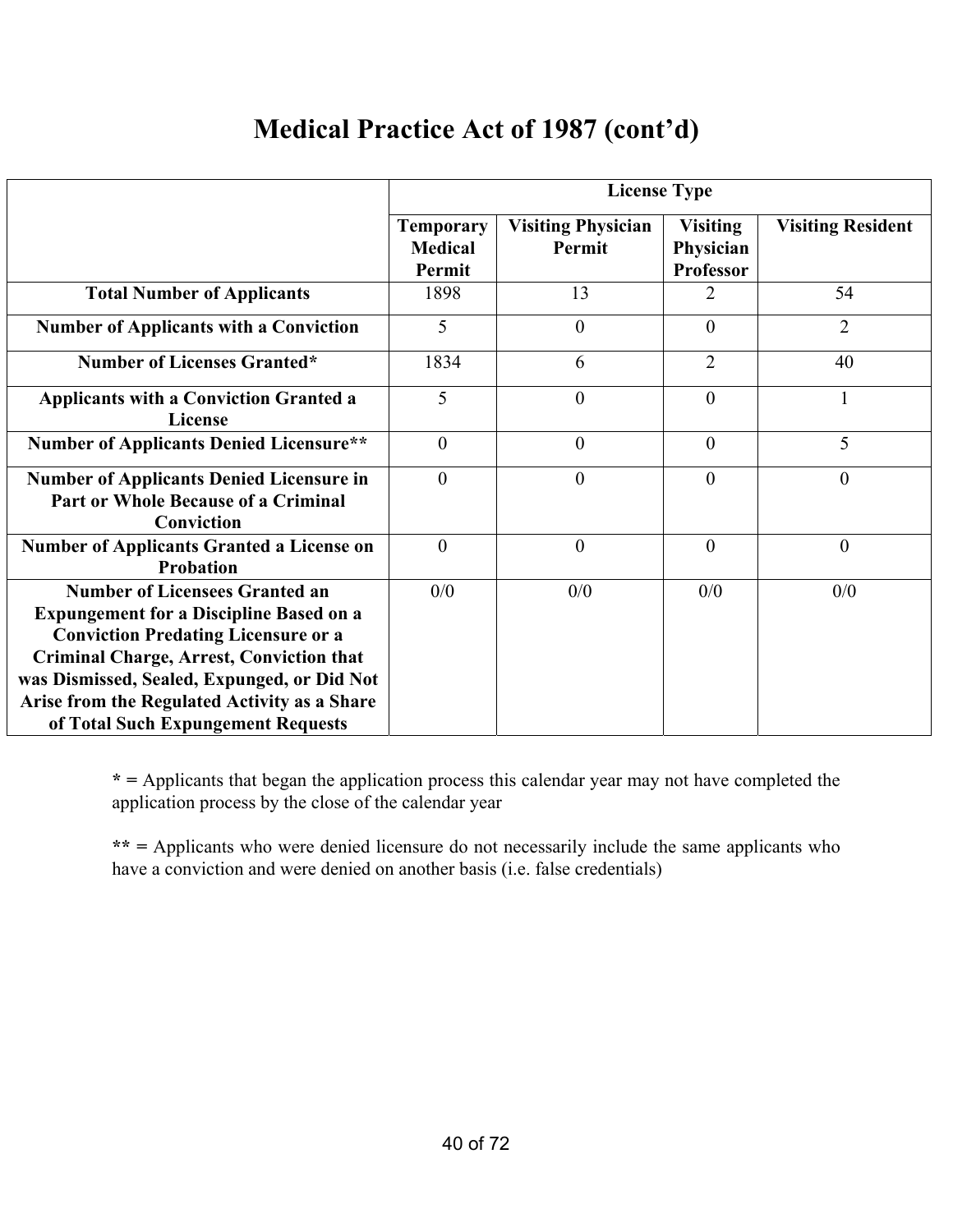### **Medical Practice Act of 1987 (cont'd)**

|                                                                                                                                                                                                                                                                                                                               | <b>License Type</b>                          |                                     |                                           |                          |  |
|-------------------------------------------------------------------------------------------------------------------------------------------------------------------------------------------------------------------------------------------------------------------------------------------------------------------------------|----------------------------------------------|-------------------------------------|-------------------------------------------|--------------------------|--|
|                                                                                                                                                                                                                                                                                                                               | <b>Temporary</b><br><b>Medical</b><br>Permit | <b>Visiting Physician</b><br>Permit | <b>Visiting</b><br>Physician<br>Professor | <b>Visiting Resident</b> |  |
| <b>Total Number of Applicants</b>                                                                                                                                                                                                                                                                                             | 1898                                         | 13                                  | 2                                         | 54                       |  |
| <b>Number of Applicants with a Conviction</b>                                                                                                                                                                                                                                                                                 | 5                                            | $\theta$                            | $\overline{0}$                            | $\overline{2}$           |  |
| <b>Number of Licenses Granted*</b>                                                                                                                                                                                                                                                                                            | 1834                                         | 6                                   | $\overline{2}$                            | 40                       |  |
| <b>Applicants with a Conviction Granted a</b><br>License                                                                                                                                                                                                                                                                      | 5                                            | $\boldsymbol{0}$                    | $\overline{0}$                            |                          |  |
| <b>Number of Applicants Denied Licensure**</b>                                                                                                                                                                                                                                                                                | $\overline{0}$                               | $\overline{0}$                      | $\overline{0}$                            | 5                        |  |
| <b>Number of Applicants Denied Licensure in</b><br><b>Part or Whole Because of a Criminal</b><br>Conviction                                                                                                                                                                                                                   | $\theta$                                     | $\overline{0}$                      | $\theta$                                  | $\overline{0}$           |  |
| <b>Number of Applicants Granted a License on</b><br>Probation                                                                                                                                                                                                                                                                 | $\overline{0}$                               | $\boldsymbol{0}$                    | $\theta$                                  | $\boldsymbol{0}$         |  |
| <b>Number of Licensees Granted an</b><br><b>Expungement for a Discipline Based on a</b><br><b>Conviction Predating Licensure or a</b><br><b>Criminal Charge, Arrest, Conviction that</b><br>was Dismissed, Sealed, Expunged, or Did Not<br>Arise from the Regulated Activity as a Share<br>of Total Such Expungement Requests | 0/0                                          | 0/0                                 | 0/0                                       | 0/0                      |  |

**\* =** Applicants that began the application process this calendar year may not have completed the application process by the close of the calendar year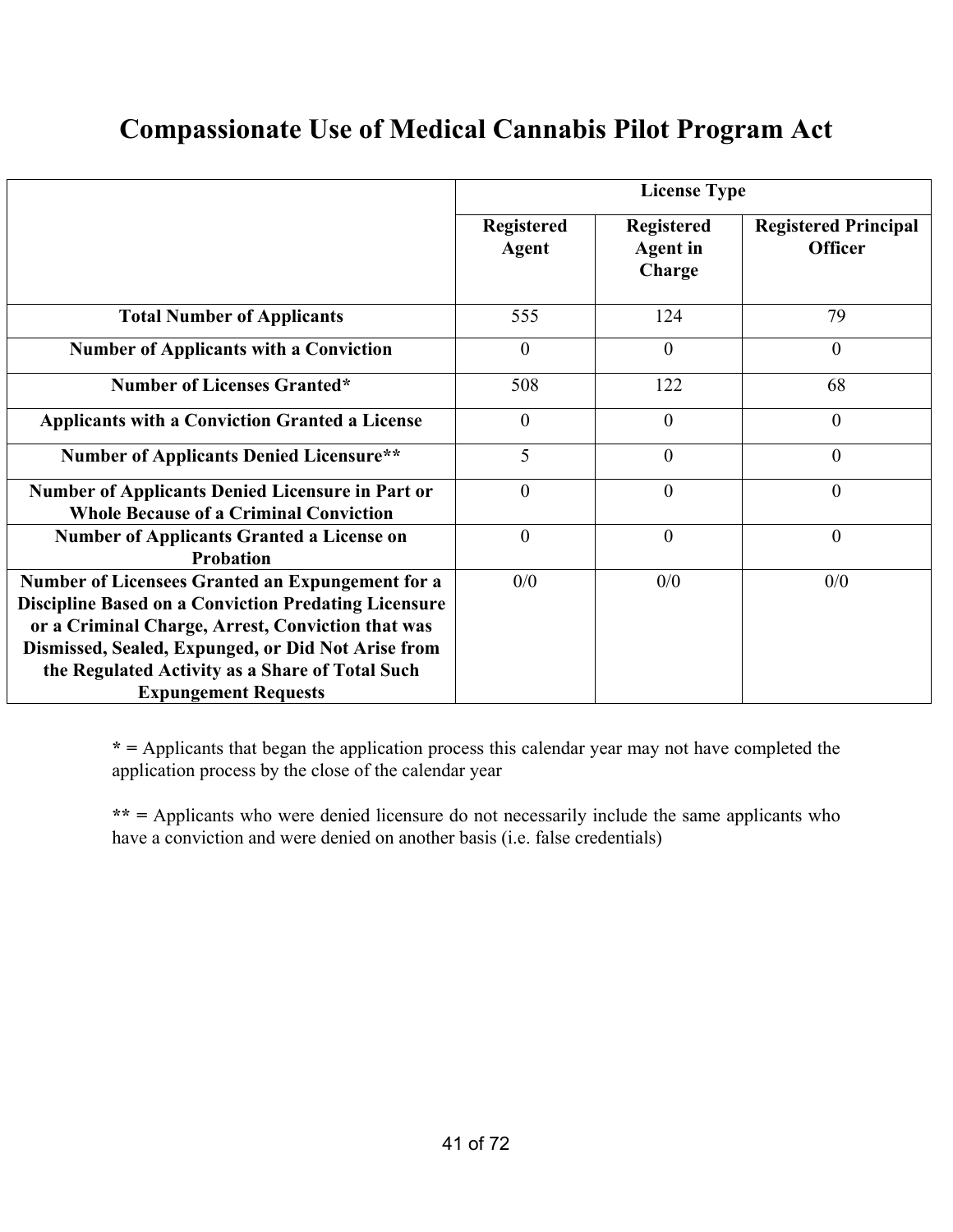## **Compassionate Use of Medical Cannabis Pilot Program Act**

|                                                                                                                                                                                                                                                                                                              | <b>License Type</b>               |                                                |                                               |  |
|--------------------------------------------------------------------------------------------------------------------------------------------------------------------------------------------------------------------------------------------------------------------------------------------------------------|-----------------------------------|------------------------------------------------|-----------------------------------------------|--|
|                                                                                                                                                                                                                                                                                                              | <b>Registered</b><br><b>Agent</b> | <b>Registered</b><br><b>Agent</b> in<br>Charge | <b>Registered Principal</b><br><b>Officer</b> |  |
| <b>Total Number of Applicants</b>                                                                                                                                                                                                                                                                            | 555                               | 124                                            | 79                                            |  |
| <b>Number of Applicants with a Conviction</b>                                                                                                                                                                                                                                                                | $\theta$                          | $\theta$                                       | $\overline{0}$                                |  |
| <b>Number of Licenses Granted*</b>                                                                                                                                                                                                                                                                           | 508                               | 122                                            | 68                                            |  |
| <b>Applicants with a Conviction Granted a License</b>                                                                                                                                                                                                                                                        | $\overline{0}$                    | $\overline{0}$                                 | $\mathbf{0}$                                  |  |
| <b>Number of Applicants Denied Licensure**</b>                                                                                                                                                                                                                                                               | 5                                 | $\overline{0}$                                 | $\mathbf{0}$                                  |  |
| <b>Number of Applicants Denied Licensure in Part or</b><br><b>Whole Because of a Criminal Conviction</b>                                                                                                                                                                                                     | $\theta$                          | $\overline{0}$                                 | $\theta$                                      |  |
| <b>Number of Applicants Granted a License on</b><br><b>Probation</b>                                                                                                                                                                                                                                         | $\boldsymbol{0}$                  | $\mathbf{0}$                                   | $\overline{0}$                                |  |
| Number of Licensees Granted an Expungement for a<br><b>Discipline Based on a Conviction Predating Licensure</b><br>or a Criminal Charge, Arrest, Conviction that was<br>Dismissed, Sealed, Expunged, or Did Not Arise from<br>the Regulated Activity as a Share of Total Such<br><b>Expungement Requests</b> | 0/0                               | 0/0                                            | 0/0                                           |  |

**\* =** Applicants that began the application process this calendar year may not have completed the application process by the close of the calendar year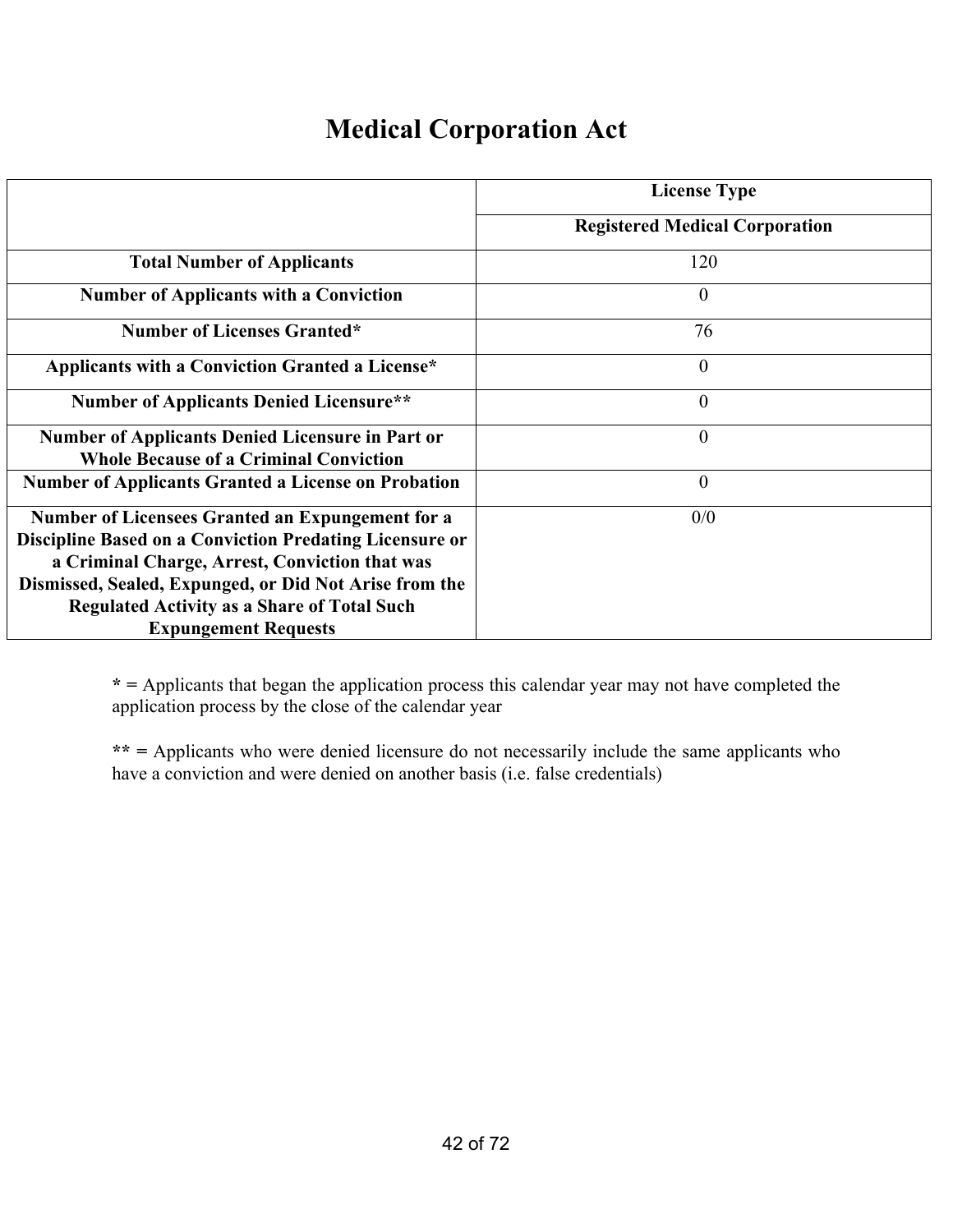## **Medical Corporation Act**

|                                                                | <b>License Type</b>                   |
|----------------------------------------------------------------|---------------------------------------|
|                                                                |                                       |
|                                                                | <b>Registered Medical Corporation</b> |
| <b>Total Number of Applicants</b>                              | 120                                   |
| <b>Number of Applicants with a Conviction</b>                  | $\mathbf{0}$                          |
| <b>Number of Licenses Granted*</b>                             | 76                                    |
| Applicants with a Conviction Granted a License*                | $\overline{0}$                        |
| <b>Number of Applicants Denied Licensure**</b>                 | $\theta$                              |
| <b>Number of Applicants Denied Licensure in Part or</b>        | $\overline{0}$                        |
| <b>Whole Because of a Criminal Conviction</b>                  |                                       |
| <b>Number of Applicants Granted a License on Probation</b>     | $\overline{0}$                        |
| <b>Number of Licensees Granted an Expungement for a</b>        | 0/0                                   |
| <b>Discipline Based on a Conviction Predating Licensure or</b> |                                       |
| a Criminal Charge, Arrest, Conviction that was                 |                                       |
| Dismissed, Sealed, Expunged, or Did Not Arise from the         |                                       |
| <b>Regulated Activity as a Share of Total Such</b>             |                                       |
| <b>Expungement Requests</b>                                    |                                       |

**\* =** Applicants that began the application process this calendar year may not have completed the application process by the close of the calendar year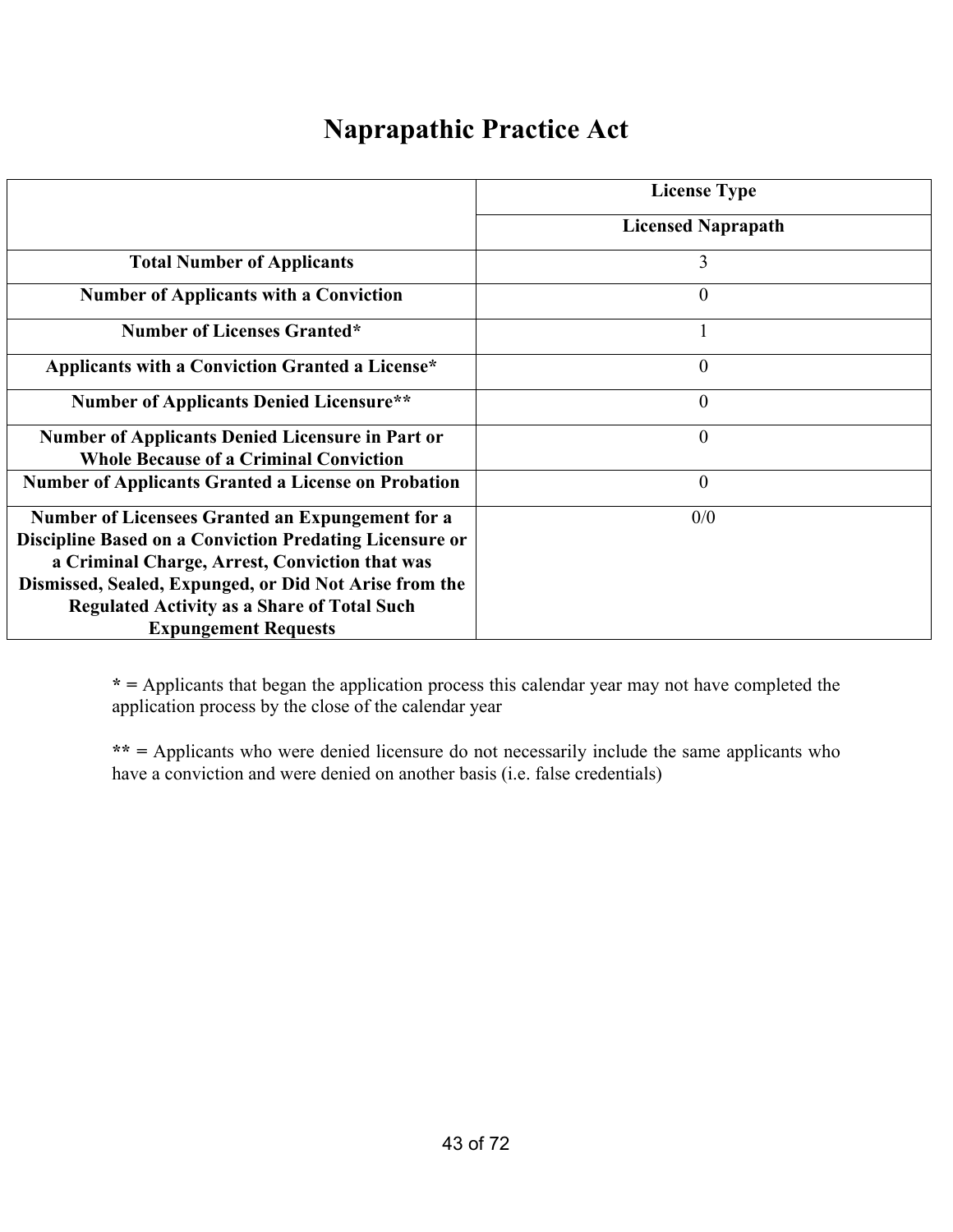### **Naprapathic Practice Act**

|                                                                                                                                                                                                                                                                                                                     | <b>License Type</b>       |
|---------------------------------------------------------------------------------------------------------------------------------------------------------------------------------------------------------------------------------------------------------------------------------------------------------------------|---------------------------|
|                                                                                                                                                                                                                                                                                                                     | <b>Licensed Naprapath</b> |
| <b>Total Number of Applicants</b>                                                                                                                                                                                                                                                                                   | $\overline{3}$            |
| <b>Number of Applicants with a Conviction</b>                                                                                                                                                                                                                                                                       | $\theta$                  |
| <b>Number of Licenses Granted*</b>                                                                                                                                                                                                                                                                                  |                           |
| Applicants with a Conviction Granted a License*                                                                                                                                                                                                                                                                     | $\theta$                  |
| <b>Number of Applicants Denied Licensure**</b>                                                                                                                                                                                                                                                                      | $\theta$                  |
| <b>Number of Applicants Denied Licensure in Part or</b><br><b>Whole Because of a Criminal Conviction</b>                                                                                                                                                                                                            | $\theta$                  |
| <b>Number of Applicants Granted a License on Probation</b>                                                                                                                                                                                                                                                          | $\overline{0}$            |
| <b>Number of Licensees Granted an Expungement for a</b><br>Discipline Based on a Conviction Predating Licensure or<br>a Criminal Charge, Arrest, Conviction that was<br>Dismissed, Sealed, Expunged, or Did Not Arise from the<br><b>Regulated Activity as a Share of Total Such</b><br><b>Expungement Requests</b> | 0/0                       |

**\* =** Applicants that began the application process this calendar year may not have completed the application process by the close of the calendar year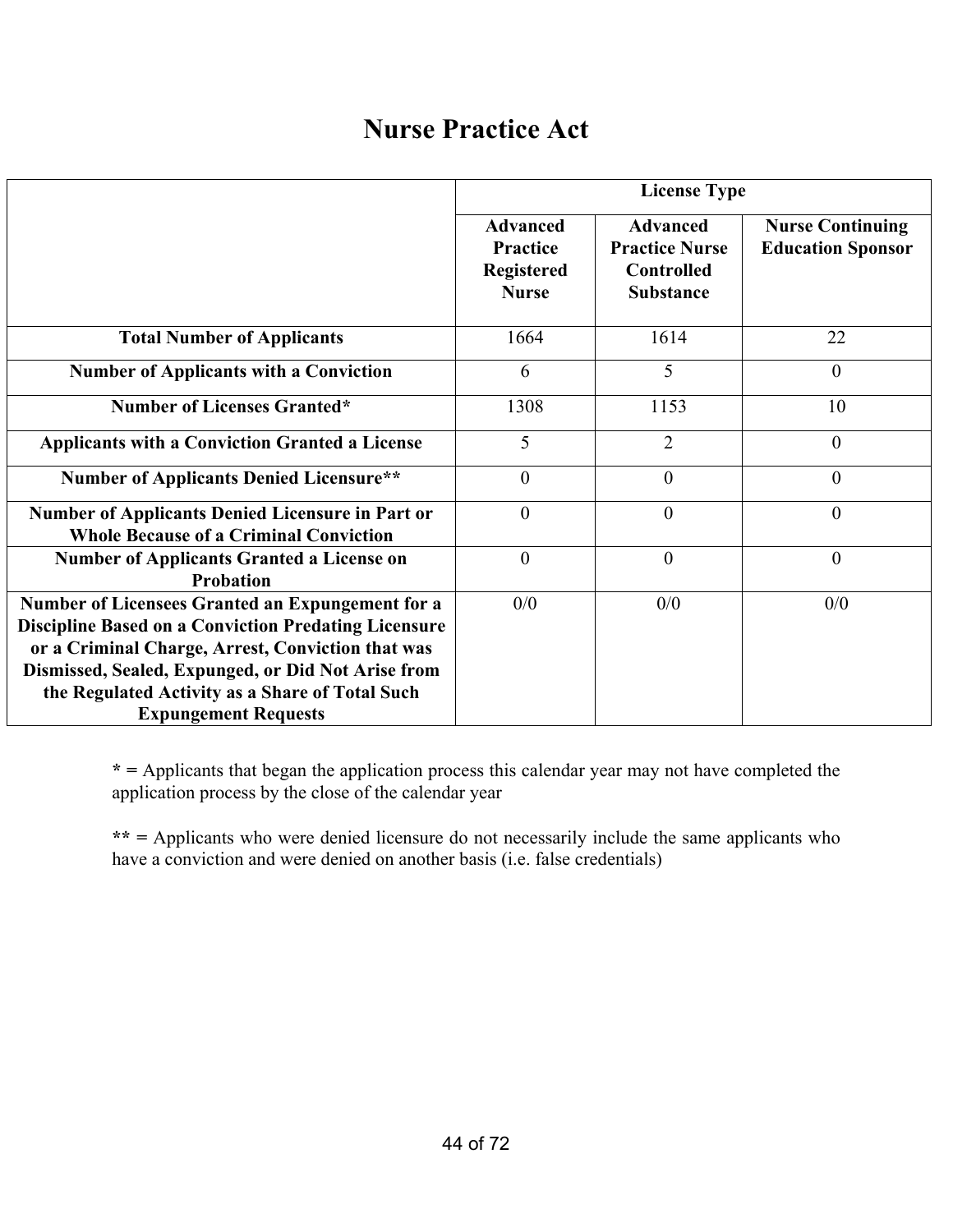### **Nurse Practice Act**

|                                                                                                                                                                                                                            |                                                                         | <b>License Type</b>                                                               |                                                     |  |  |
|----------------------------------------------------------------------------------------------------------------------------------------------------------------------------------------------------------------------------|-------------------------------------------------------------------------|-----------------------------------------------------------------------------------|-----------------------------------------------------|--|--|
|                                                                                                                                                                                                                            | <b>Advanced</b><br><b>Practice</b><br><b>Registered</b><br><b>Nurse</b> | <b>Advanced</b><br><b>Practice Nurse</b><br><b>Controlled</b><br><b>Substance</b> | <b>Nurse Continuing</b><br><b>Education Sponsor</b> |  |  |
| <b>Total Number of Applicants</b>                                                                                                                                                                                          | 1664                                                                    | 1614                                                                              | 22                                                  |  |  |
| <b>Number of Applicants with a Conviction</b>                                                                                                                                                                              | 6                                                                       | 5                                                                                 | $\overline{0}$                                      |  |  |
| <b>Number of Licenses Granted*</b>                                                                                                                                                                                         | 1308                                                                    | 1153                                                                              | 10                                                  |  |  |
| <b>Applicants with a Conviction Granted a License</b>                                                                                                                                                                      | 5                                                                       | $\overline{2}$                                                                    | $\overline{0}$                                      |  |  |
| <b>Number of Applicants Denied Licensure**</b>                                                                                                                                                                             | $\theta$                                                                | $\mathbf{0}$                                                                      | $\overline{0}$                                      |  |  |
| Number of Applicants Denied Licensure in Part or<br><b>Whole Because of a Criminal Conviction</b>                                                                                                                          | $\theta$                                                                | $\mathbf{0}$                                                                      | $\overline{0}$                                      |  |  |
| <b>Number of Applicants Granted a License on</b><br><b>Probation</b>                                                                                                                                                       | $\theta$                                                                | $\overline{0}$                                                                    | $\overline{0}$                                      |  |  |
| Number of Licensees Granted an Expungement for a<br><b>Discipline Based on a Conviction Predating Licensure</b><br>or a Criminal Charge, Arrest, Conviction that was<br>Dismissed, Sealed, Expunged, or Did Not Arise from | 0/0                                                                     | 0/0                                                                               | 0/0                                                 |  |  |
| the Regulated Activity as a Share of Total Such<br><b>Expungement Requests</b>                                                                                                                                             |                                                                         |                                                                                   |                                                     |  |  |

**\* =** Applicants that began the application process this calendar year may not have completed the application process by the close of the calendar year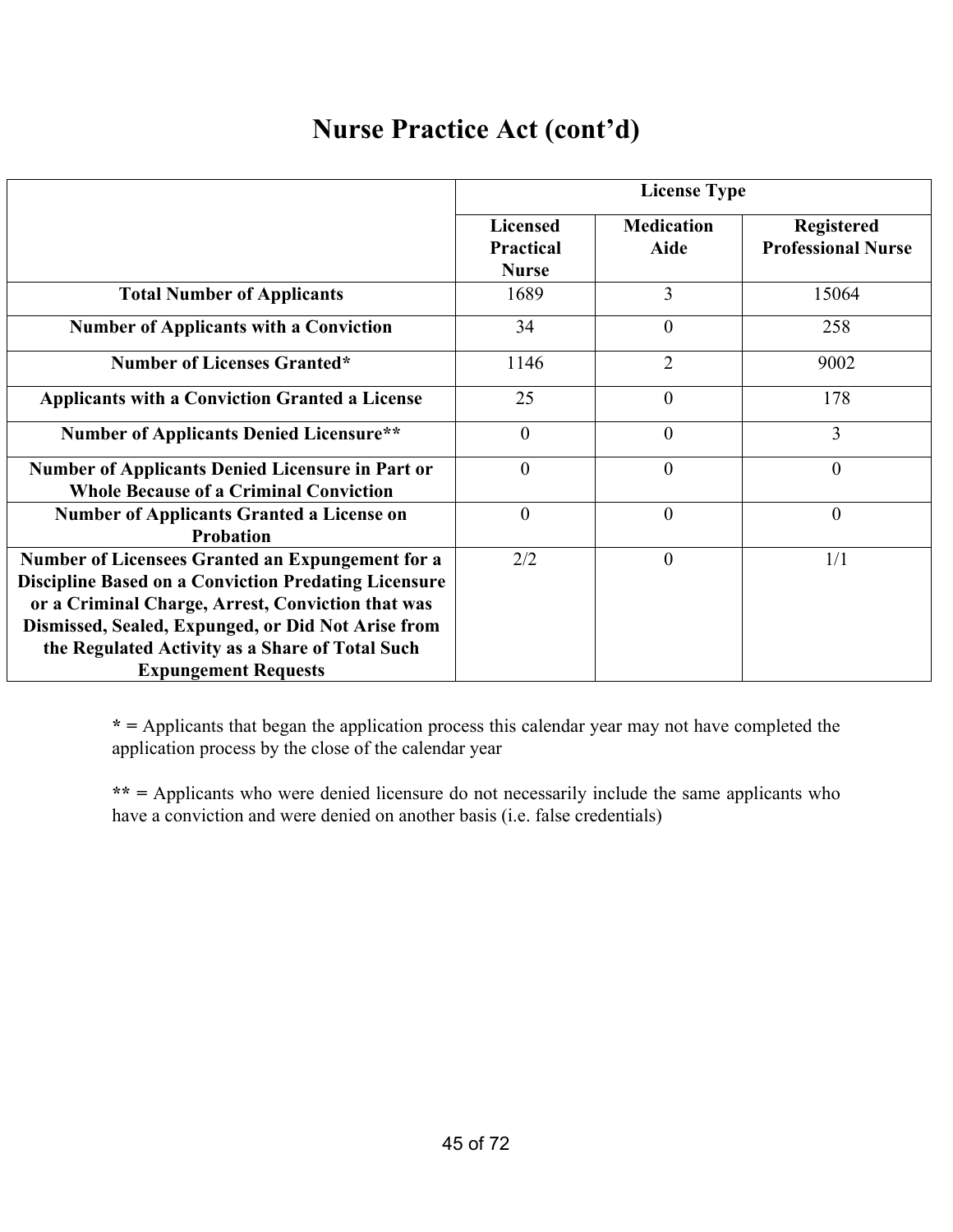# **Nurse Practice Act (cont'd)**

|                                                                                                                                                                                                                                                                                                              | <b>License Type</b>                                 |                                  |                                                |  |
|--------------------------------------------------------------------------------------------------------------------------------------------------------------------------------------------------------------------------------------------------------------------------------------------------------------|-----------------------------------------------------|----------------------------------|------------------------------------------------|--|
|                                                                                                                                                                                                                                                                                                              | <b>Licensed</b><br><b>Practical</b><br><b>Nurse</b> | <b>Medication</b><br><b>Aide</b> | <b>Registered</b><br><b>Professional Nurse</b> |  |
| <b>Total Number of Applicants</b>                                                                                                                                                                                                                                                                            | 1689                                                | $\overline{3}$                   | 15064                                          |  |
| <b>Number of Applicants with a Conviction</b>                                                                                                                                                                                                                                                                | 34                                                  | $\theta$                         | 258                                            |  |
| <b>Number of Licenses Granted*</b>                                                                                                                                                                                                                                                                           | 1146                                                | $\overline{2}$                   | 9002                                           |  |
| <b>Applicants with a Conviction Granted a License</b>                                                                                                                                                                                                                                                        | 25                                                  | $\theta$                         | 178                                            |  |
| <b>Number of Applicants Denied Licensure**</b>                                                                                                                                                                                                                                                               | $\theta$                                            | $\overline{0}$                   | 3                                              |  |
| <b>Number of Applicants Denied Licensure in Part or</b><br><b>Whole Because of a Criminal Conviction</b>                                                                                                                                                                                                     | $\theta$                                            | $\overline{0}$                   | $\overline{0}$                                 |  |
| <b>Number of Applicants Granted a License on</b><br><b>Probation</b>                                                                                                                                                                                                                                         | $\theta$                                            | $\overline{0}$                   | $\overline{0}$                                 |  |
| Number of Licensees Granted an Expungement for a<br><b>Discipline Based on a Conviction Predating Licensure</b><br>or a Criminal Charge, Arrest, Conviction that was<br>Dismissed, Sealed, Expunged, or Did Not Arise from<br>the Regulated Activity as a Share of Total Such<br><b>Expungement Requests</b> | 2/2                                                 | $\theta$                         | 1/1                                            |  |

**\* =** Applicants that began the application process this calendar year may not have completed the application process by the close of the calendar year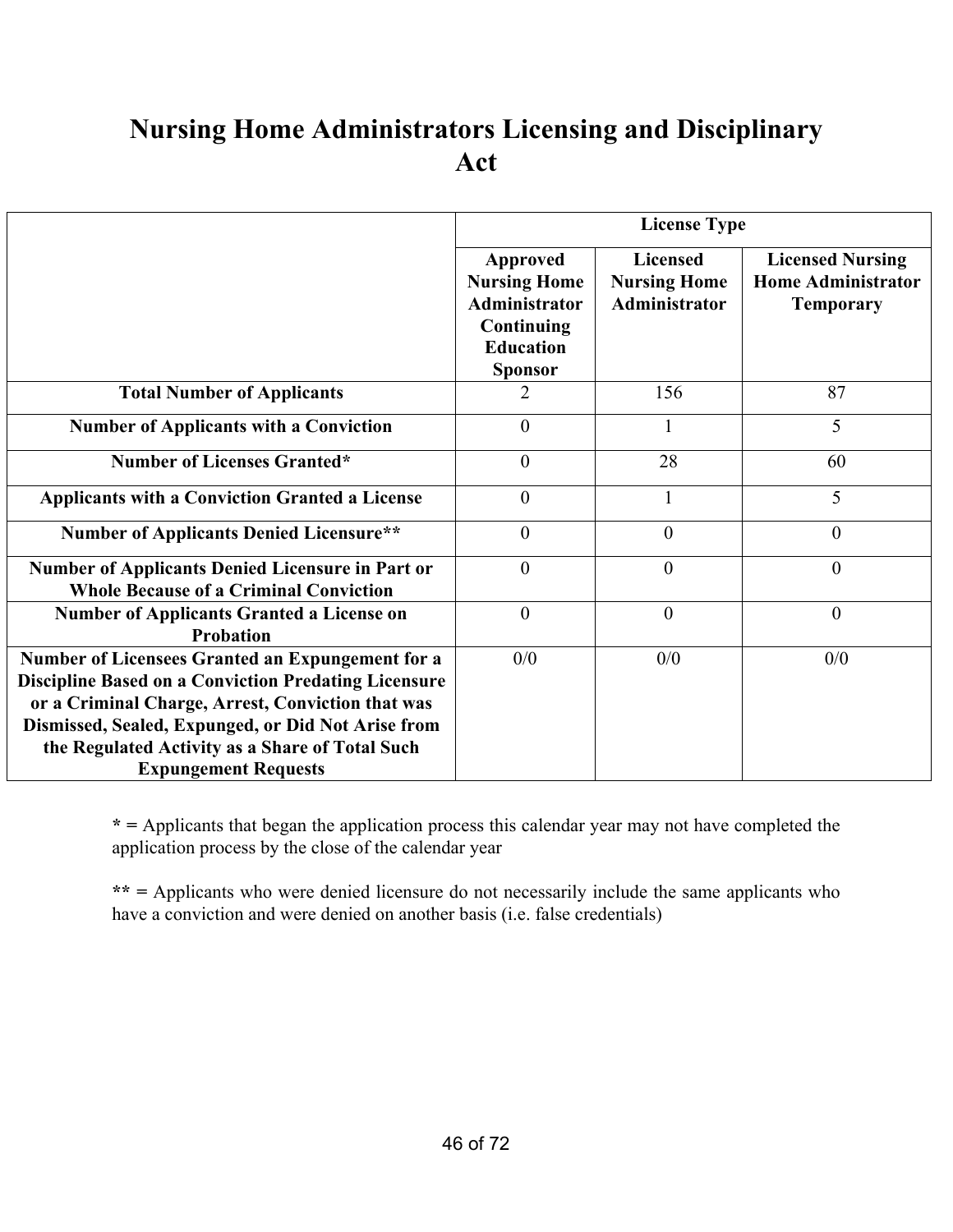## **Nursing Home Administrators Licensing and Disciplinary Act**

|                                                                                                                                                                                                                                                                                                              | <b>License Type</b>                                                                                  |                                                                |                                                                          |  |
|--------------------------------------------------------------------------------------------------------------------------------------------------------------------------------------------------------------------------------------------------------------------------------------------------------------|------------------------------------------------------------------------------------------------------|----------------------------------------------------------------|--------------------------------------------------------------------------|--|
|                                                                                                                                                                                                                                                                                                              | Approved<br><b>Nursing Home</b><br>Administrator<br>Continuing<br><b>Education</b><br><b>Sponsor</b> | <b>Licensed</b><br><b>Nursing Home</b><br><b>Administrator</b> | <b>Licensed Nursing</b><br><b>Home Administrator</b><br><b>Temporary</b> |  |
| <b>Total Number of Applicants</b>                                                                                                                                                                                                                                                                            | 2                                                                                                    | 156                                                            | 87                                                                       |  |
| <b>Number of Applicants with a Conviction</b>                                                                                                                                                                                                                                                                | $\mathbf{0}$                                                                                         | $\mathbf{1}$                                                   | 5                                                                        |  |
| <b>Number of Licenses Granted*</b>                                                                                                                                                                                                                                                                           | $\mathbf{0}$                                                                                         | 28                                                             | 60                                                                       |  |
| <b>Applicants with a Conviction Granted a License</b>                                                                                                                                                                                                                                                        | $\theta$                                                                                             |                                                                | 5                                                                        |  |
| <b>Number of Applicants Denied Licensure**</b>                                                                                                                                                                                                                                                               | $\theta$                                                                                             | $\theta$                                                       | $\overline{0}$                                                           |  |
| <b>Number of Applicants Denied Licensure in Part or</b><br><b>Whole Because of a Criminal Conviction</b>                                                                                                                                                                                                     | $\theta$                                                                                             | $\theta$                                                       | $\theta$                                                                 |  |
| <b>Number of Applicants Granted a License on</b><br><b>Probation</b>                                                                                                                                                                                                                                         | $\theta$                                                                                             | $\overline{0}$                                                 | $\overline{0}$                                                           |  |
| Number of Licensees Granted an Expungement for a<br><b>Discipline Based on a Conviction Predating Licensure</b><br>or a Criminal Charge, Arrest, Conviction that was<br>Dismissed, Sealed, Expunged, or Did Not Arise from<br>the Regulated Activity as a Share of Total Such<br><b>Expungement Requests</b> | 0/0                                                                                                  | 0/0                                                            | 0/0                                                                      |  |

**\* =** Applicants that began the application process this calendar year may not have completed the application process by the close of the calendar year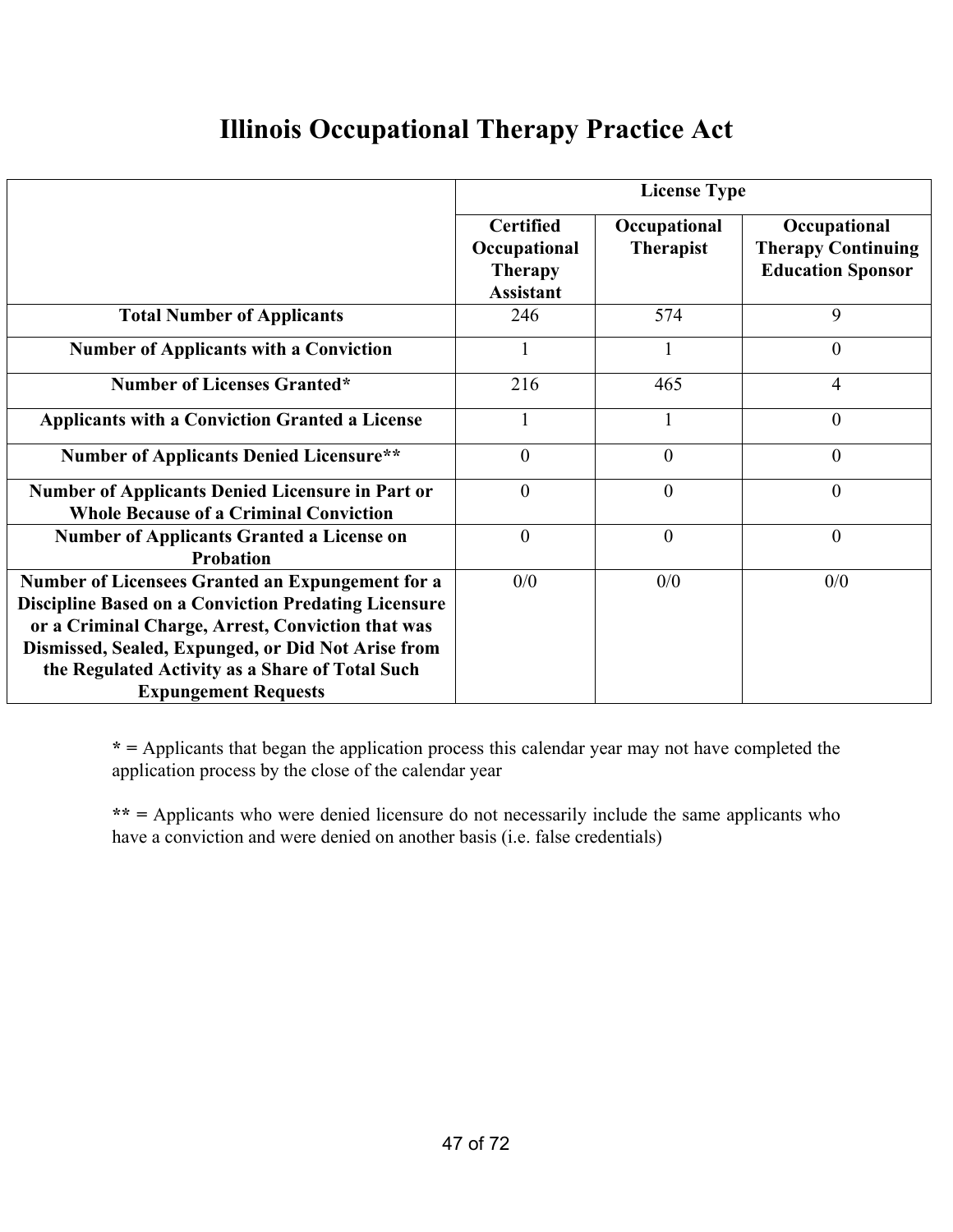## **Illinois Occupational Therapy Practice Act**

|                                                                                                                                                                                                                                                                                                              | <b>License Type</b>                                                    |                                  |                                                                       |  |
|--------------------------------------------------------------------------------------------------------------------------------------------------------------------------------------------------------------------------------------------------------------------------------------------------------------|------------------------------------------------------------------------|----------------------------------|-----------------------------------------------------------------------|--|
|                                                                                                                                                                                                                                                                                                              | <b>Certified</b><br>Occupational<br><b>Therapy</b><br><b>Assistant</b> | Occupational<br><b>Therapist</b> | Occupational<br><b>Therapy Continuing</b><br><b>Education Sponsor</b> |  |
| <b>Total Number of Applicants</b>                                                                                                                                                                                                                                                                            | 246                                                                    | 574                              | 9                                                                     |  |
| <b>Number of Applicants with a Conviction</b>                                                                                                                                                                                                                                                                |                                                                        |                                  | $\overline{0}$                                                        |  |
| <b>Number of Licenses Granted*</b>                                                                                                                                                                                                                                                                           | 216                                                                    | 465                              | 4                                                                     |  |
| <b>Applicants with a Conviction Granted a License</b>                                                                                                                                                                                                                                                        |                                                                        |                                  | $\theta$                                                              |  |
| <b>Number of Applicants Denied Licensure**</b>                                                                                                                                                                                                                                                               | $\theta$                                                               | $\overline{0}$                   | $\overline{0}$                                                        |  |
| <b>Number of Applicants Denied Licensure in Part or</b><br><b>Whole Because of a Criminal Conviction</b>                                                                                                                                                                                                     | $\theta$                                                               | $\theta$                         | $\theta$                                                              |  |
| <b>Number of Applicants Granted a License on</b><br><b>Probation</b>                                                                                                                                                                                                                                         | $\overline{0}$                                                         | $\mathbf{0}$                     | $\overline{0}$                                                        |  |
| Number of Licensees Granted an Expungement for a<br><b>Discipline Based on a Conviction Predating Licensure</b><br>or a Criminal Charge, Arrest, Conviction that was<br>Dismissed, Sealed, Expunged, or Did Not Arise from<br>the Regulated Activity as a Share of Total Such<br><b>Expungement Requests</b> | 0/0                                                                    | 0/0                              | 0/0                                                                   |  |

**\* =** Applicants that began the application process this calendar year may not have completed the application process by the close of the calendar year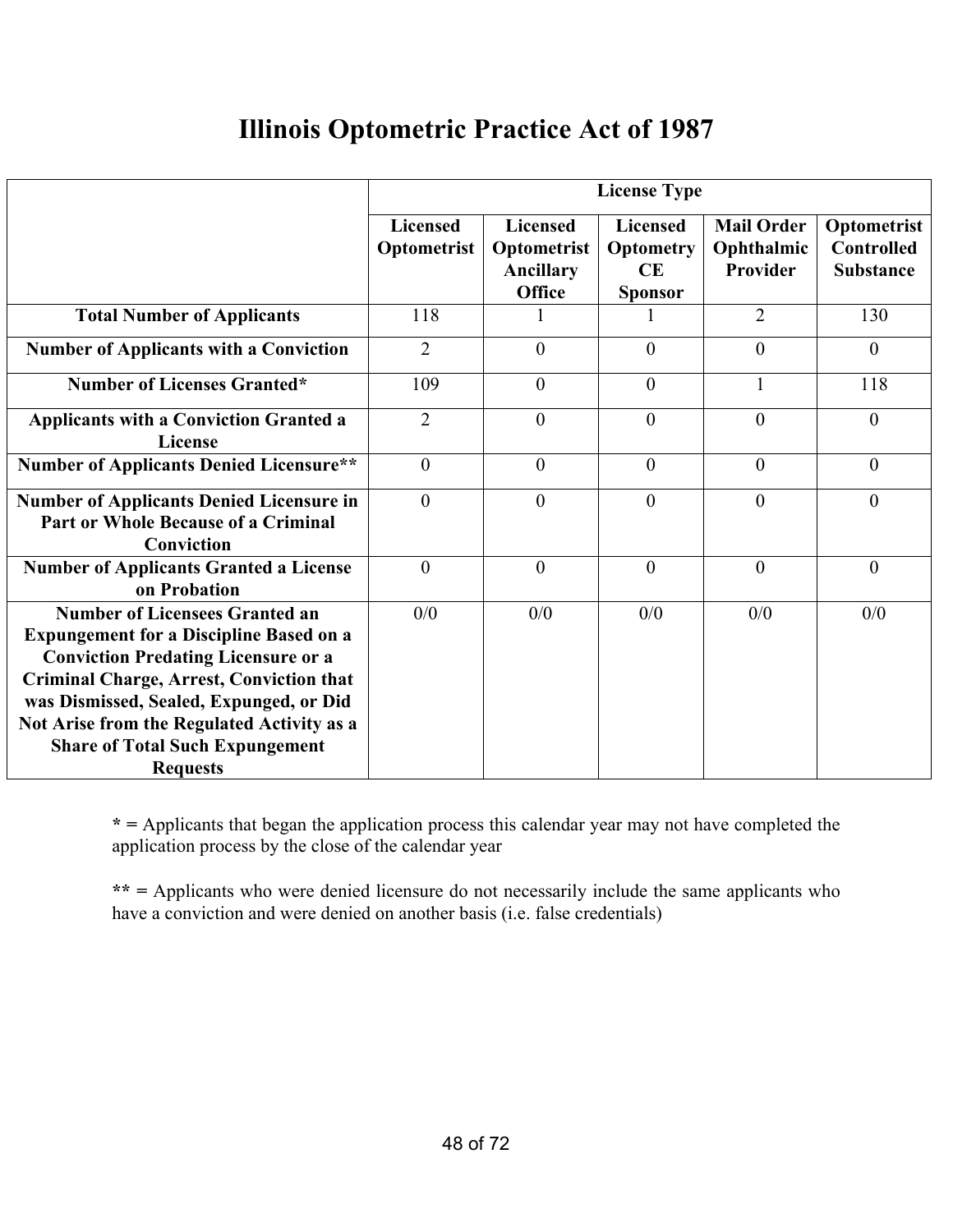### **Illinois Optometric Practice Act of 1987**

|                                                                                                                                                                                                                                                                                                                                                | <b>License Type</b>            |                                                       |                                                             |                                             |                                                      |
|------------------------------------------------------------------------------------------------------------------------------------------------------------------------------------------------------------------------------------------------------------------------------------------------------------------------------------------------|--------------------------------|-------------------------------------------------------|-------------------------------------------------------------|---------------------------------------------|------------------------------------------------------|
|                                                                                                                                                                                                                                                                                                                                                | <b>Licensed</b><br>Optometrist | <b>Licensed</b><br>Optometrist<br>Ancillary<br>Office | <b>Licensed</b><br><b>Optometry</b><br>CE<br><b>Sponsor</b> | <b>Mail Order</b><br>Ophthalmic<br>Provider | Optometrist<br><b>Controlled</b><br><b>Substance</b> |
| <b>Total Number of Applicants</b>                                                                                                                                                                                                                                                                                                              | 118                            |                                                       |                                                             | $\overline{2}$                              | 130                                                  |
| <b>Number of Applicants with a Conviction</b>                                                                                                                                                                                                                                                                                                  | $\overline{2}$                 | $\theta$                                              | $\overline{0}$                                              | $\overline{0}$                              | $\overline{0}$                                       |
| <b>Number of Licenses Granted*</b>                                                                                                                                                                                                                                                                                                             | 109                            | $\theta$                                              | $\overline{0}$                                              |                                             | 118                                                  |
| <b>Applicants with a Conviction Granted a</b><br>License                                                                                                                                                                                                                                                                                       | $\overline{2}$                 | $\theta$                                              | $\overline{0}$                                              | $\theta$                                    | $\overline{0}$                                       |
| <b>Number of Applicants Denied Licensure**</b>                                                                                                                                                                                                                                                                                                 | $\overline{0}$                 | $\overline{0}$                                        | $\mathbf{0}$                                                | $\theta$                                    | $\theta$                                             |
| <b>Number of Applicants Denied Licensure in</b><br><b>Part or Whole Because of a Criminal</b><br>Conviction                                                                                                                                                                                                                                    | $\theta$                       | $\theta$                                              | $\theta$                                                    | $\theta$                                    | $\theta$                                             |
| <b>Number of Applicants Granted a License</b><br>on Probation                                                                                                                                                                                                                                                                                  | $\theta$                       | $\theta$                                              | $\theta$                                                    | $\theta$                                    | $\overline{0}$                                       |
| <b>Number of Licensees Granted an</b><br><b>Expungement for a Discipline Based on a</b><br><b>Conviction Predating Licensure or a</b><br><b>Criminal Charge, Arrest, Conviction that</b><br>was Dismissed, Sealed, Expunged, or Did<br>Not Arise from the Regulated Activity as a<br><b>Share of Total Such Expungement</b><br><b>Requests</b> | 0/0                            | 0/0                                                   | 0/0                                                         | 0/0                                         | 0/0                                                  |

**\* =** Applicants that began the application process this calendar year may not have completed the application process by the close of the calendar year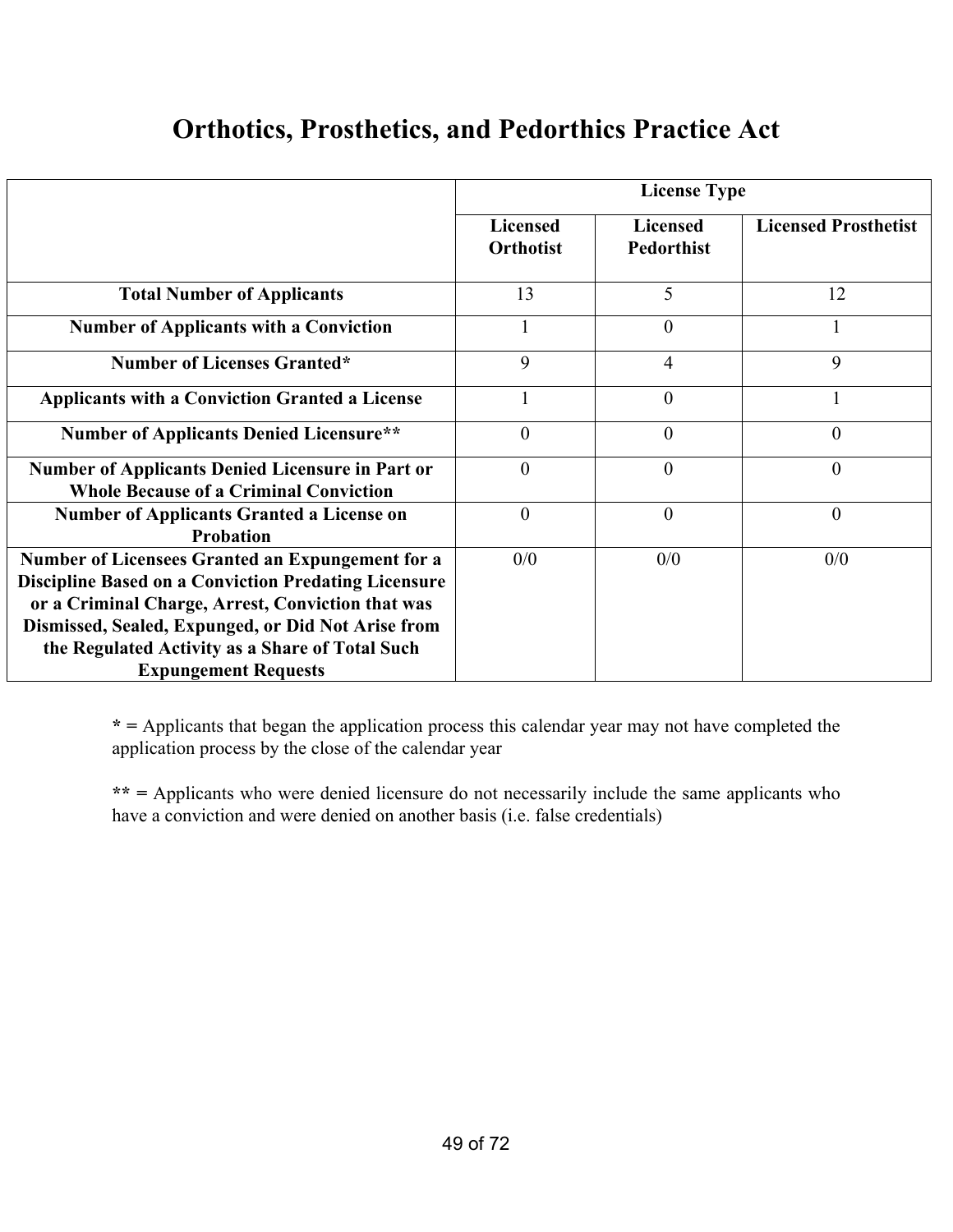### **Orthotics, Prosthetics, and Pedorthics Practice Act**

|                                                                                                                                                                                                                            | <b>License Type</b>                 |                                      |                             |
|----------------------------------------------------------------------------------------------------------------------------------------------------------------------------------------------------------------------------|-------------------------------------|--------------------------------------|-----------------------------|
|                                                                                                                                                                                                                            | <b>Licensed</b><br><b>Orthotist</b> | <b>Licensed</b><br><b>Pedorthist</b> | <b>Licensed Prosthetist</b> |
| <b>Total Number of Applicants</b>                                                                                                                                                                                          | 13                                  | 5                                    | 12                          |
| <b>Number of Applicants with a Conviction</b>                                                                                                                                                                              |                                     | $\overline{0}$                       |                             |
| <b>Number of Licenses Granted*</b>                                                                                                                                                                                         | 9                                   | $\overline{4}$                       | 9                           |
| <b>Applicants with a Conviction Granted a License</b>                                                                                                                                                                      |                                     | $\theta$                             |                             |
| <b>Number of Applicants Denied Licensure**</b>                                                                                                                                                                             | $\theta$                            | $\theta$                             | $\overline{0}$              |
| <b>Number of Applicants Denied Licensure in Part or</b><br><b>Whole Because of a Criminal Conviction</b>                                                                                                                   | $\theta$                            | $\theta$                             | $\overline{0}$              |
| <b>Number of Applicants Granted a License on</b><br><b>Probation</b>                                                                                                                                                       | $\theta$                            | $\theta$                             | $\overline{0}$              |
| Number of Licensees Granted an Expungement for a<br><b>Discipline Based on a Conviction Predating Licensure</b><br>or a Criminal Charge, Arrest, Conviction that was<br>Dismissed, Sealed, Expunged, or Did Not Arise from | 0/0                                 | 0/0                                  | 0/0                         |
| the Regulated Activity as a Share of Total Such<br><b>Expungement Requests</b>                                                                                                                                             |                                     |                                      |                             |

**\* =** Applicants that began the application process this calendar year may not have completed the application process by the close of the calendar year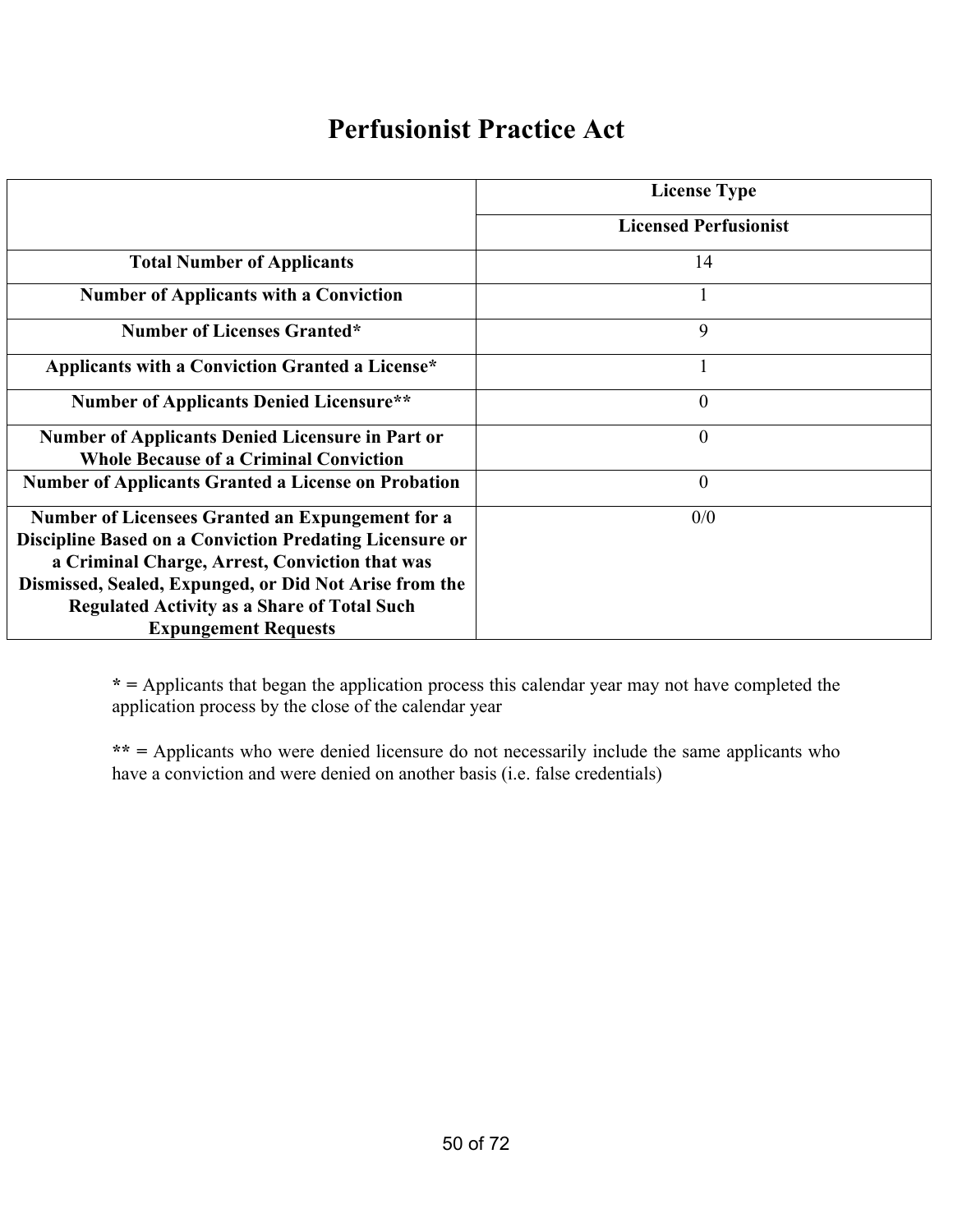#### **Perfusionist Practice Act**

|                                                            | <b>License Type</b>          |
|------------------------------------------------------------|------------------------------|
|                                                            | <b>Licensed Perfusionist</b> |
| <b>Total Number of Applicants</b>                          | 14                           |
| <b>Number of Applicants with a Conviction</b>              | 1                            |
| <b>Number of Licenses Granted*</b>                         | 9                            |
| Applicants with a Conviction Granted a License*            | 1                            |
| <b>Number of Applicants Denied Licensure**</b>             | $\theta$                     |
| <b>Number of Applicants Denied Licensure in Part or</b>    | $\theta$                     |
| <b>Whole Because of a Criminal Conviction</b>              |                              |
| <b>Number of Applicants Granted a License on Probation</b> | $\theta$                     |
| <b>Number of Licensees Granted an Expungement for a</b>    | 0/0                          |
| Discipline Based on a Conviction Predating Licensure or    |                              |
| a Criminal Charge, Arrest, Conviction that was             |                              |
| Dismissed, Sealed, Expunged, or Did Not Arise from the     |                              |
| <b>Regulated Activity as a Share of Total Such</b>         |                              |
| <b>Expungement Requests</b>                                |                              |

**\* =** Applicants that began the application process this calendar year may not have completed the application process by the close of the calendar year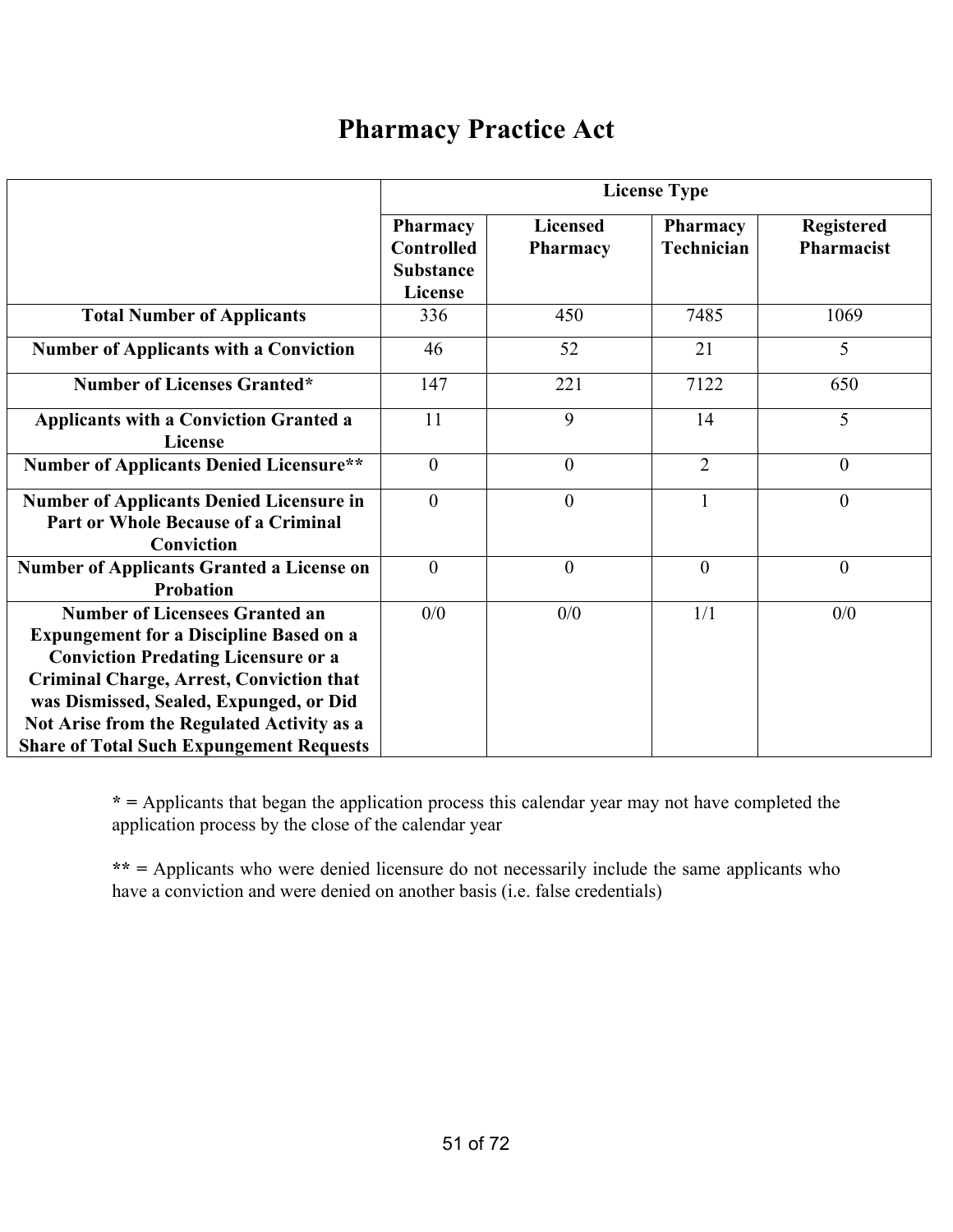#### **Pharmacy Practice Act**

|                                                                                                                                                                                                                                                                                                                                      | <b>License Type</b>                                                 |                                    |                               |                                 |
|--------------------------------------------------------------------------------------------------------------------------------------------------------------------------------------------------------------------------------------------------------------------------------------------------------------------------------------|---------------------------------------------------------------------|------------------------------------|-------------------------------|---------------------------------|
|                                                                                                                                                                                                                                                                                                                                      | <b>Pharmacy</b><br>Controlled<br><b>Substance</b><br><b>License</b> | <b>Licensed</b><br><b>Pharmacy</b> | Pharmacy<br><b>Technician</b> | <b>Registered</b><br>Pharmacist |
| <b>Total Number of Applicants</b>                                                                                                                                                                                                                                                                                                    | 336                                                                 | 450                                | 7485                          | 1069                            |
| <b>Number of Applicants with a Conviction</b>                                                                                                                                                                                                                                                                                        | 46                                                                  | 52                                 | 21                            | 5                               |
| <b>Number of Licenses Granted*</b>                                                                                                                                                                                                                                                                                                   | 147                                                                 | 221                                | 7122                          | 650                             |
| <b>Applicants with a Conviction Granted a</b><br><b>License</b>                                                                                                                                                                                                                                                                      | 11                                                                  | 9                                  | 14                            | 5                               |
| <b>Number of Applicants Denied Licensure**</b>                                                                                                                                                                                                                                                                                       | $\boldsymbol{0}$                                                    | $\overline{0}$                     | $\overline{2}$                | $\overline{0}$                  |
| <b>Number of Applicants Denied Licensure in</b><br><b>Part or Whole Because of a Criminal</b><br>Conviction                                                                                                                                                                                                                          | $\boldsymbol{0}$                                                    | $\overline{0}$                     | $\mathbf{1}$                  | $\boldsymbol{0}$                |
| <b>Number of Applicants Granted a License on</b><br><b>Probation</b>                                                                                                                                                                                                                                                                 | $\overline{0}$                                                      | $\theta$                           | $\theta$                      | $\overline{0}$                  |
| <b>Number of Licensees Granted an</b><br><b>Expungement for a Discipline Based on a</b><br><b>Conviction Predating Licensure or a</b><br><b>Criminal Charge, Arrest, Conviction that</b><br>was Dismissed, Sealed, Expunged, or Did<br>Not Arise from the Regulated Activity as a<br><b>Share of Total Such Expungement Requests</b> | 0/0                                                                 | 0/0                                | 1/1                           | 0/0                             |

**\* =** Applicants that began the application process this calendar year may not have completed the application process by the close of the calendar year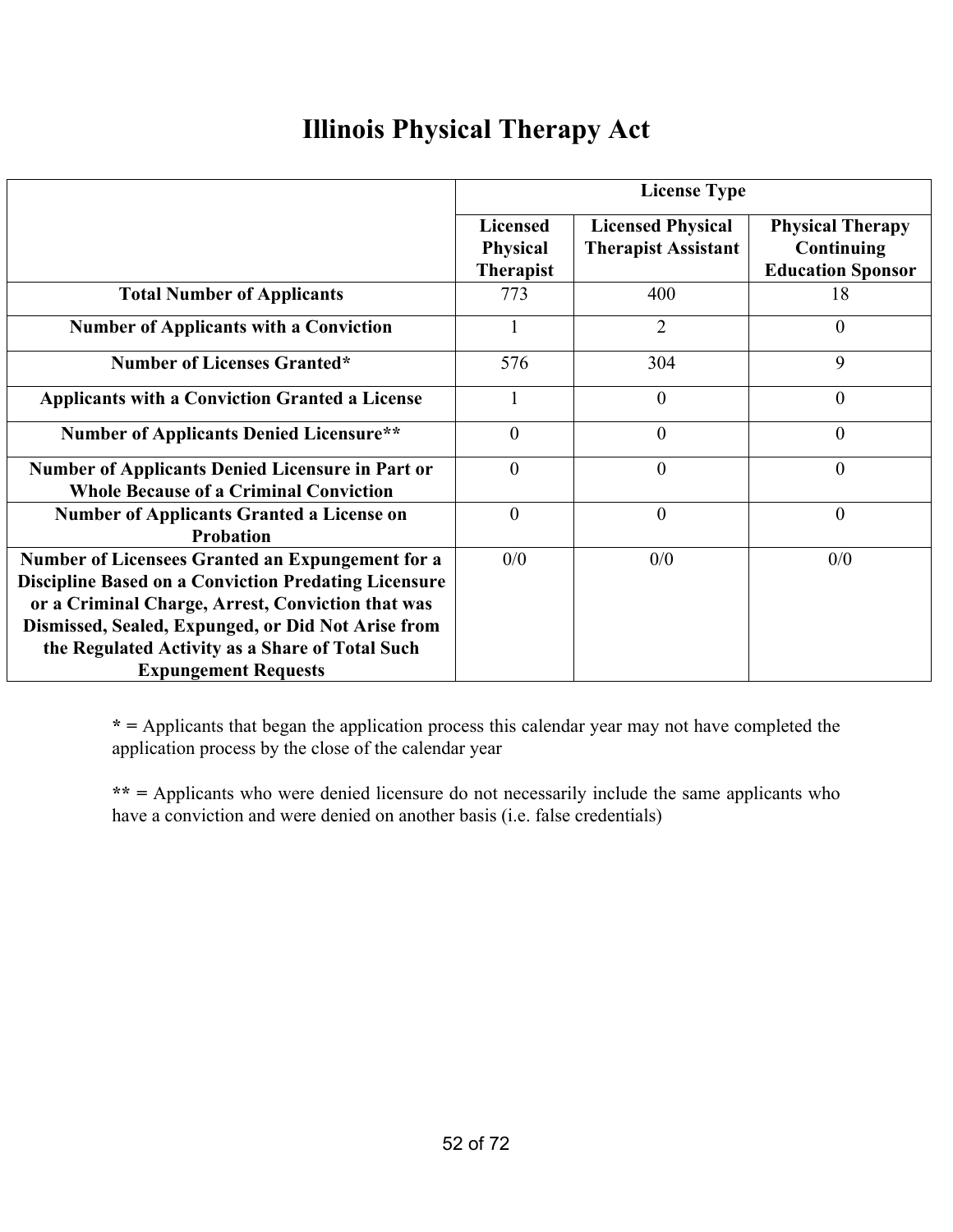# **Illinois Physical Therapy Act**

|                                                                                                                                                                                                                                                                                                              | <b>License Type</b>                                    |                                                        |                                                                   |
|--------------------------------------------------------------------------------------------------------------------------------------------------------------------------------------------------------------------------------------------------------------------------------------------------------------|--------------------------------------------------------|--------------------------------------------------------|-------------------------------------------------------------------|
|                                                                                                                                                                                                                                                                                                              | <b>Licensed</b><br><b>Physical</b><br><b>Therapist</b> | <b>Licensed Physical</b><br><b>Therapist Assistant</b> | <b>Physical Therapy</b><br>Continuing<br><b>Education Sponsor</b> |
| <b>Total Number of Applicants</b>                                                                                                                                                                                                                                                                            | 773                                                    | 400                                                    | 18                                                                |
| <b>Number of Applicants with a Conviction</b>                                                                                                                                                                                                                                                                |                                                        | $\overline{2}$                                         | $\theta$                                                          |
| <b>Number of Licenses Granted*</b>                                                                                                                                                                                                                                                                           | 576                                                    | 304                                                    | 9                                                                 |
| <b>Applicants with a Conviction Granted a License</b>                                                                                                                                                                                                                                                        |                                                        | $\theta$                                               | $\theta$                                                          |
| <b>Number of Applicants Denied Licensure**</b>                                                                                                                                                                                                                                                               | $\theta$                                               | $\theta$                                               | $\theta$                                                          |
| <b>Number of Applicants Denied Licensure in Part or</b><br><b>Whole Because of a Criminal Conviction</b>                                                                                                                                                                                                     | $\overline{0}$                                         | $\theta$                                               | $\overline{0}$                                                    |
| <b>Number of Applicants Granted a License on</b><br><b>Probation</b>                                                                                                                                                                                                                                         | $\theta$                                               | $\theta$                                               | $\overline{0}$                                                    |
| Number of Licensees Granted an Expungement for a<br><b>Discipline Based on a Conviction Predating Licensure</b><br>or a Criminal Charge, Arrest, Conviction that was<br>Dismissed, Sealed, Expunged, or Did Not Arise from<br>the Regulated Activity as a Share of Total Such<br><b>Expungement Requests</b> | 0/0                                                    | 0/0                                                    | 0/0                                                               |

**\* =** Applicants that began the application process this calendar year may not have completed the application process by the close of the calendar year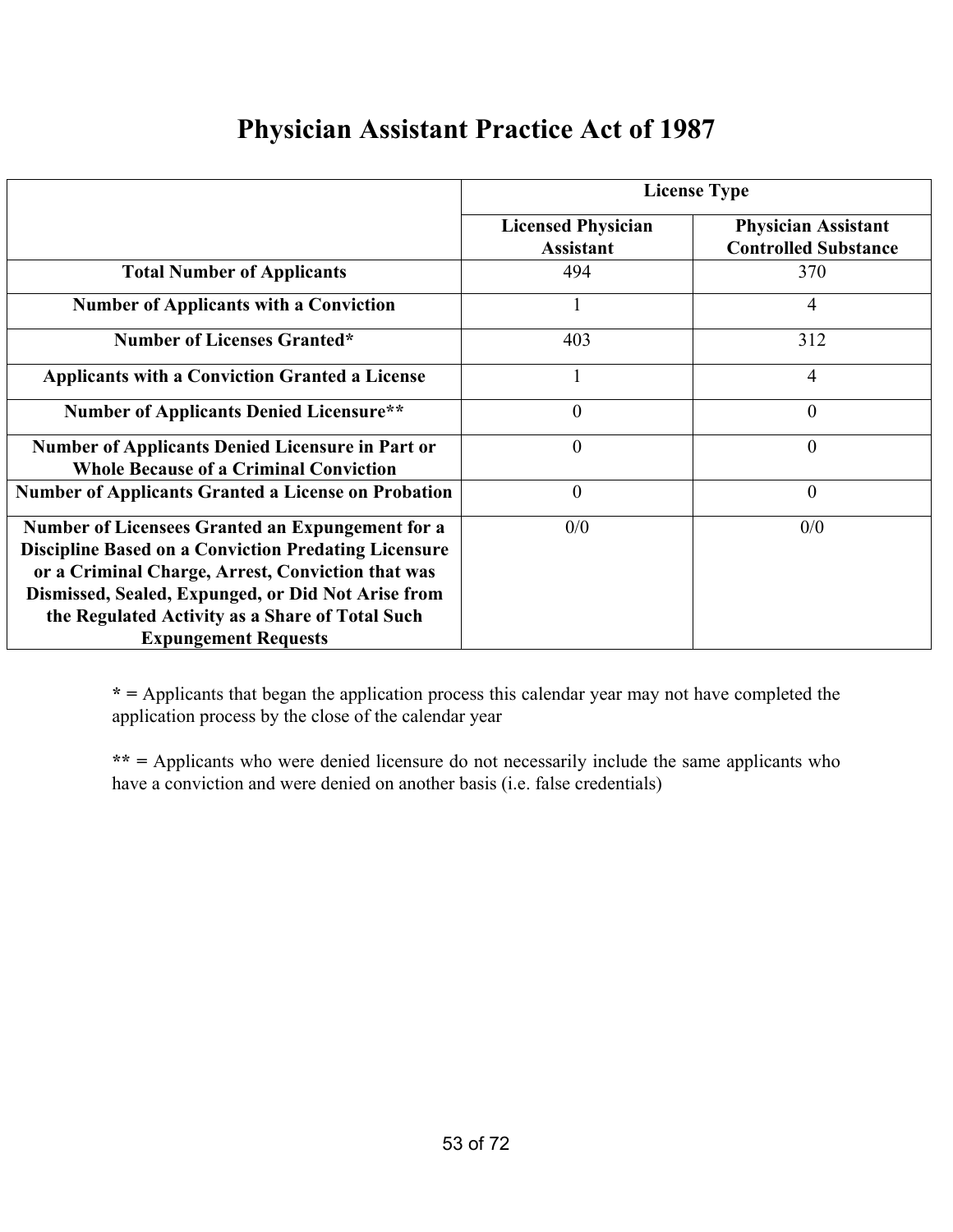|                                                                                                                                                                                                                                                                                                              | <b>License Type</b>                           |                                                           |  |
|--------------------------------------------------------------------------------------------------------------------------------------------------------------------------------------------------------------------------------------------------------------------------------------------------------------|-----------------------------------------------|-----------------------------------------------------------|--|
|                                                                                                                                                                                                                                                                                                              | <b>Licensed Physician</b><br><b>Assistant</b> | <b>Physician Assistant</b><br><b>Controlled Substance</b> |  |
| <b>Total Number of Applicants</b>                                                                                                                                                                                                                                                                            | 494                                           | 370                                                       |  |
| <b>Number of Applicants with a Conviction</b>                                                                                                                                                                                                                                                                |                                               | 4                                                         |  |
| <b>Number of Licenses Granted*</b>                                                                                                                                                                                                                                                                           | 403                                           | 312                                                       |  |
| <b>Applicants with a Conviction Granted a License</b>                                                                                                                                                                                                                                                        |                                               | 4                                                         |  |
| <b>Number of Applicants Denied Licensure**</b>                                                                                                                                                                                                                                                               | $\mathbf{0}$                                  | $\overline{0}$                                            |  |
| <b>Number of Applicants Denied Licensure in Part or</b><br><b>Whole Because of a Criminal Conviction</b>                                                                                                                                                                                                     | $\overline{0}$                                | $\overline{0}$                                            |  |
| <b>Number of Applicants Granted a License on Probation</b>                                                                                                                                                                                                                                                   | $\mathbf{0}$                                  | $\overline{0}$                                            |  |
| Number of Licensees Granted an Expungement for a<br><b>Discipline Based on a Conviction Predating Licensure</b><br>or a Criminal Charge, Arrest, Conviction that was<br>Dismissed, Sealed, Expunged, or Did Not Arise from<br>the Regulated Activity as a Share of Total Such<br><b>Expungement Requests</b> | 0/0                                           | 0/0                                                       |  |

### **Physician Assistant Practice Act of 1987**

**\* =** Applicants that began the application process this calendar year may not have completed the application process by the close of the calendar year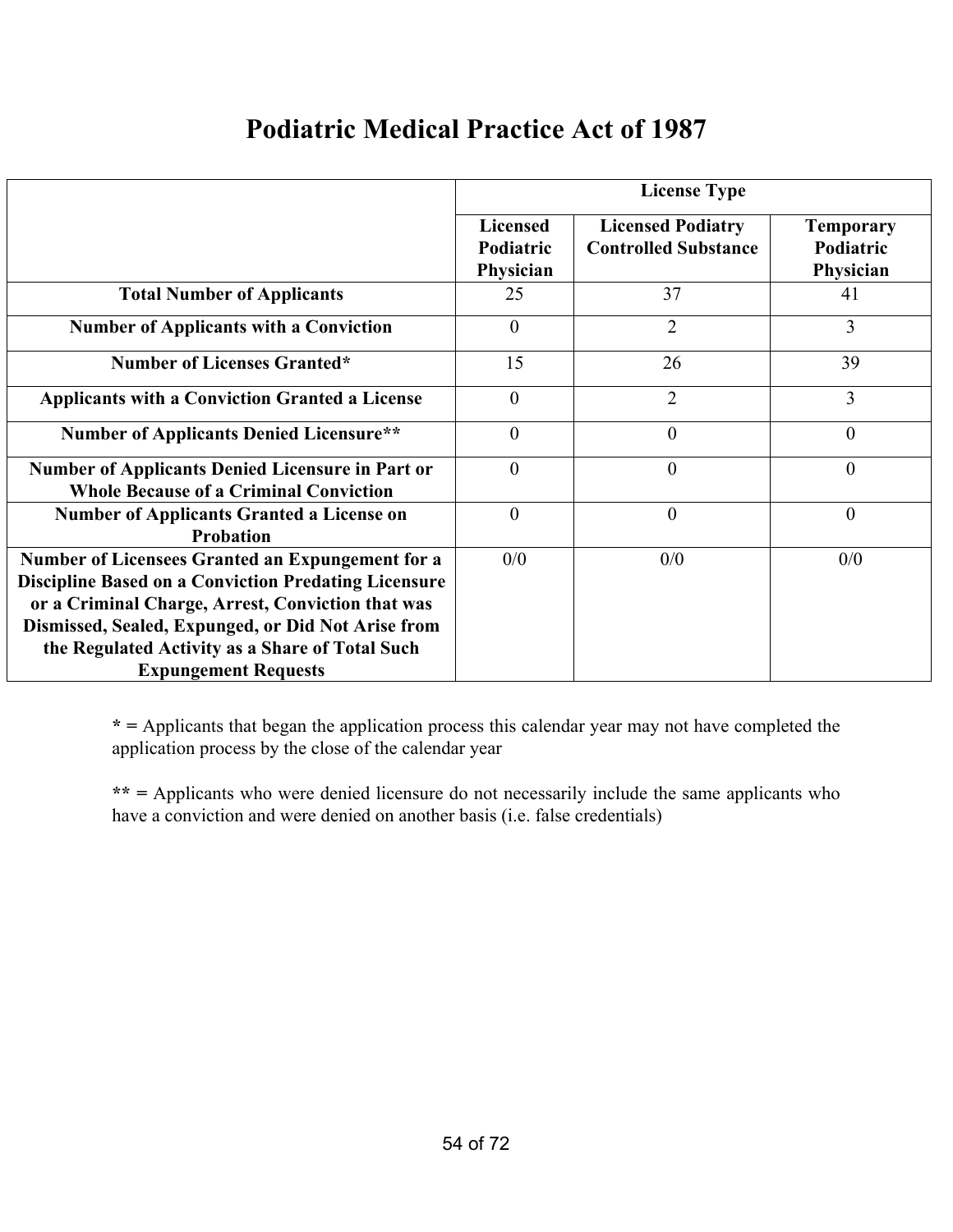## **Podiatric Medical Practice Act of 1987**

|                                                                                                                                                                                                                            | <b>License Type</b>                       |                                                         |                                            |
|----------------------------------------------------------------------------------------------------------------------------------------------------------------------------------------------------------------------------|-------------------------------------------|---------------------------------------------------------|--------------------------------------------|
|                                                                                                                                                                                                                            | <b>Licensed</b><br>Podiatric<br>Physician | <b>Licensed Podiatry</b><br><b>Controlled Substance</b> | <b>Temporary</b><br>Podiatric<br>Physician |
| <b>Total Number of Applicants</b>                                                                                                                                                                                          | 25                                        | 37                                                      | 41                                         |
| <b>Number of Applicants with a Conviction</b>                                                                                                                                                                              | $\theta$                                  | $\overline{2}$                                          | 3                                          |
| <b>Number of Licenses Granted*</b>                                                                                                                                                                                         | 15                                        | 26                                                      | 39                                         |
| <b>Applicants with a Conviction Granted a License</b>                                                                                                                                                                      | $\theta$                                  | $\overline{2}$                                          | 3                                          |
| <b>Number of Applicants Denied Licensure**</b>                                                                                                                                                                             | $\overline{0}$                            | $\overline{0}$                                          | $\mathbf{0}$                               |
| <b>Number of Applicants Denied Licensure in Part or</b><br><b>Whole Because of a Criminal Conviction</b>                                                                                                                   | $\theta$                                  | $\overline{0}$                                          | $\overline{0}$                             |
| <b>Number of Applicants Granted a License on</b><br><b>Probation</b>                                                                                                                                                       | $\theta$                                  | $\theta$                                                | $\boldsymbol{0}$                           |
| Number of Licensees Granted an Expungement for a<br><b>Discipline Based on a Conviction Predating Licensure</b><br>or a Criminal Charge, Arrest, Conviction that was<br>Dismissed, Sealed, Expunged, or Did Not Arise from | 0/0                                       | 0/0                                                     | 0/0                                        |
| the Regulated Activity as a Share of Total Such<br><b>Expungement Requests</b>                                                                                                                                             |                                           |                                                         |                                            |

**\* =** Applicants that began the application process this calendar year may not have completed the application process by the close of the calendar year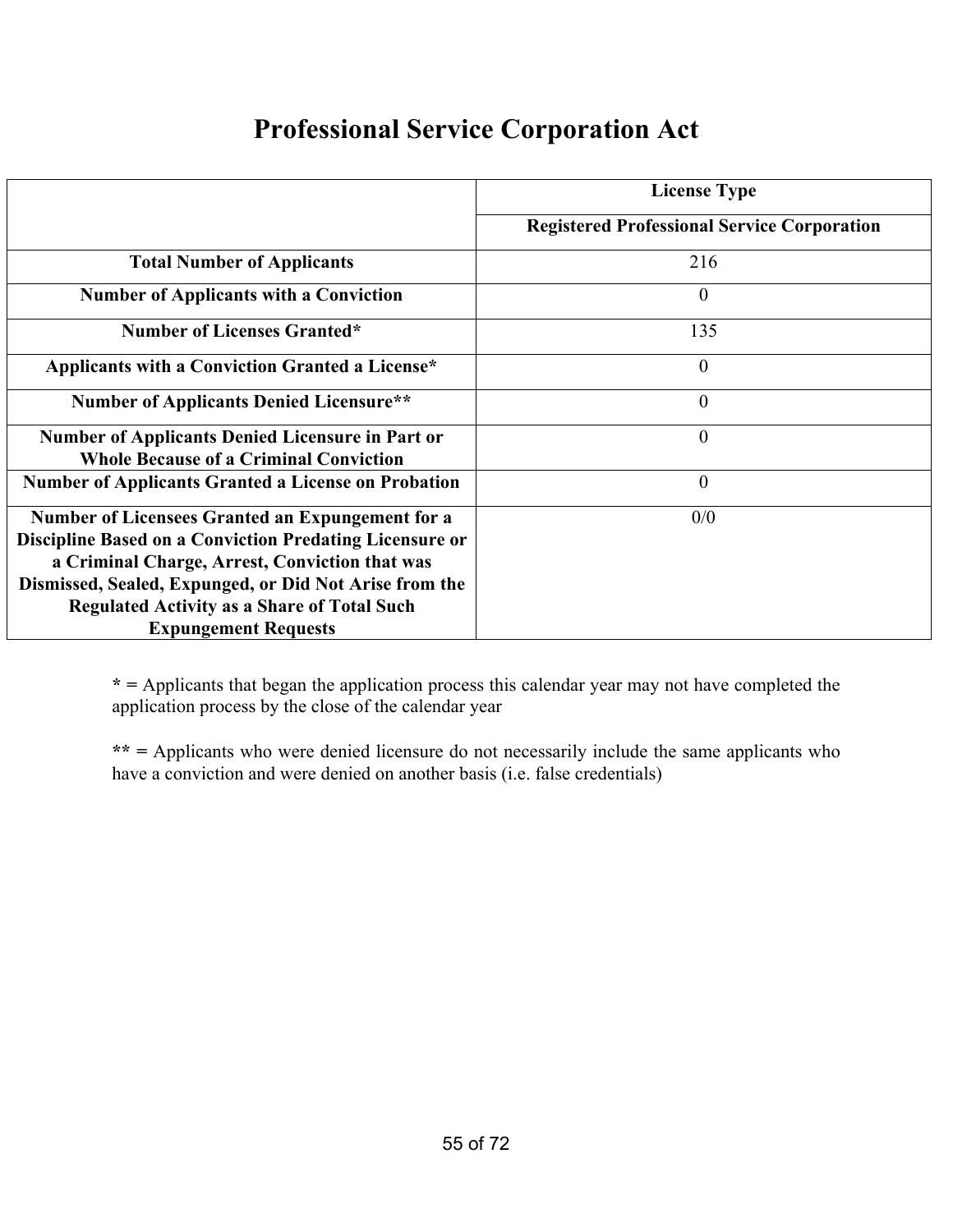### **Professional Service Corporation Act**

|                                                                                                                                                                                                                                                                                                                            | <b>License Type</b>                                |
|----------------------------------------------------------------------------------------------------------------------------------------------------------------------------------------------------------------------------------------------------------------------------------------------------------------------------|----------------------------------------------------|
|                                                                                                                                                                                                                                                                                                                            | <b>Registered Professional Service Corporation</b> |
| <b>Total Number of Applicants</b>                                                                                                                                                                                                                                                                                          | 216                                                |
| <b>Number of Applicants with a Conviction</b>                                                                                                                                                                                                                                                                              | 0                                                  |
| <b>Number of Licenses Granted*</b>                                                                                                                                                                                                                                                                                         | 135                                                |
| Applicants with a Conviction Granted a License*                                                                                                                                                                                                                                                                            | $\theta$                                           |
| <b>Number of Applicants Denied Licensure**</b>                                                                                                                                                                                                                                                                             | $\theta$                                           |
| <b>Number of Applicants Denied Licensure in Part or</b><br><b>Whole Because of a Criminal Conviction</b>                                                                                                                                                                                                                   | $\theta$                                           |
| <b>Number of Applicants Granted a License on Probation</b>                                                                                                                                                                                                                                                                 | $\theta$                                           |
| <b>Number of Licensees Granted an Expungement for a</b><br><b>Discipline Based on a Conviction Predating Licensure or</b><br>a Criminal Charge, Arrest, Conviction that was<br>Dismissed, Sealed, Expunged, or Did Not Arise from the<br><b>Regulated Activity as a Share of Total Such</b><br><b>Expungement Requests</b> | 0/0                                                |

**\* =** Applicants that began the application process this calendar year may not have completed the application process by the close of the calendar year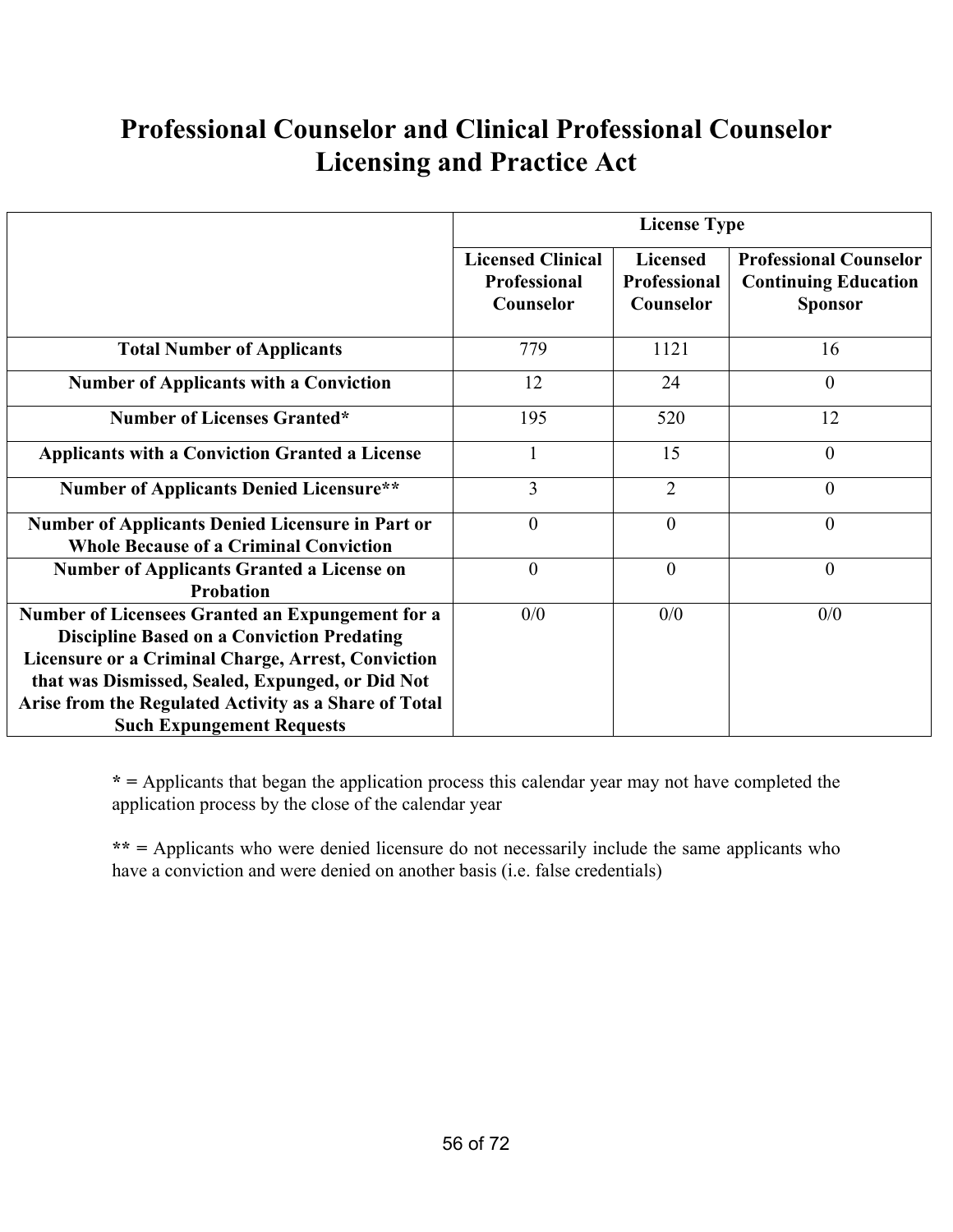# **Professional Counselor and Clinical Professional Counselor Licensing and Practice Act**

|                                                                                                                                                                    | <b>License Type</b>                                          |                                                     |                                                                                |
|--------------------------------------------------------------------------------------------------------------------------------------------------------------------|--------------------------------------------------------------|-----------------------------------------------------|--------------------------------------------------------------------------------|
|                                                                                                                                                                    | <b>Licensed Clinical</b><br><b>Professional</b><br>Counselor | <b>Licensed</b><br><b>Professional</b><br>Counselor | <b>Professional Counselor</b><br><b>Continuing Education</b><br><b>Sponsor</b> |
| <b>Total Number of Applicants</b>                                                                                                                                  | 779                                                          | 1121                                                | 16                                                                             |
| <b>Number of Applicants with a Conviction</b>                                                                                                                      | 12                                                           | 24                                                  | $\overline{0}$                                                                 |
| <b>Number of Licenses Granted*</b>                                                                                                                                 | 195                                                          | 520                                                 | 12                                                                             |
| <b>Applicants with a Conviction Granted a License</b>                                                                                                              |                                                              | 15                                                  | $\overline{0}$                                                                 |
| <b>Number of Applicants Denied Licensure**</b>                                                                                                                     | $\overline{3}$                                               | $\overline{2}$                                      | $\theta$                                                                       |
| Number of Applicants Denied Licensure in Part or<br><b>Whole Because of a Criminal Conviction</b>                                                                  | $\theta$                                                     | $\mathbf{0}$                                        | $\overline{0}$                                                                 |
| <b>Number of Applicants Granted a License on</b><br><b>Probation</b>                                                                                               | $\theta$                                                     | $\overline{0}$                                      | $\overline{0}$                                                                 |
| Number of Licensees Granted an Expungement for a<br><b>Discipline Based on a Conviction Predating</b><br><b>Licensure or a Criminal Charge, Arrest, Conviction</b> | 0/0                                                          | 0/0                                                 | 0/0                                                                            |
| that was Dismissed, Sealed, Expunged, or Did Not<br>Arise from the Regulated Activity as a Share of Total                                                          |                                                              |                                                     |                                                                                |
| <b>Such Expungement Requests</b>                                                                                                                                   |                                                              |                                                     |                                                                                |

**\* =** Applicants that began the application process this calendar year may not have completed the application process by the close of the calendar year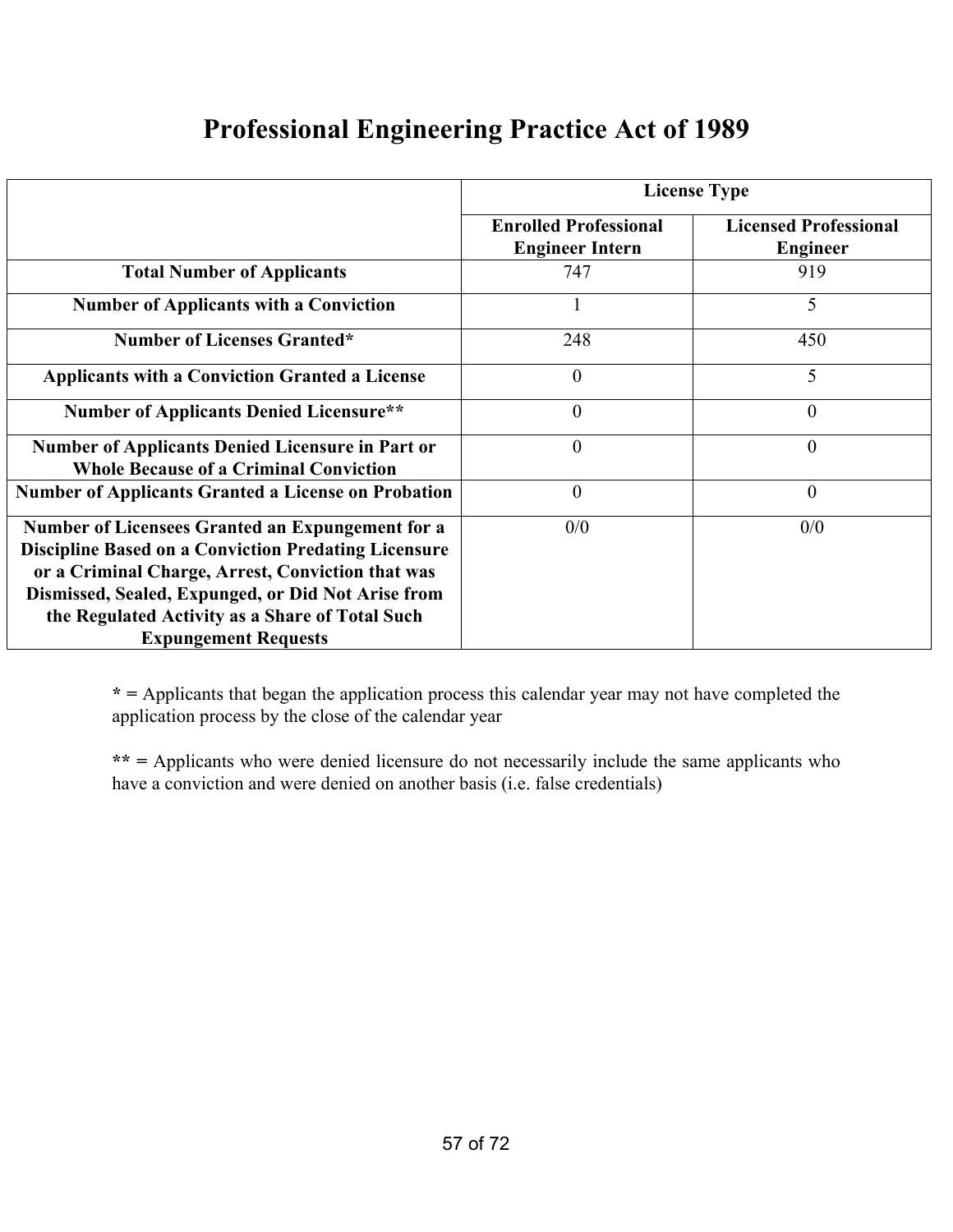|                                                                                                                                                                                                                                                                                                                     | <b>License Type</b>                                    |                                                 |  |
|---------------------------------------------------------------------------------------------------------------------------------------------------------------------------------------------------------------------------------------------------------------------------------------------------------------------|--------------------------------------------------------|-------------------------------------------------|--|
|                                                                                                                                                                                                                                                                                                                     | <b>Enrolled Professional</b><br><b>Engineer Intern</b> | <b>Licensed Professional</b><br><b>Engineer</b> |  |
| <b>Total Number of Applicants</b>                                                                                                                                                                                                                                                                                   | 747                                                    | 919                                             |  |
| <b>Number of Applicants with a Conviction</b>                                                                                                                                                                                                                                                                       |                                                        | 5                                               |  |
| <b>Number of Licenses Granted*</b>                                                                                                                                                                                                                                                                                  | 248                                                    | 450                                             |  |
| <b>Applicants with a Conviction Granted a License</b>                                                                                                                                                                                                                                                               | $\boldsymbol{0}$                                       | 5                                               |  |
| <b>Number of Applicants Denied Licensure**</b>                                                                                                                                                                                                                                                                      | $\boldsymbol{0}$                                       | 0                                               |  |
| <b>Number of Applicants Denied Licensure in Part or</b><br><b>Whole Because of a Criminal Conviction</b>                                                                                                                                                                                                            | $\overline{0}$                                         | $\overline{0}$                                  |  |
| <b>Number of Applicants Granted a License on Probation</b>                                                                                                                                                                                                                                                          | $\boldsymbol{0}$                                       | $\theta$                                        |  |
| <b>Number of Licensees Granted an Expungement for a</b><br><b>Discipline Based on a Conviction Predating Licensure</b><br>or a Criminal Charge, Arrest, Conviction that was<br>Dismissed, Sealed, Expunged, or Did Not Arise from<br>the Regulated Activity as a Share of Total Such<br><b>Expungement Requests</b> | 0/0                                                    | 0/0                                             |  |

**\* =** Applicants that began the application process this calendar year may not have completed the application process by the close of the calendar year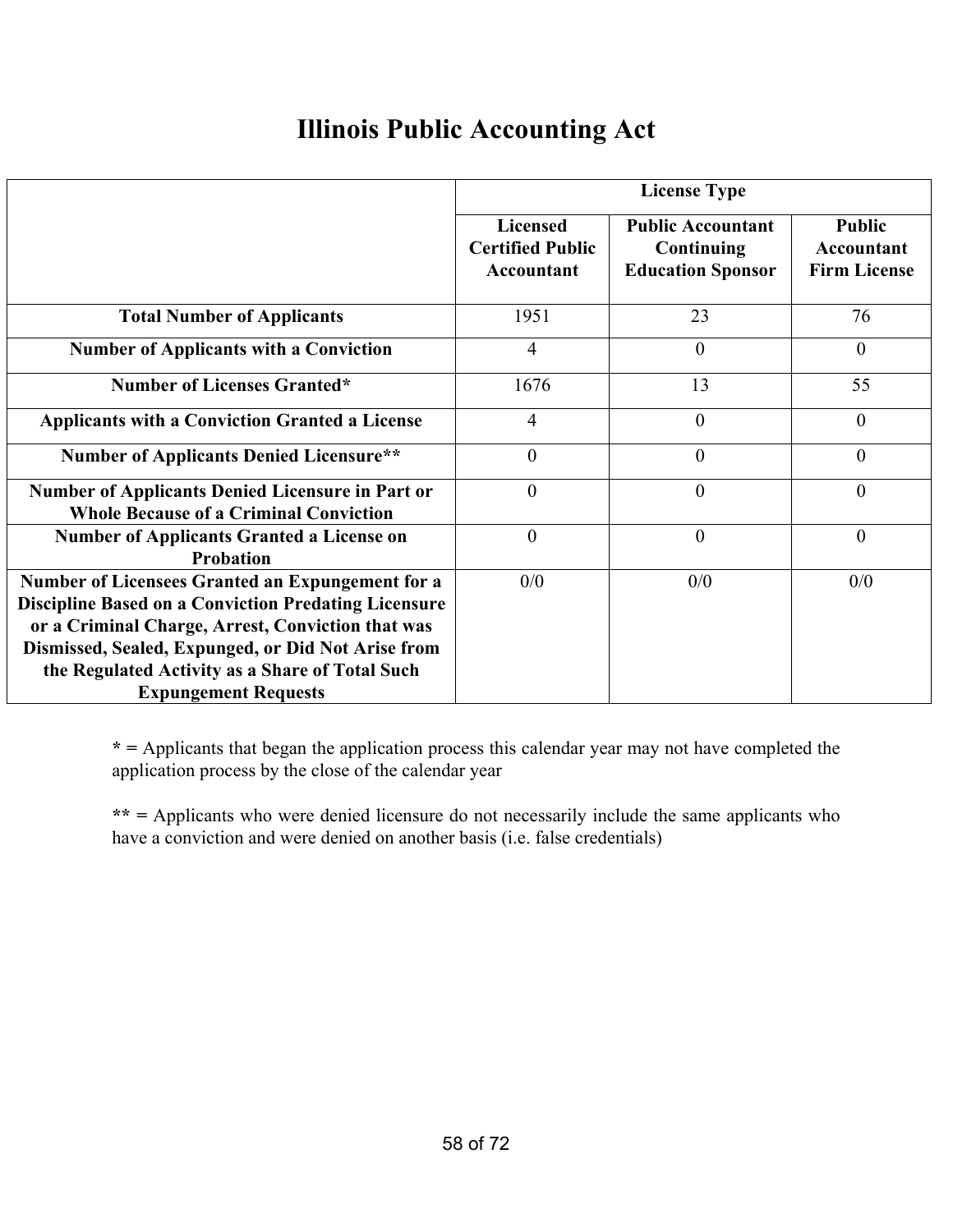# **Illinois Public Accounting Act**

|                                                                                                                                                                                                                                                                                                              | <b>License Type</b>                                      |                                                                    |                                                    |
|--------------------------------------------------------------------------------------------------------------------------------------------------------------------------------------------------------------------------------------------------------------------------------------------------------------|----------------------------------------------------------|--------------------------------------------------------------------|----------------------------------------------------|
|                                                                                                                                                                                                                                                                                                              | <b>Licensed</b><br><b>Certified Public</b><br>Accountant | <b>Public Accountant</b><br>Continuing<br><b>Education Sponsor</b> | <b>Public</b><br>Accountant<br><b>Firm License</b> |
| <b>Total Number of Applicants</b>                                                                                                                                                                                                                                                                            | 1951                                                     | 23                                                                 | 76                                                 |
| <b>Number of Applicants with a Conviction</b>                                                                                                                                                                                                                                                                | $\overline{4}$                                           | $\overline{0}$                                                     | $\theta$                                           |
| <b>Number of Licenses Granted*</b>                                                                                                                                                                                                                                                                           | 1676                                                     | 13                                                                 | 55                                                 |
| <b>Applicants with a Conviction Granted a License</b>                                                                                                                                                                                                                                                        | $\overline{4}$                                           | $\theta$                                                           | $\theta$                                           |
| <b>Number of Applicants Denied Licensure**</b>                                                                                                                                                                                                                                                               | $\overline{0}$                                           | $\overline{0}$                                                     | $\theta$                                           |
| <b>Number of Applicants Denied Licensure in Part or</b><br><b>Whole Because of a Criminal Conviction</b>                                                                                                                                                                                                     | $\overline{0}$                                           | $\overline{0}$                                                     | $\theta$                                           |
| <b>Number of Applicants Granted a License on</b><br><b>Probation</b>                                                                                                                                                                                                                                         | $\boldsymbol{0}$                                         | $\boldsymbol{0}$                                                   | $\overline{0}$                                     |
| Number of Licensees Granted an Expungement for a<br><b>Discipline Based on a Conviction Predating Licensure</b><br>or a Criminal Charge, Arrest, Conviction that was<br>Dismissed, Sealed, Expunged, or Did Not Arise from<br>the Regulated Activity as a Share of Total Such<br><b>Expungement Requests</b> | 0/0                                                      | 0/0                                                                | 0/0                                                |

**\* =** Applicants that began the application process this calendar year may not have completed the application process by the close of the calendar year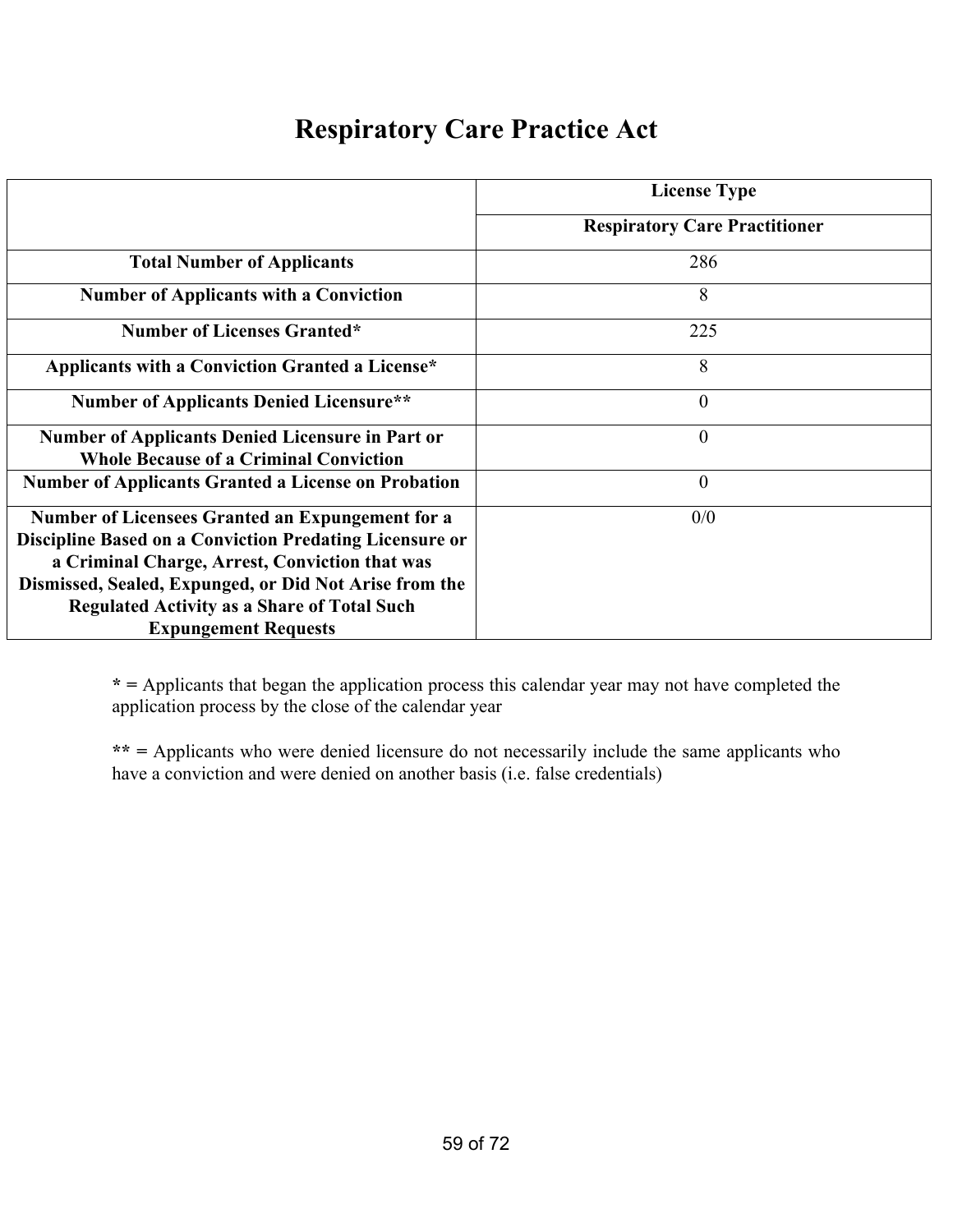### **Respiratory Care Practice Act**

|                                                                | <b>License Type</b>                  |
|----------------------------------------------------------------|--------------------------------------|
|                                                                | <b>Respiratory Care Practitioner</b> |
| <b>Total Number of Applicants</b>                              | 286                                  |
| <b>Number of Applicants with a Conviction</b>                  | 8                                    |
| <b>Number of Licenses Granted*</b>                             | 225                                  |
| Applicants with a Conviction Granted a License*                | 8                                    |
| <b>Number of Applicants Denied Licensure**</b>                 | $\theta$                             |
| <b>Number of Applicants Denied Licensure in Part or</b>        | $\overline{0}$                       |
| <b>Whole Because of a Criminal Conviction</b>                  |                                      |
| <b>Number of Applicants Granted a License on Probation</b>     | $\theta$                             |
| <b>Number of Licensees Granted an Expungement for a</b>        | 0/0                                  |
| <b>Discipline Based on a Conviction Predating Licensure or</b> |                                      |
| a Criminal Charge, Arrest, Conviction that was                 |                                      |
| Dismissed, Sealed, Expunged, or Did Not Arise from the         |                                      |
| <b>Regulated Activity as a Share of Total Such</b>             |                                      |
| <b>Expungement Requests</b>                                    |                                      |

**\* =** Applicants that began the application process this calendar year may not have completed the application process by the close of the calendar year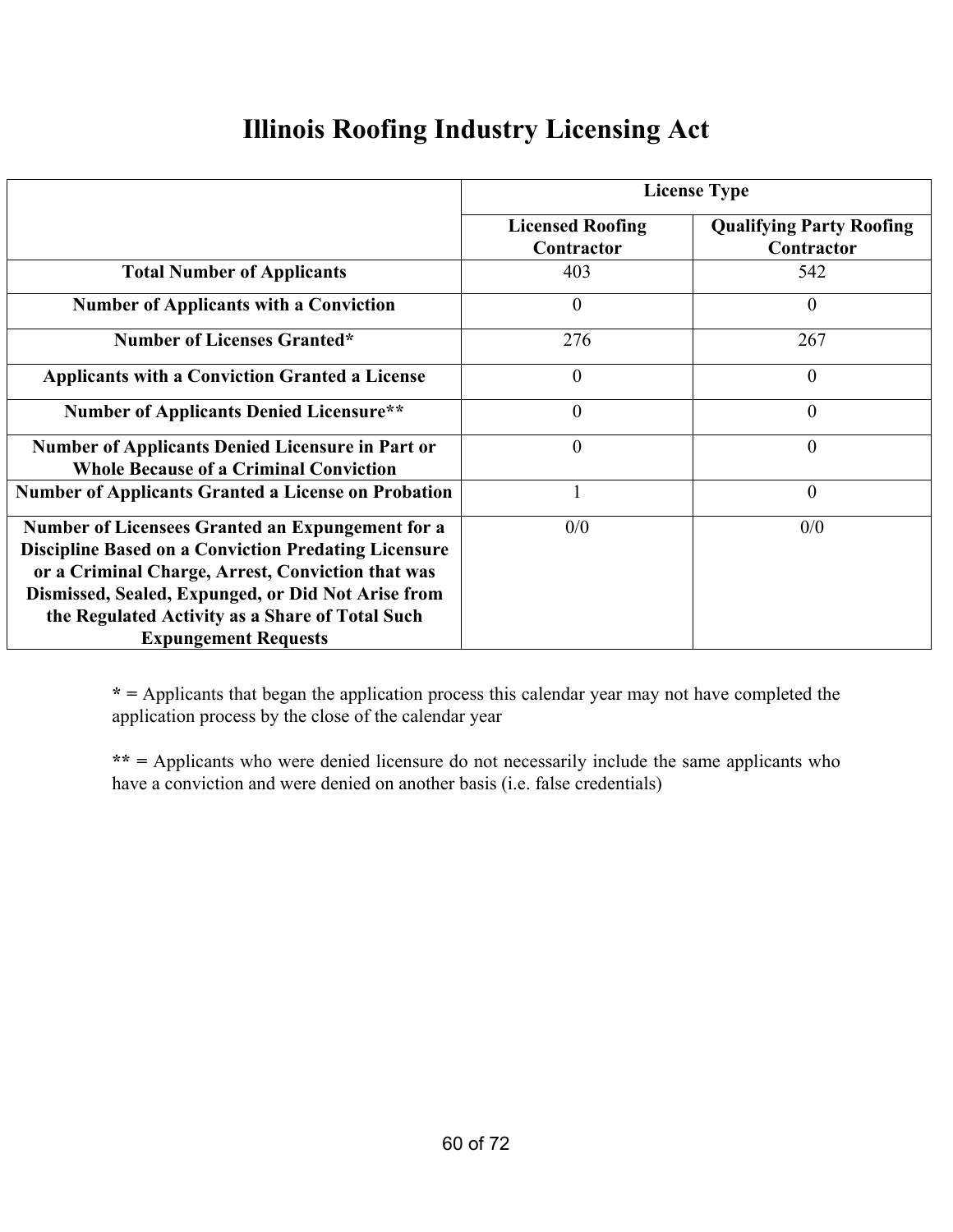### **Illinois Roofing Industry Licensing Act**

|                                                                                                                                                                                                                                                                                                              | <b>License Type</b>                   |                                               |  |
|--------------------------------------------------------------------------------------------------------------------------------------------------------------------------------------------------------------------------------------------------------------------------------------------------------------|---------------------------------------|-----------------------------------------------|--|
|                                                                                                                                                                                                                                                                                                              | <b>Licensed Roofing</b><br>Contractor | <b>Qualifying Party Roofing</b><br>Contractor |  |
| <b>Total Number of Applicants</b>                                                                                                                                                                                                                                                                            | 403                                   | 542                                           |  |
| <b>Number of Applicants with a Conviction</b>                                                                                                                                                                                                                                                                | $\theta$                              | $\theta$                                      |  |
| <b>Number of Licenses Granted*</b>                                                                                                                                                                                                                                                                           | 276                                   | 267                                           |  |
| <b>Applicants with a Conviction Granted a License</b>                                                                                                                                                                                                                                                        | $\overline{0}$                        | $\theta$                                      |  |
| <b>Number of Applicants Denied Licensure**</b>                                                                                                                                                                                                                                                               | $\overline{0}$                        | $\theta$                                      |  |
| <b>Number of Applicants Denied Licensure in Part or</b><br><b>Whole Because of a Criminal Conviction</b>                                                                                                                                                                                                     | $\overline{0}$                        | $\theta$                                      |  |
| <b>Number of Applicants Granted a License on Probation</b>                                                                                                                                                                                                                                                   |                                       | $\overline{0}$                                |  |
| Number of Licensees Granted an Expungement for a<br><b>Discipline Based on a Conviction Predating Licensure</b><br>or a Criminal Charge, Arrest, Conviction that was<br>Dismissed, Sealed, Expunged, or Did Not Arise from<br>the Regulated Activity as a Share of Total Such<br><b>Expungement Requests</b> | 0/0                                   | 0/0                                           |  |

**\* =** Applicants that began the application process this calendar year may not have completed the application process by the close of the calendar year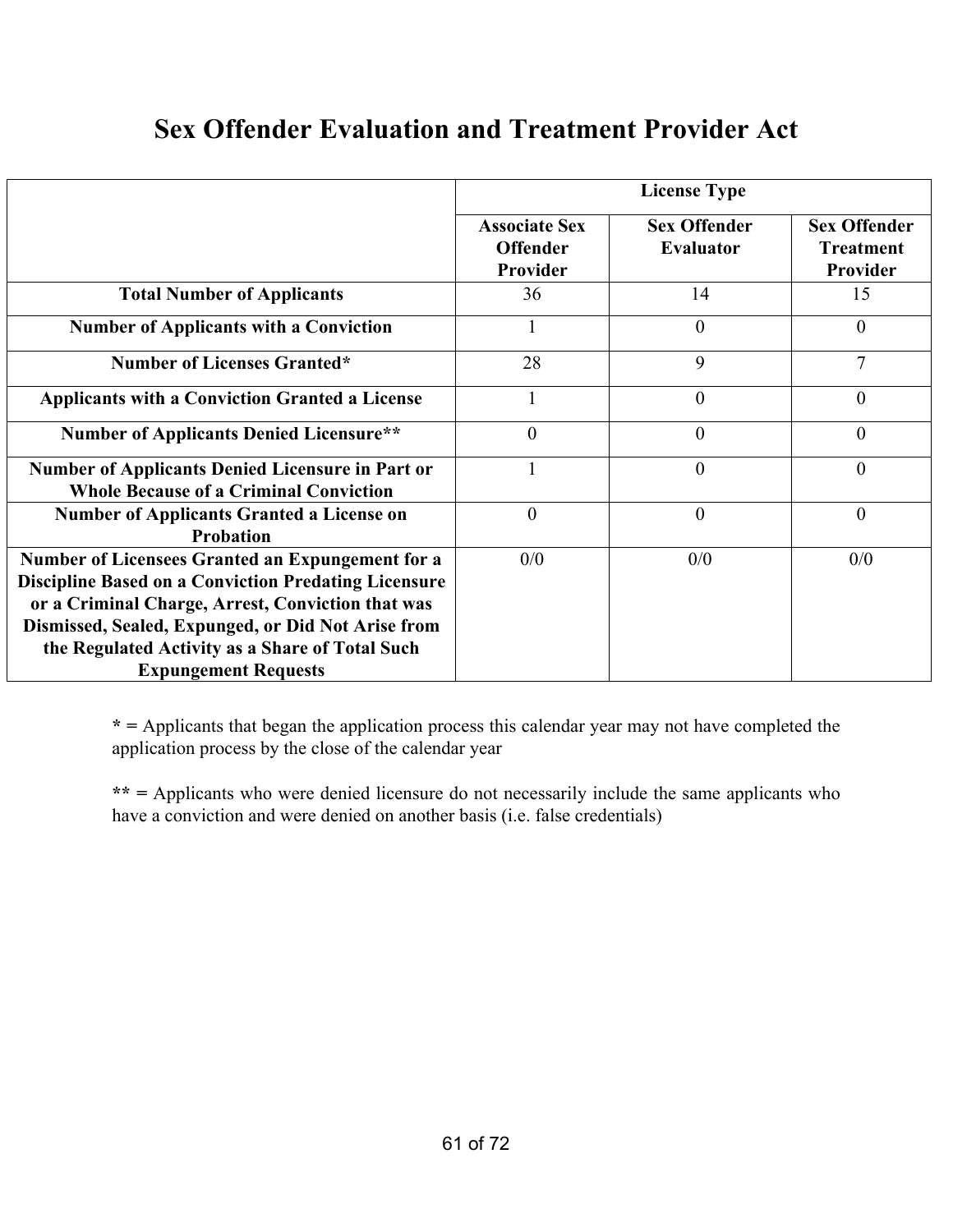### **Sex Offender Evaluation and Treatment Provider Act**

|                                                                                                                                                                                                                                                                               | <b>License Type</b>                                 |                                         |                                                     |  |
|-------------------------------------------------------------------------------------------------------------------------------------------------------------------------------------------------------------------------------------------------------------------------------|-----------------------------------------------------|-----------------------------------------|-----------------------------------------------------|--|
|                                                                                                                                                                                                                                                                               | <b>Associate Sex</b><br><b>Offender</b><br>Provider | <b>Sex Offender</b><br><b>Evaluator</b> | <b>Sex Offender</b><br><b>Treatment</b><br>Provider |  |
| <b>Total Number of Applicants</b>                                                                                                                                                                                                                                             | 36                                                  | 14                                      | 15                                                  |  |
| <b>Number of Applicants with a Conviction</b>                                                                                                                                                                                                                                 |                                                     | $\theta$                                | $\theta$                                            |  |
| <b>Number of Licenses Granted*</b>                                                                                                                                                                                                                                            | 28                                                  | 9                                       | 7                                                   |  |
| <b>Applicants with a Conviction Granted a License</b>                                                                                                                                                                                                                         |                                                     | $\overline{0}$                          | $\theta$                                            |  |
| <b>Number of Applicants Denied Licensure**</b>                                                                                                                                                                                                                                | $\overline{0}$                                      | $\theta$                                | $\overline{0}$                                      |  |
| <b>Number of Applicants Denied Licensure in Part or</b><br><b>Whole Because of a Criminal Conviction</b>                                                                                                                                                                      |                                                     | $\boldsymbol{0}$                        | 0                                                   |  |
| <b>Number of Applicants Granted a License on</b><br><b>Probation</b>                                                                                                                                                                                                          | $\overline{0}$                                      | $\overline{0}$                          | $\overline{0}$                                      |  |
| Number of Licensees Granted an Expungement for a<br><b>Discipline Based on a Conviction Predating Licensure</b><br>or a Criminal Charge, Arrest, Conviction that was<br>Dismissed, Sealed, Expunged, or Did Not Arise from<br>the Regulated Activity as a Share of Total Such | 0/0                                                 | 0/0                                     | 0/0                                                 |  |
| <b>Expungement Requests</b>                                                                                                                                                                                                                                                   |                                                     |                                         |                                                     |  |

**\* =** Applicants that began the application process this calendar year may not have completed the application process by the close of the calendar year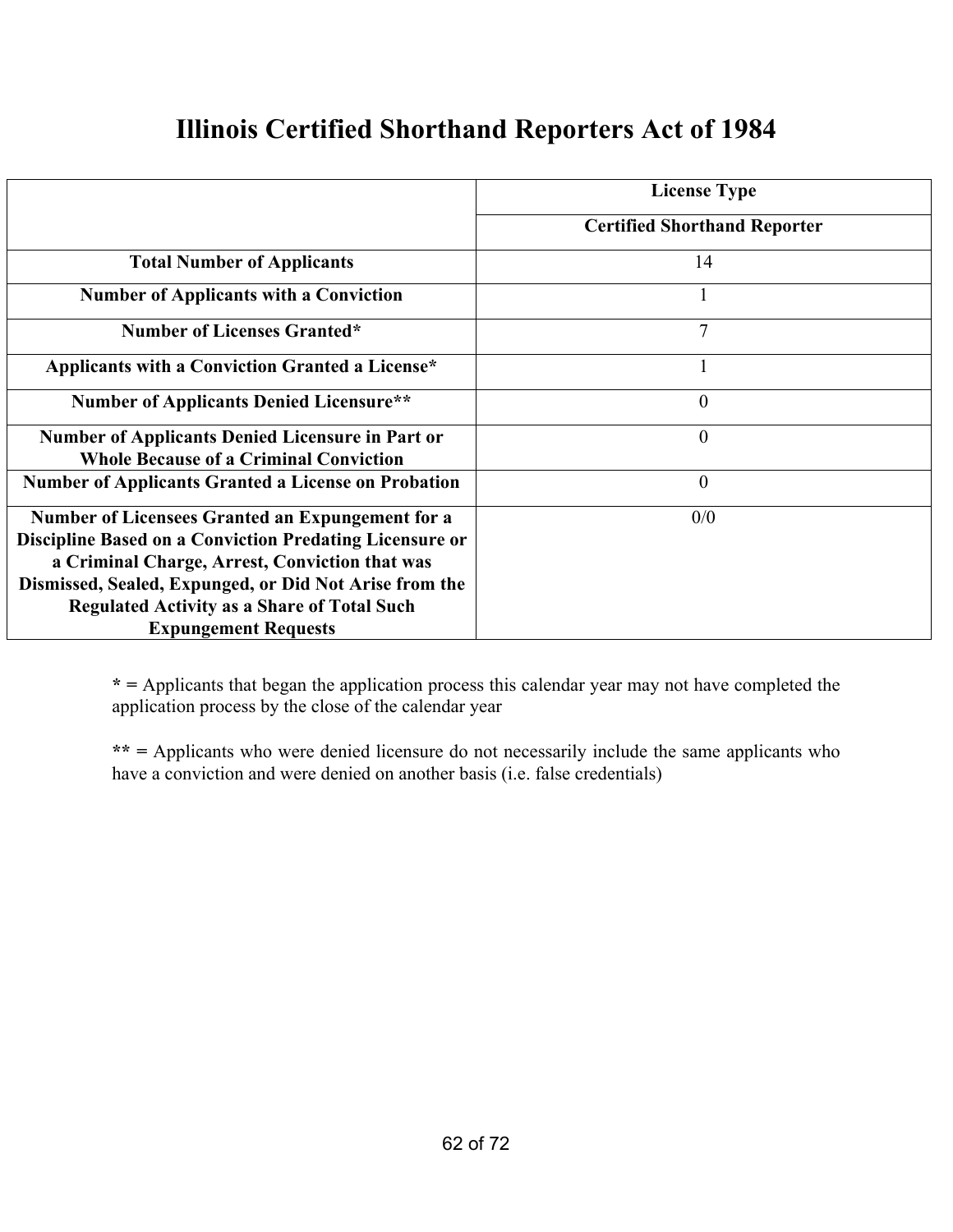#### **Illinois Certified Shorthand Reporters Act of 1984**

|                                                            | <b>License Type</b>                 |
|------------------------------------------------------------|-------------------------------------|
|                                                            | <b>Certified Shorthand Reporter</b> |
| <b>Total Number of Applicants</b>                          | 14                                  |
| <b>Number of Applicants with a Conviction</b>              | <sup>1</sup>                        |
| <b>Number of Licenses Granted*</b>                         | $\overline{7}$                      |
| Applicants with a Conviction Granted a License*            |                                     |
| <b>Number of Applicants Denied Licensure**</b>             | $\theta$                            |
| <b>Number of Applicants Denied Licensure in Part or</b>    | $\theta$                            |
| <b>Whole Because of a Criminal Conviction</b>              |                                     |
| <b>Number of Applicants Granted a License on Probation</b> | $\theta$                            |
| Number of Licensees Granted an Expungement for a           | 0/0                                 |
| Discipline Based on a Conviction Predating Licensure or    |                                     |
| a Criminal Charge, Arrest, Conviction that was             |                                     |
| Dismissed, Sealed, Expunged, or Did Not Arise from the     |                                     |
| <b>Regulated Activity as a Share of Total Such</b>         |                                     |
| <b>Expungement Requests</b>                                |                                     |

**\* =** Applicants that began the application process this calendar year may not have completed the application process by the close of the calendar year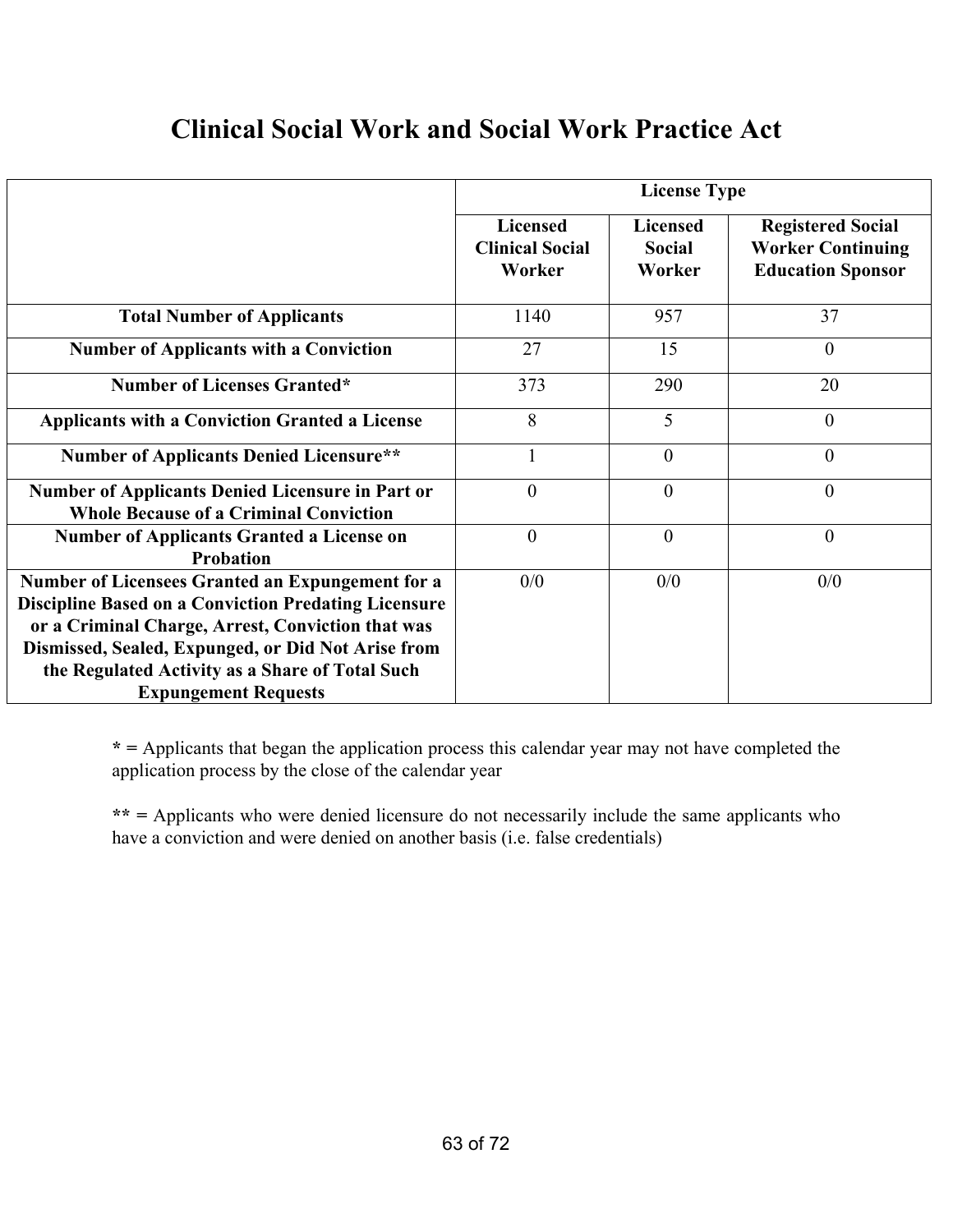### **Clinical Social Work and Social Work Practice Act**

|                                                                                                                                                                                                                                                                                                              | <b>License Type</b>                                 |                                            |                                                                                  |  |
|--------------------------------------------------------------------------------------------------------------------------------------------------------------------------------------------------------------------------------------------------------------------------------------------------------------|-----------------------------------------------------|--------------------------------------------|----------------------------------------------------------------------------------|--|
|                                                                                                                                                                                                                                                                                                              | <b>Licensed</b><br><b>Clinical Social</b><br>Worker | <b>Licensed</b><br><b>Social</b><br>Worker | <b>Registered Social</b><br><b>Worker Continuing</b><br><b>Education Sponsor</b> |  |
| <b>Total Number of Applicants</b>                                                                                                                                                                                                                                                                            | 1140                                                | 957                                        | 37                                                                               |  |
| <b>Number of Applicants with a Conviction</b>                                                                                                                                                                                                                                                                | 27                                                  | 15                                         | $\theta$                                                                         |  |
| <b>Number of Licenses Granted*</b>                                                                                                                                                                                                                                                                           | 373                                                 | 290                                        | 20                                                                               |  |
| <b>Applicants with a Conviction Granted a License</b>                                                                                                                                                                                                                                                        | 8                                                   | 5                                          | $\theta$                                                                         |  |
| <b>Number of Applicants Denied Licensure**</b>                                                                                                                                                                                                                                                               | $\mathbf{1}$                                        | $\theta$                                   | $\overline{0}$                                                                   |  |
| <b>Number of Applicants Denied Licensure in Part or</b><br><b>Whole Because of a Criminal Conviction</b>                                                                                                                                                                                                     | $\theta$                                            | $\theta$                                   | $\theta$                                                                         |  |
| <b>Number of Applicants Granted a License on</b><br><b>Probation</b>                                                                                                                                                                                                                                         | $\overline{0}$                                      | $\theta$                                   | $\overline{0}$                                                                   |  |
| Number of Licensees Granted an Expungement for a<br><b>Discipline Based on a Conviction Predating Licensure</b><br>or a Criminal Charge, Arrest, Conviction that was<br>Dismissed, Sealed, Expunged, or Did Not Arise from<br>the Regulated Activity as a Share of Total Such<br><b>Expungement Requests</b> | 0/0                                                 | 0/0                                        | 0/0                                                                              |  |

**\* =** Applicants that began the application process this calendar year may not have completed the application process by the close of the calendar year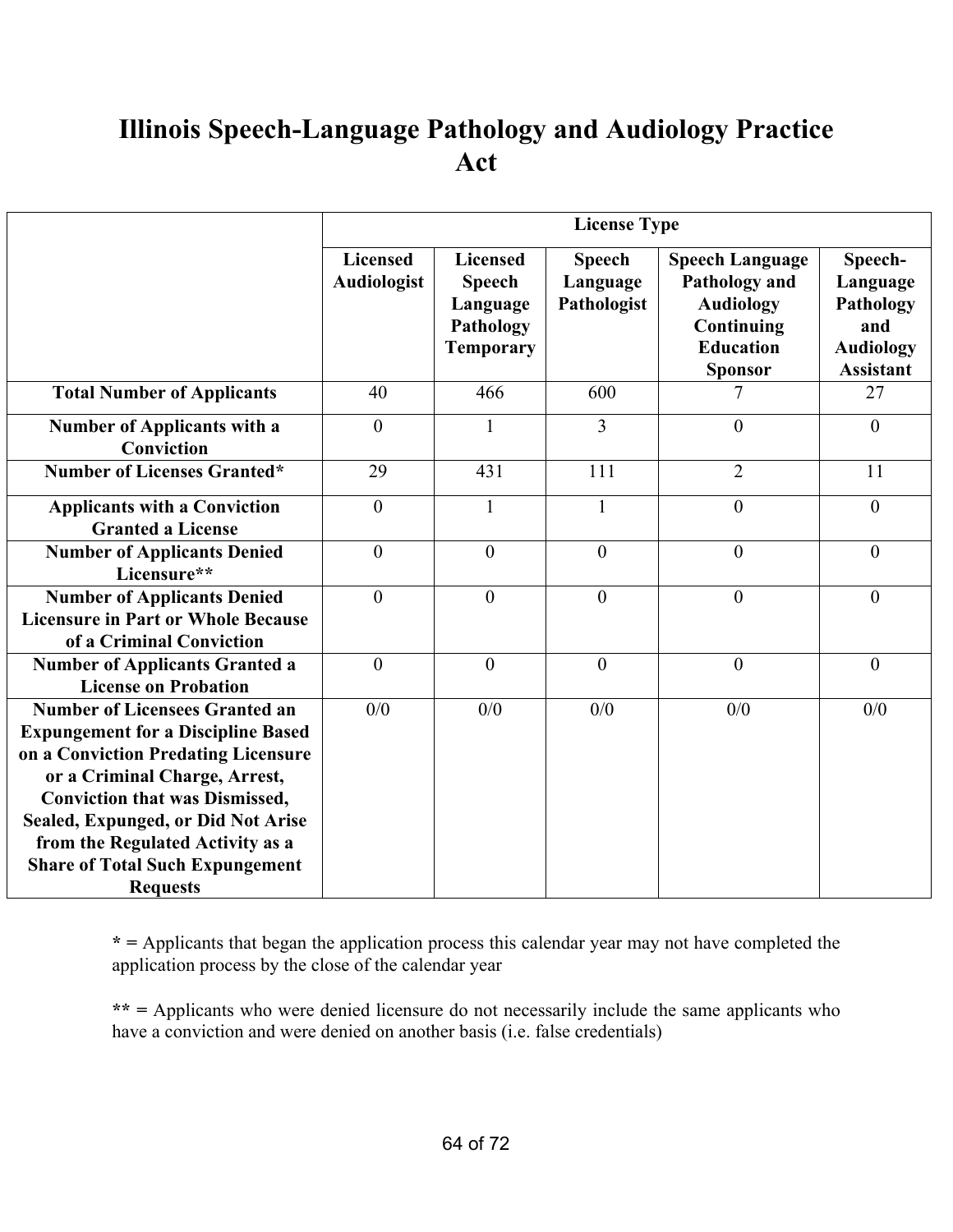## **Illinois Speech-Language Pathology and Audiology Practice Act**

|                                                                                                                                                                                                                                                                                                                                            | <b>License Type</b>            |                                                                               |                                          |                                                                                                                 |                                                                                 |
|--------------------------------------------------------------------------------------------------------------------------------------------------------------------------------------------------------------------------------------------------------------------------------------------------------------------------------------------|--------------------------------|-------------------------------------------------------------------------------|------------------------------------------|-----------------------------------------------------------------------------------------------------------------|---------------------------------------------------------------------------------|
|                                                                                                                                                                                                                                                                                                                                            | <b>Licensed</b><br>Audiologist | <b>Licensed</b><br><b>Speech</b><br>Language<br>Pathology<br><b>Temporary</b> | <b>Speech</b><br>Language<br>Pathologist | <b>Speech Language</b><br>Pathology and<br><b>Audiology</b><br>Continuing<br><b>Education</b><br><b>Sponsor</b> | Speech-<br>Language<br>Pathology<br>and<br><b>Audiology</b><br><b>Assistant</b> |
| <b>Total Number of Applicants</b>                                                                                                                                                                                                                                                                                                          | 40                             | 466                                                                           | 600                                      | 7                                                                                                               | 27                                                                              |
| Number of Applicants with a<br>Conviction                                                                                                                                                                                                                                                                                                  | $\overline{0}$                 | 1                                                                             | $\overline{3}$                           | $\overline{0}$                                                                                                  | $\boldsymbol{0}$                                                                |
| <b>Number of Licenses Granted*</b>                                                                                                                                                                                                                                                                                                         | 29                             | 431                                                                           | 111                                      | $\overline{2}$                                                                                                  | 11                                                                              |
| <b>Applicants with a Conviction</b><br><b>Granted a License</b>                                                                                                                                                                                                                                                                            | $\overline{0}$                 | 1                                                                             | 1                                        | $\overline{0}$                                                                                                  | $\overline{0}$                                                                  |
| <b>Number of Applicants Denied</b><br>Licensure**                                                                                                                                                                                                                                                                                          | $\mathbf{0}$                   | $\overline{0}$                                                                | $\overline{0}$                           | $\overline{0}$                                                                                                  | $\theta$                                                                        |
| <b>Number of Applicants Denied</b><br><b>Licensure in Part or Whole Because</b><br>of a Criminal Conviction                                                                                                                                                                                                                                | $\theta$                       | $\theta$                                                                      | $\theta$                                 | $\theta$                                                                                                        | $\theta$                                                                        |
| <b>Number of Applicants Granted a</b><br><b>License on Probation</b>                                                                                                                                                                                                                                                                       | $\overline{0}$                 | $\overline{0}$                                                                | $\mathbf{0}$                             | $\overline{0}$                                                                                                  | $\theta$                                                                        |
| <b>Number of Licensees Granted an</b><br><b>Expungement for a Discipline Based</b><br>on a Conviction Predating Licensure<br>or a Criminal Charge, Arrest,<br><b>Conviction that was Dismissed,</b><br>Sealed, Expunged, or Did Not Arise<br>from the Regulated Activity as a<br><b>Share of Total Such Expungement</b><br><b>Requests</b> | 0/0                            | 0/0                                                                           | 0/0                                      | 0/0                                                                                                             | 0/0                                                                             |

**\* =** Applicants that began the application process this calendar year may not have completed the application process by the close of the calendar year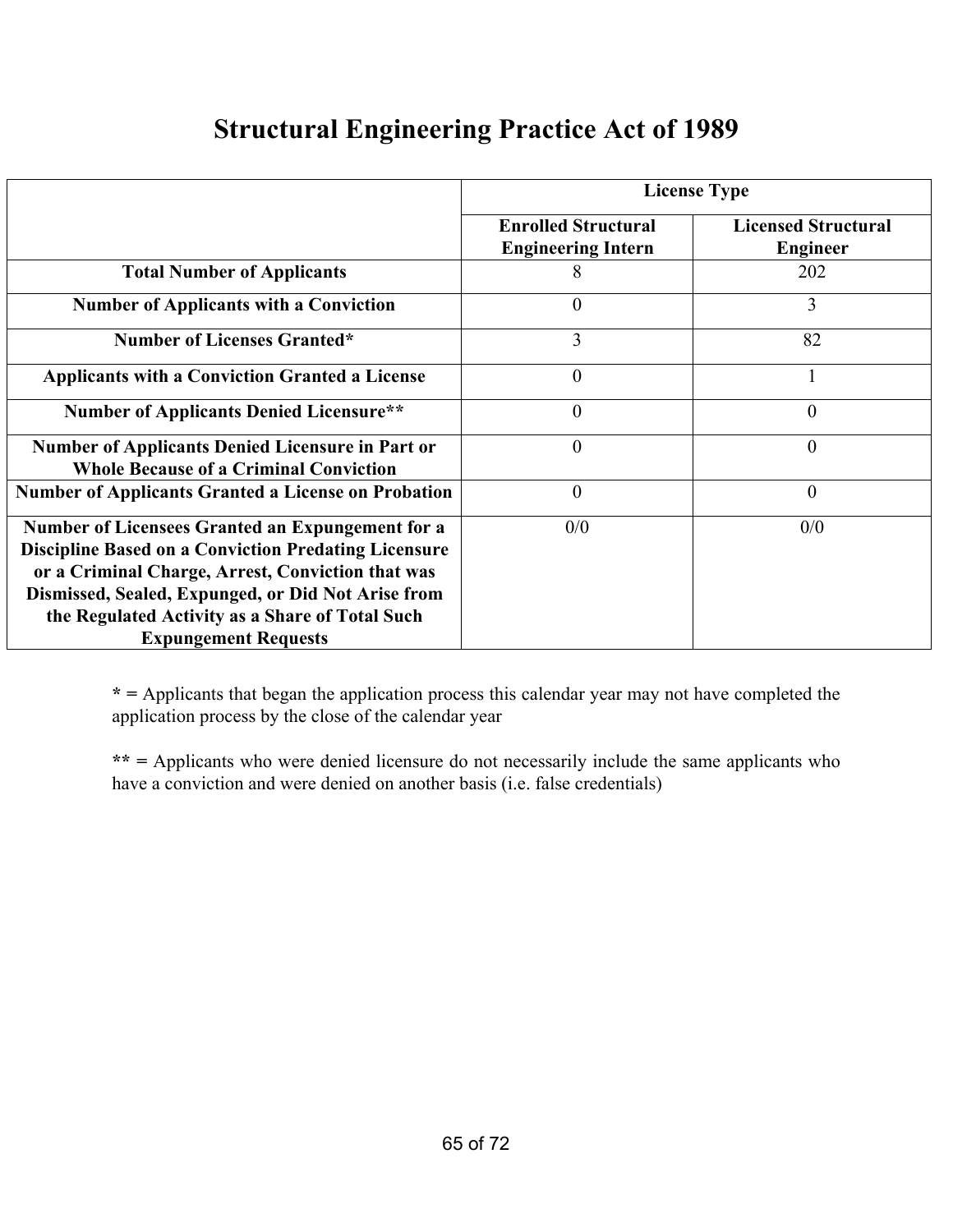### **Structural Engineering Practice Act of 1989**

|                                                                                                                                                                                                                                                                                                              | <b>License Type</b>                                     |                                               |  |
|--------------------------------------------------------------------------------------------------------------------------------------------------------------------------------------------------------------------------------------------------------------------------------------------------------------|---------------------------------------------------------|-----------------------------------------------|--|
|                                                                                                                                                                                                                                                                                                              | <b>Enrolled Structural</b><br><b>Engineering Intern</b> | <b>Licensed Structural</b><br><b>Engineer</b> |  |
| <b>Total Number of Applicants</b>                                                                                                                                                                                                                                                                            | 8                                                       | 202                                           |  |
| <b>Number of Applicants with a Conviction</b>                                                                                                                                                                                                                                                                | $\theta$                                                | 3                                             |  |
| <b>Number of Licenses Granted*</b>                                                                                                                                                                                                                                                                           | 3                                                       | 82                                            |  |
| <b>Applicants with a Conviction Granted a License</b>                                                                                                                                                                                                                                                        | $\theta$                                                |                                               |  |
| <b>Number of Applicants Denied Licensure**</b>                                                                                                                                                                                                                                                               | $\overline{0}$                                          | $\theta$                                      |  |
| <b>Number of Applicants Denied Licensure in Part or</b><br><b>Whole Because of a Criminal Conviction</b>                                                                                                                                                                                                     | $\theta$                                                | $\theta$                                      |  |
| <b>Number of Applicants Granted a License on Probation</b>                                                                                                                                                                                                                                                   | $\overline{0}$                                          | $\overline{0}$                                |  |
| Number of Licensees Granted an Expungement for a<br><b>Discipline Based on a Conviction Predating Licensure</b><br>or a Criminal Charge, Arrest, Conviction that was<br>Dismissed, Sealed, Expunged, or Did Not Arise from<br>the Regulated Activity as a Share of Total Such<br><b>Expungement Requests</b> | 0/0                                                     | 0/0                                           |  |

**\* =** Applicants that began the application process this calendar year may not have completed the application process by the close of the calendar year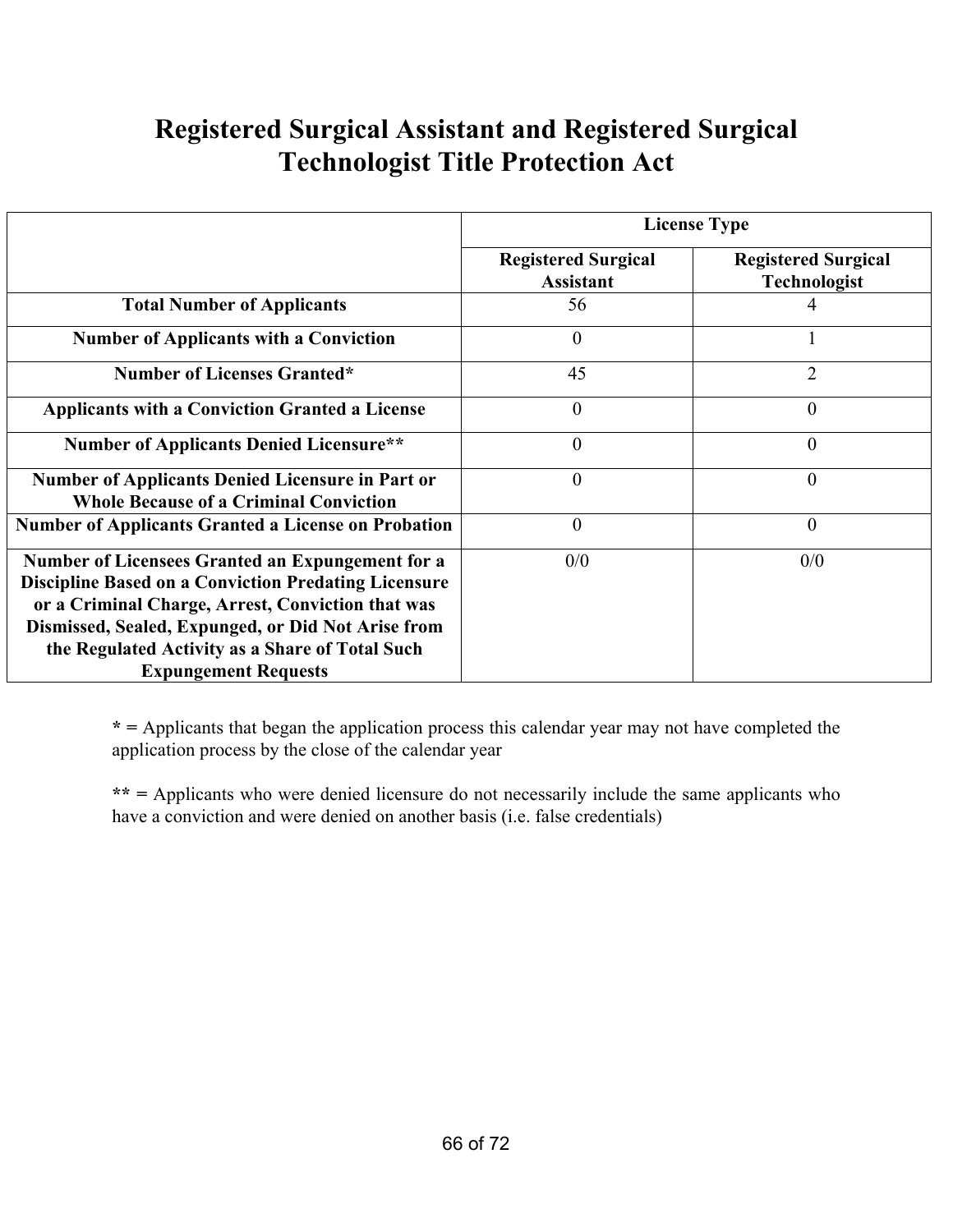## **Registered Surgical Assistant and Registered Surgical Technologist Title Protection Act**

|                                                                                                                                                                                                                                                                                                              | <b>License Type</b>                            |                                                   |  |
|--------------------------------------------------------------------------------------------------------------------------------------------------------------------------------------------------------------------------------------------------------------------------------------------------------------|------------------------------------------------|---------------------------------------------------|--|
|                                                                                                                                                                                                                                                                                                              | <b>Registered Surgical</b><br><b>Assistant</b> | <b>Registered Surgical</b><br><b>Technologist</b> |  |
| <b>Total Number of Applicants</b>                                                                                                                                                                                                                                                                            | 56                                             |                                                   |  |
| <b>Number of Applicants with a Conviction</b>                                                                                                                                                                                                                                                                | $\theta$                                       |                                                   |  |
| <b>Number of Licenses Granted*</b>                                                                                                                                                                                                                                                                           | 45                                             | $\overline{2}$                                    |  |
| <b>Applicants with a Conviction Granted a License</b>                                                                                                                                                                                                                                                        | $\overline{0}$                                 | $\Omega$                                          |  |
| <b>Number of Applicants Denied Licensure**</b>                                                                                                                                                                                                                                                               | $\theta$                                       | $\theta$                                          |  |
| <b>Number of Applicants Denied Licensure in Part or</b><br><b>Whole Because of a Criminal Conviction</b>                                                                                                                                                                                                     | $\theta$                                       | $\theta$                                          |  |
| <b>Number of Applicants Granted a License on Probation</b>                                                                                                                                                                                                                                                   | $\theta$                                       | $\overline{0}$                                    |  |
| Number of Licensees Granted an Expungement for a<br><b>Discipline Based on a Conviction Predating Licensure</b><br>or a Criminal Charge, Arrest, Conviction that was<br>Dismissed, Sealed, Expunged, or Did Not Arise from<br>the Regulated Activity as a Share of Total Such<br><b>Expungement Requests</b> | 0/0                                            | 0/0                                               |  |

**\* =** Applicants that began the application process this calendar year may not have completed the application process by the close of the calendar year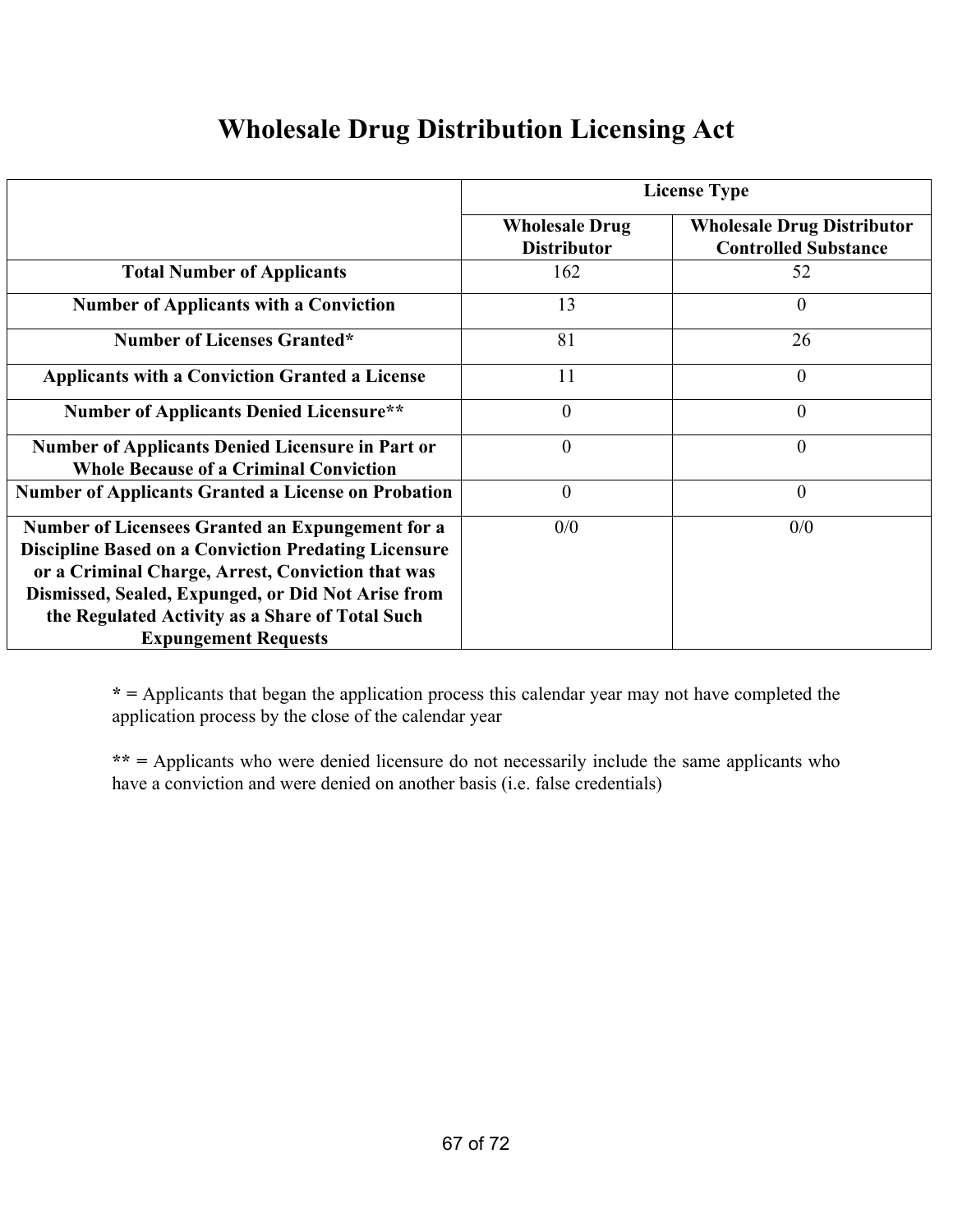### **Wholesale Drug Distribution Licensing Act**

|                                                                                                                                                                                                                                                                                                              | <b>License Type</b>                         |                                                                  |  |
|--------------------------------------------------------------------------------------------------------------------------------------------------------------------------------------------------------------------------------------------------------------------------------------------------------------|---------------------------------------------|------------------------------------------------------------------|--|
|                                                                                                                                                                                                                                                                                                              | <b>Wholesale Drug</b><br><b>Distributor</b> | <b>Wholesale Drug Distributor</b><br><b>Controlled Substance</b> |  |
| <b>Total Number of Applicants</b>                                                                                                                                                                                                                                                                            | 162                                         | 52                                                               |  |
| <b>Number of Applicants with a Conviction</b>                                                                                                                                                                                                                                                                | 13                                          | $\theta$                                                         |  |
| <b>Number of Licenses Granted*</b>                                                                                                                                                                                                                                                                           | 81                                          | 26                                                               |  |
| <b>Applicants with a Conviction Granted a License</b>                                                                                                                                                                                                                                                        | 11                                          | $\overline{0}$                                                   |  |
| <b>Number of Applicants Denied Licensure**</b>                                                                                                                                                                                                                                                               | $\theta$                                    | $\boldsymbol{0}$                                                 |  |
| <b>Number of Applicants Denied Licensure in Part or</b><br><b>Whole Because of a Criminal Conviction</b>                                                                                                                                                                                                     | $\overline{0}$                              | $\theta$                                                         |  |
| <b>Number of Applicants Granted a License on Probation</b>                                                                                                                                                                                                                                                   | $\overline{0}$                              | $\boldsymbol{0}$                                                 |  |
| Number of Licensees Granted an Expungement for a<br><b>Discipline Based on a Conviction Predating Licensure</b><br>or a Criminal Charge, Arrest, Conviction that was<br>Dismissed, Sealed, Expunged, or Did Not Arise from<br>the Regulated Activity as a Share of Total Such<br><b>Expungement Requests</b> | 0/0                                         | 0/0                                                              |  |

**\* =** Applicants that began the application process this calendar year may not have completed the application process by the close of the calendar year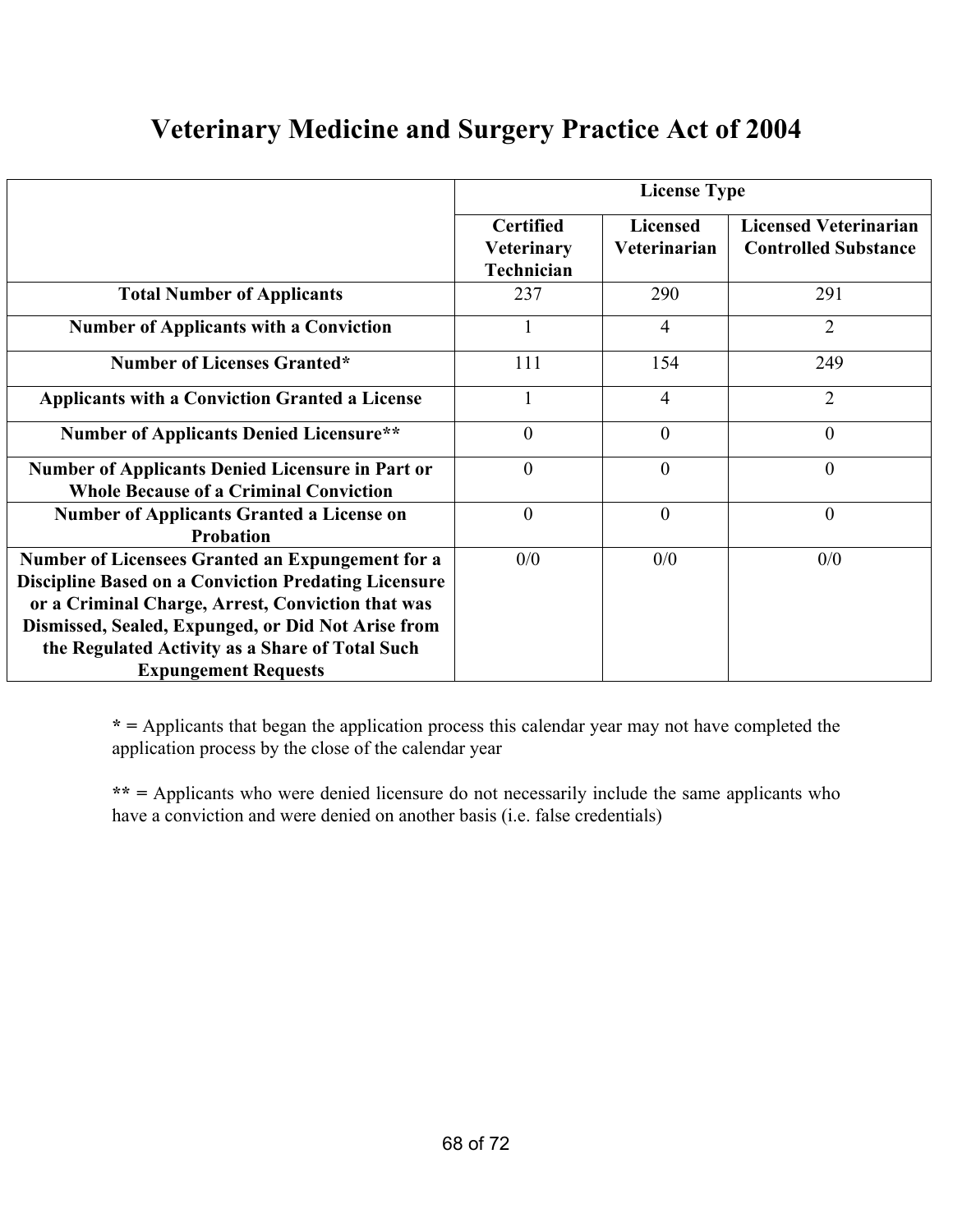## **Veterinary Medicine and Surgery Practice Act of 2004**

|                                                                                                                 | <b>License Type</b>                                 |                                 |                                                             |  |
|-----------------------------------------------------------------------------------------------------------------|-----------------------------------------------------|---------------------------------|-------------------------------------------------------------|--|
|                                                                                                                 | <b>Certified</b><br><b>Veterinary</b><br>Technician | <b>Licensed</b><br>Veterinarian | <b>Licensed Veterinarian</b><br><b>Controlled Substance</b> |  |
| <b>Total Number of Applicants</b>                                                                               | 237                                                 | 290                             | 291                                                         |  |
| <b>Number of Applicants with a Conviction</b>                                                                   |                                                     | $\overline{4}$                  | $\overline{2}$                                              |  |
| <b>Number of Licenses Granted*</b>                                                                              | 111                                                 | 154                             | 249                                                         |  |
| <b>Applicants with a Conviction Granted a License</b>                                                           |                                                     | $\overline{4}$                  | $\overline{2}$                                              |  |
| <b>Number of Applicants Denied Licensure**</b>                                                                  | $\theta$                                            | $\theta$                        | $\theta$                                                    |  |
| <b>Number of Applicants Denied Licensure in Part or</b><br><b>Whole Because of a Criminal Conviction</b>        | $\boldsymbol{0}$                                    | $\theta$                        | $\theta$                                                    |  |
| <b>Number of Applicants Granted a License on</b><br><b>Probation</b>                                            | $\overline{0}$                                      | $\theta$                        | $\theta$                                                    |  |
| Number of Licensees Granted an Expungement for a<br><b>Discipline Based on a Conviction Predating Licensure</b> | 0/0                                                 | 0/0                             | 0/0                                                         |  |
| or a Criminal Charge, Arrest, Conviction that was<br>Dismissed, Sealed, Expunged, or Did Not Arise from         |                                                     |                                 |                                                             |  |
| the Regulated Activity as a Share of Total Such<br><b>Expungement Requests</b>                                  |                                                     |                                 |                                                             |  |

**\* =** Applicants that began the application process this calendar year may not have completed the application process by the close of the calendar year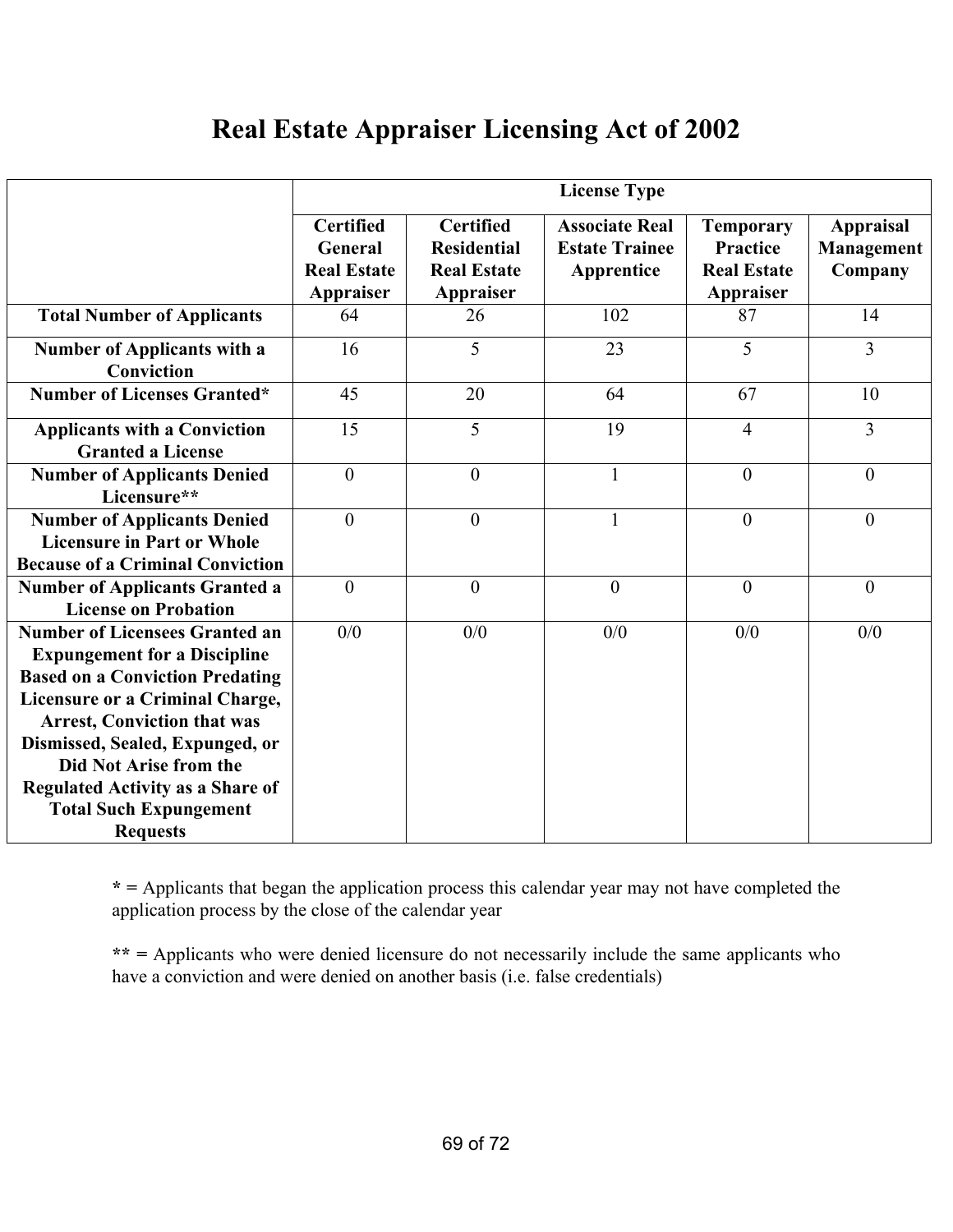### **Real Estate Appraiser Licensing Act of 2002**

|                                                                                                                                                                                                                                                                                                                                                             |                                                                |                                                                           | <b>License Type</b>                                          |                                                                        |                                           |
|-------------------------------------------------------------------------------------------------------------------------------------------------------------------------------------------------------------------------------------------------------------------------------------------------------------------------------------------------------------|----------------------------------------------------------------|---------------------------------------------------------------------------|--------------------------------------------------------------|------------------------------------------------------------------------|-------------------------------------------|
|                                                                                                                                                                                                                                                                                                                                                             | <b>Certified</b><br>General<br><b>Real Estate</b><br>Appraiser | <b>Certified</b><br><b>Residential</b><br><b>Real Estate</b><br>Appraiser | <b>Associate Real</b><br><b>Estate Trainee</b><br>Apprentice | <b>Temporary</b><br><b>Practice</b><br><b>Real Estate</b><br>Appraiser | <b>Appraisal</b><br>Management<br>Company |
| <b>Total Number of Applicants</b>                                                                                                                                                                                                                                                                                                                           | 64                                                             | 26                                                                        | 102                                                          | 87                                                                     | 14                                        |
| <b>Number of Applicants with a</b><br>Conviction                                                                                                                                                                                                                                                                                                            | 16                                                             | 5                                                                         | 23                                                           | 5                                                                      | $\overline{3}$                            |
| <b>Number of Licenses Granted*</b>                                                                                                                                                                                                                                                                                                                          | 45                                                             | 20                                                                        | 64                                                           | 67                                                                     | 10                                        |
| <b>Applicants with a Conviction</b><br><b>Granted a License</b>                                                                                                                                                                                                                                                                                             | 15                                                             | 5                                                                         | 19                                                           | 4                                                                      | $\overline{3}$                            |
| <b>Number of Applicants Denied</b><br>Licensure**                                                                                                                                                                                                                                                                                                           | $\overline{0}$                                                 | $\overline{0}$                                                            | $\mathbf{1}$                                                 | $\overline{0}$                                                         | $\theta$                                  |
| <b>Number of Applicants Denied</b><br><b>Licensure in Part or Whole</b><br><b>Because of a Criminal Conviction</b>                                                                                                                                                                                                                                          | $\theta$                                                       | $\overline{0}$                                                            | 1                                                            | $\theta$                                                               | $\theta$                                  |
| <b>Number of Applicants Granted a</b><br><b>License on Probation</b>                                                                                                                                                                                                                                                                                        | $\theta$                                                       | $\overline{0}$                                                            | $\theta$                                                     | $\theta$                                                               | $\theta$                                  |
| <b>Number of Licensees Granted an</b><br><b>Expungement for a Discipline</b><br><b>Based on a Conviction Predating</b><br>Licensure or a Criminal Charge,<br><b>Arrest, Conviction that was</b><br>Dismissed, Sealed, Expunged, or<br>Did Not Arise from the<br><b>Regulated Activity as a Share of</b><br><b>Total Such Expungement</b><br><b>Requests</b> | 0/0                                                            | 0/0                                                                       | 0/0                                                          | 0/0                                                                    | 0/0                                       |

**\* =** Applicants that began the application process this calendar year may not have completed the application process by the close of the calendar year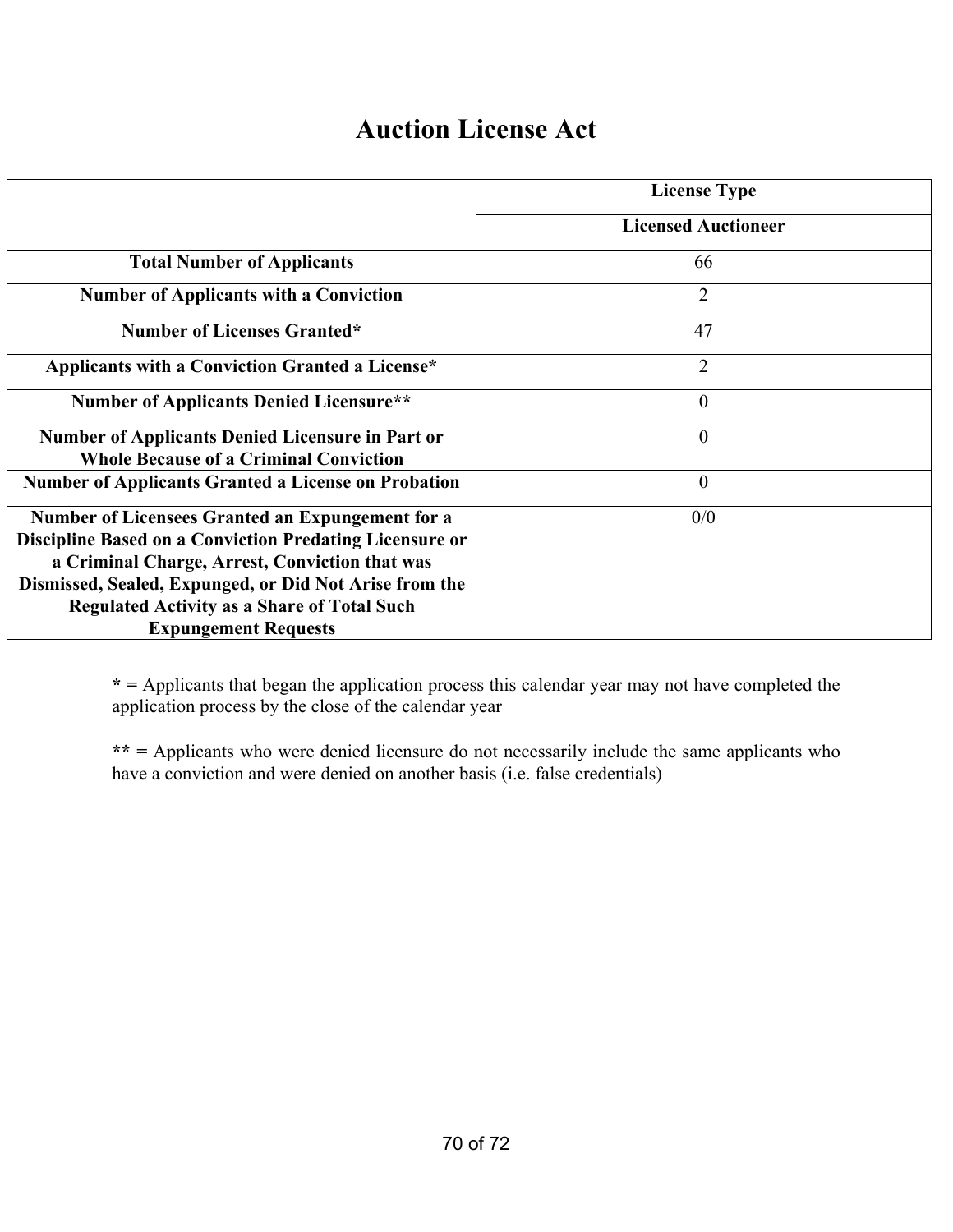### **Auction License Act**

|                                                                                                                                                                                                                                                                                                              | <b>License Type</b>        |
|--------------------------------------------------------------------------------------------------------------------------------------------------------------------------------------------------------------------------------------------------------------------------------------------------------------|----------------------------|
|                                                                                                                                                                                                                                                                                                              | <b>Licensed Auctioneer</b> |
| <b>Total Number of Applicants</b>                                                                                                                                                                                                                                                                            | 66                         |
| <b>Number of Applicants with a Conviction</b>                                                                                                                                                                                                                                                                | $\overline{2}$             |
| <b>Number of Licenses Granted*</b>                                                                                                                                                                                                                                                                           | 47                         |
| Applicants with a Conviction Granted a License*                                                                                                                                                                                                                                                              | $\overline{2}$             |
| <b>Number of Applicants Denied Licensure**</b>                                                                                                                                                                                                                                                               | $\theta$                   |
| Number of Applicants Denied Licensure in Part or<br><b>Whole Because of a Criminal Conviction</b>                                                                                                                                                                                                            | $\mathbf{0}$               |
| <b>Number of Applicants Granted a License on Probation</b>                                                                                                                                                                                                                                                   | $\theta$                   |
| Number of Licensees Granted an Expungement for a<br>Discipline Based on a Conviction Predating Licensure or<br>a Criminal Charge, Arrest, Conviction that was<br>Dismissed, Sealed, Expunged, or Did Not Arise from the<br><b>Regulated Activity as a Share of Total Such</b><br><b>Expungement Requests</b> | 0/0                        |

**\* =** Applicants that began the application process this calendar year may not have completed the application process by the close of the calendar year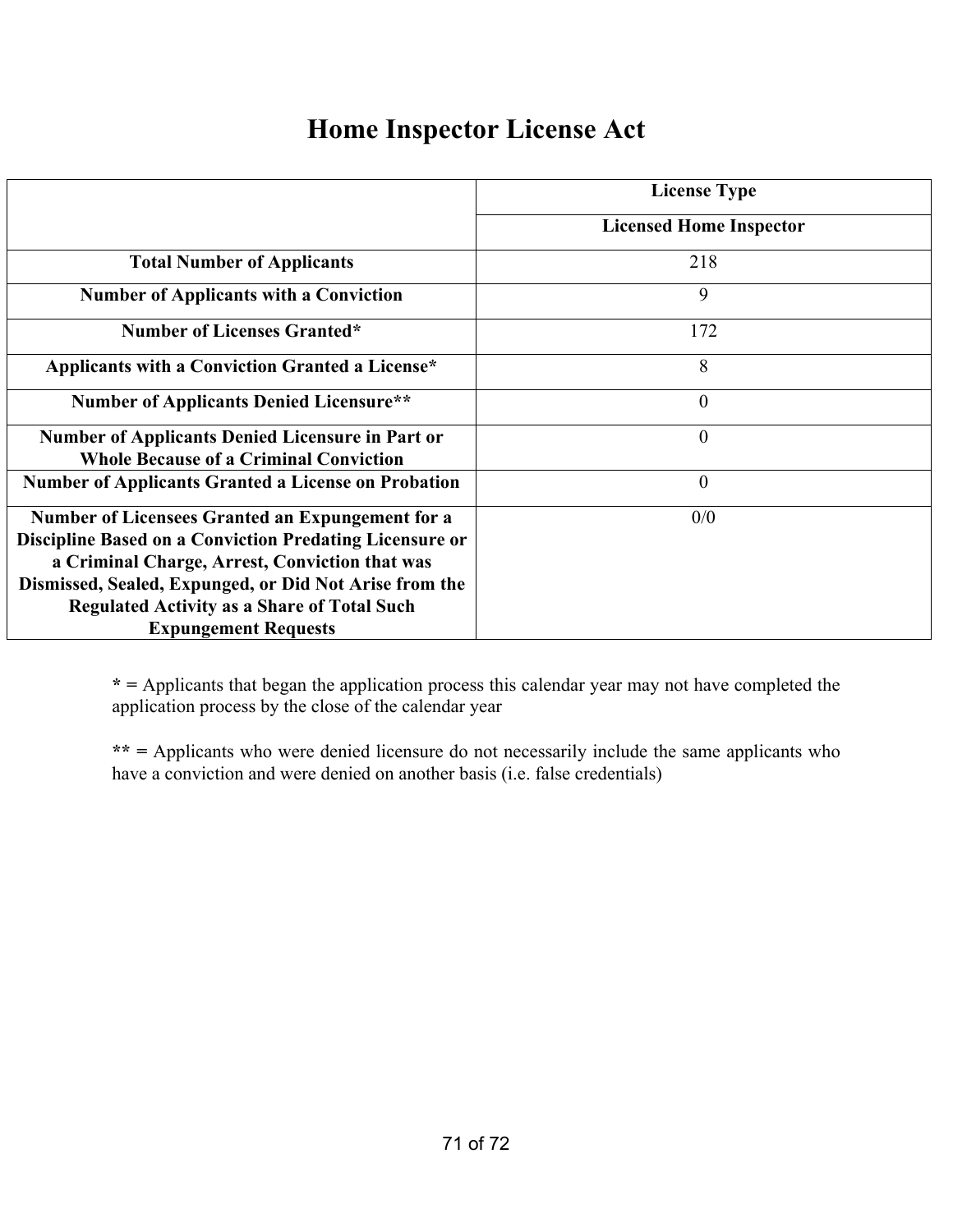### **Home Inspector License Act**

|                                                                | <b>License Type</b>            |
|----------------------------------------------------------------|--------------------------------|
|                                                                | <b>Licensed Home Inspector</b> |
| <b>Total Number of Applicants</b>                              | 218                            |
| <b>Number of Applicants with a Conviction</b>                  | 9                              |
| <b>Number of Licenses Granted*</b>                             | 172                            |
| Applicants with a Conviction Granted a License*                | 8                              |
| <b>Number of Applicants Denied Licensure**</b>                 | $\theta$                       |
| <b>Number of Applicants Denied Licensure in Part or</b>        | $\theta$                       |
| <b>Whole Because of a Criminal Conviction</b>                  |                                |
| <b>Number of Applicants Granted a License on Probation</b>     | $\theta$                       |
| Number of Licensees Granted an Expungement for a               | 0/0                            |
| <b>Discipline Based on a Conviction Predating Licensure or</b> |                                |
| a Criminal Charge, Arrest, Conviction that was                 |                                |
| Dismissed, Sealed, Expunged, or Did Not Arise from the         |                                |
| <b>Regulated Activity as a Share of Total Such</b>             |                                |
| <b>Expungement Requests</b>                                    |                                |

**\* =** Applicants that began the application process this calendar year may not have completed the application process by the close of the calendar year